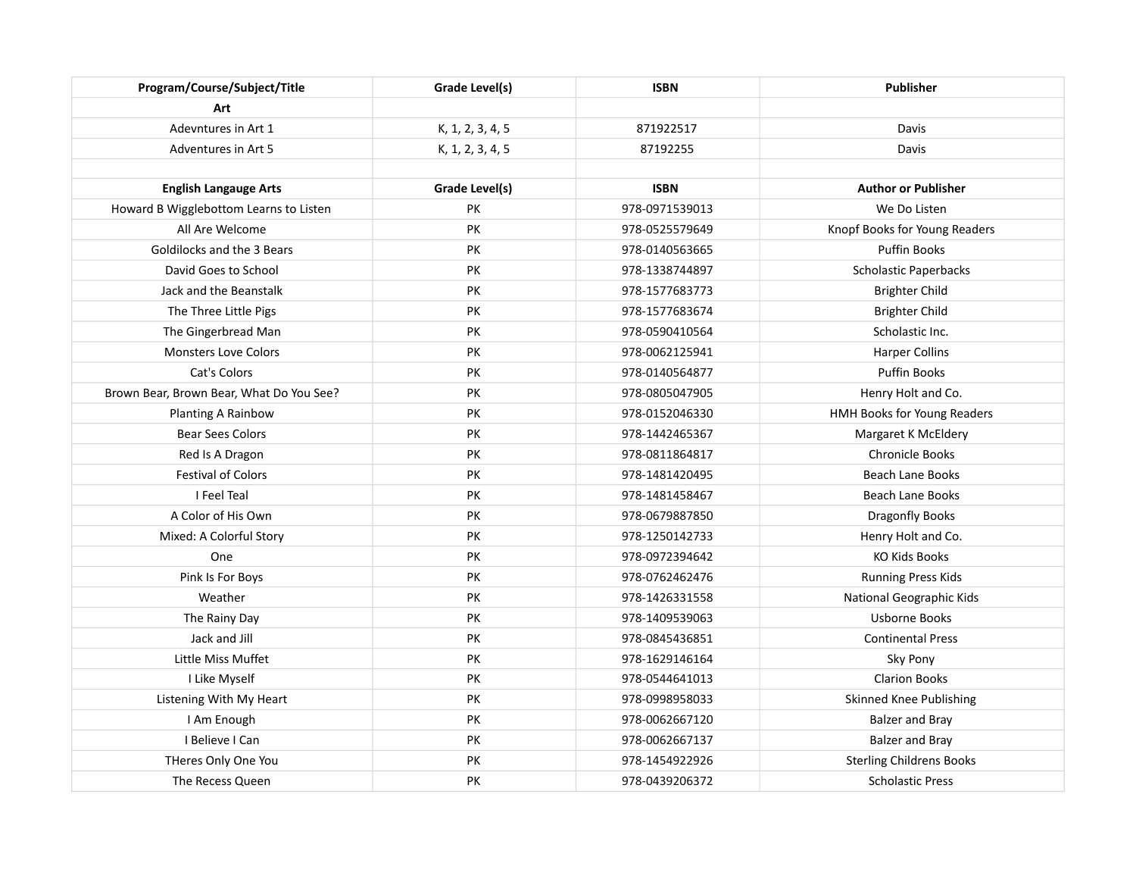| Program/Course/Subject/Title             | Grade Level(s)   | <b>ISBN</b>    | <b>Publisher</b>                |
|------------------------------------------|------------------|----------------|---------------------------------|
| Art                                      |                  |                |                                 |
| Adevntures in Art 1                      | K, 1, 2, 3, 4, 5 | 871922517      | Davis                           |
| Adventures in Art 5                      | K, 1, 2, 3, 4, 5 | 87192255       | Davis                           |
|                                          |                  |                |                                 |
| <b>English Langauge Arts</b>             | Grade Level(s)   | <b>ISBN</b>    | <b>Author or Publisher</b>      |
| Howard B Wigglebottom Learns to Listen   | PK               | 978-0971539013 | We Do Listen                    |
| All Are Welcome                          | PK               | 978-0525579649 | Knopf Books for Young Readers   |
| Goldilocks and the 3 Bears               | PK               | 978-0140563665 | Puffin Books                    |
| David Goes to School                     | PK               | 978-1338744897 | <b>Scholastic Paperbacks</b>    |
| Jack and the Beanstalk                   | PK               | 978-1577683773 | <b>Brighter Child</b>           |
| The Three Little Pigs                    | PK               | 978-1577683674 | <b>Brighter Child</b>           |
| The Gingerbread Man                      | PK               | 978-0590410564 | Scholastic Inc.                 |
| <b>Monsters Love Colors</b>              | PK               | 978-0062125941 | Harper Collins                  |
| Cat's Colors                             | PK               | 978-0140564877 | Puffin Books                    |
| Brown Bear, Brown Bear, What Do You See? | PK               | 978-0805047905 | Henry Holt and Co.              |
| Planting A Rainbow                       | PK               | 978-0152046330 | HMH Books for Young Readers     |
| <b>Bear Sees Colors</b>                  | PK               | 978-1442465367 | Margaret K McEldery             |
| Red Is A Dragon                          | PK               | 978-0811864817 | <b>Chronicle Books</b>          |
| <b>Festival of Colors</b>                | PK               | 978-1481420495 | <b>Beach Lane Books</b>         |
| I Feel Teal                              | PK               | 978-1481458467 | <b>Beach Lane Books</b>         |
| A Color of His Own                       | PK               | 978-0679887850 | Dragonfly Books                 |
| Mixed: A Colorful Story                  | PK               | 978-1250142733 | Henry Holt and Co.              |
| One                                      | PK               | 978-0972394642 | <b>KO Kids Books</b>            |
| Pink Is For Boys                         | PK               | 978-0762462476 | <b>Running Press Kids</b>       |
| Weather                                  | PK               | 978-1426331558 | National Geographic Kids        |
| The Rainy Day                            | PK               | 978-1409539063 | <b>Usborne Books</b>            |
| Jack and Jill                            | PK               | 978-0845436851 | <b>Continental Press</b>        |
| Little Miss Muffet                       | PK               | 978-1629146164 | Sky Pony                        |
| I Like Myself                            | PK               | 978-0544641013 | <b>Clarion Books</b>            |
| Listening With My Heart                  | PK               | 978-0998958033 | <b>Skinned Knee Publishing</b>  |
| I Am Enough                              | PK               | 978-0062667120 | <b>Balzer and Bray</b>          |
| I Believe I Can                          | PK               | 978-0062667137 | <b>Balzer and Bray</b>          |
| THeres Only One You                      | PK               | 978-1454922926 | <b>Sterling Childrens Books</b> |
| The Recess Queen                         | PK               | 978-0439206372 | <b>Scholastic Press</b>         |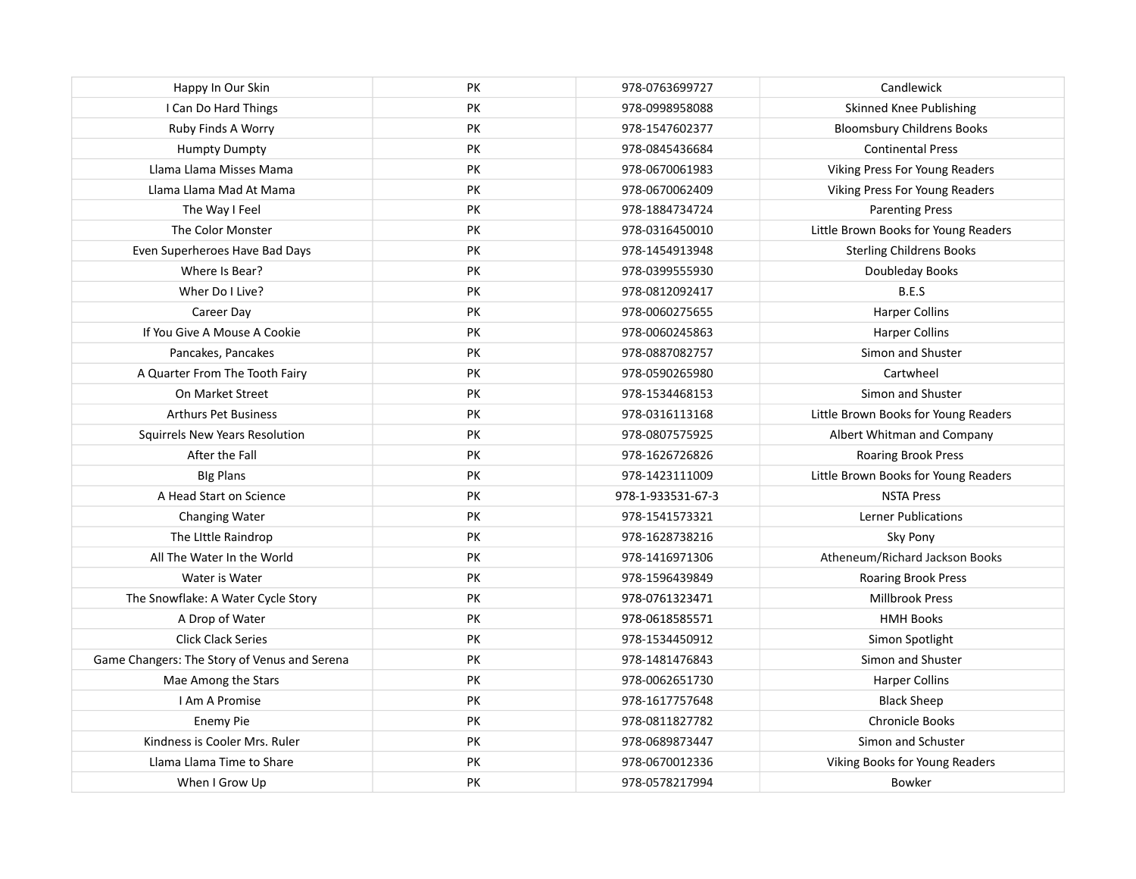| Happy In Our Skin                            | PK | 978-0763699727    | Candlewick                           |
|----------------------------------------------|----|-------------------|--------------------------------------|
| I Can Do Hard Things                         | PK | 978-0998958088    | Skinned Knee Publishing              |
| Ruby Finds A Worry                           | PK | 978-1547602377    | <b>Bloomsbury Childrens Books</b>    |
| <b>Humpty Dumpty</b>                         | PK | 978-0845436684    | <b>Continental Press</b>             |
| Llama Llama Misses Mama                      | PK | 978-0670061983    | Viking Press For Young Readers       |
| Llama Llama Mad At Mama                      | PK | 978-0670062409    | Viking Press For Young Readers       |
| The Way I Feel                               | PK | 978-1884734724    | <b>Parenting Press</b>               |
| The Color Monster                            | PK | 978-0316450010    | Little Brown Books for Young Readers |
| Even Superheroes Have Bad Days               | PK | 978-1454913948    | <b>Sterling Childrens Books</b>      |
| Where Is Bear?                               | PK | 978-0399555930    | Doubleday Books                      |
| Wher Do I Live?                              | PK | 978-0812092417    | B.E.S                                |
| Career Day                                   | PK | 978-0060275655    | <b>Harper Collins</b>                |
| If You Give A Mouse A Cookie                 | PK | 978-0060245863    | <b>Harper Collins</b>                |
| Pancakes, Pancakes                           | PK | 978-0887082757    | Simon and Shuster                    |
| A Quarter From The Tooth Fairy               | PK | 978-0590265980    | Cartwheel                            |
| On Market Street                             | PK | 978-1534468153    | Simon and Shuster                    |
| <b>Arthurs Pet Business</b>                  | PK | 978-0316113168    | Little Brown Books for Young Readers |
| Squirrels New Years Resolution               | PK | 978-0807575925    | Albert Whitman and Company           |
| After the Fall                               | PK | 978-1626726826    | Roaring Brook Press                  |
| <b>Blg Plans</b>                             | PK | 978-1423111009    | Little Brown Books for Young Readers |
| A Head Start on Science                      | PK | 978-1-933531-67-3 | <b>NSTA Press</b>                    |
| Changing Water                               | PK | 978-1541573321    | <b>Lerner Publications</b>           |
| The Little Raindrop                          | PK | 978-1628738216    | Sky Pony                             |
| All The Water In the World                   | PK | 978-1416971306    | Atheneum/Richard Jackson Books       |
| Water is Water                               | PK | 978-1596439849    | Roaring Brook Press                  |
| The Snowflake: A Water Cycle Story           | PK | 978-0761323471    | <b>Millbrook Press</b>               |
| A Drop of Water                              | PK | 978-0618585571    | <b>HMH Books</b>                     |
| <b>Click Clack Series</b>                    | PK | 978-1534450912    | Simon Spotlight                      |
| Game Changers: The Story of Venus and Serena | PK | 978-1481476843    | Simon and Shuster                    |
| Mae Among the Stars                          | PK | 978-0062651730    | <b>Harper Collins</b>                |
| I Am A Promise                               | PK | 978-1617757648    | <b>Black Sheep</b>                   |
| <b>Enemy Pie</b>                             | PK | 978-0811827782    | Chronicle Books                      |
| Kindness is Cooler Mrs. Ruler                | PK | 978-0689873447    | Simon and Schuster                   |
| Llama Llama Time to Share                    | PK | 978-0670012336    | Viking Books for Young Readers       |
| When I Grow Up                               | PK | 978-0578217994    | Bowker                               |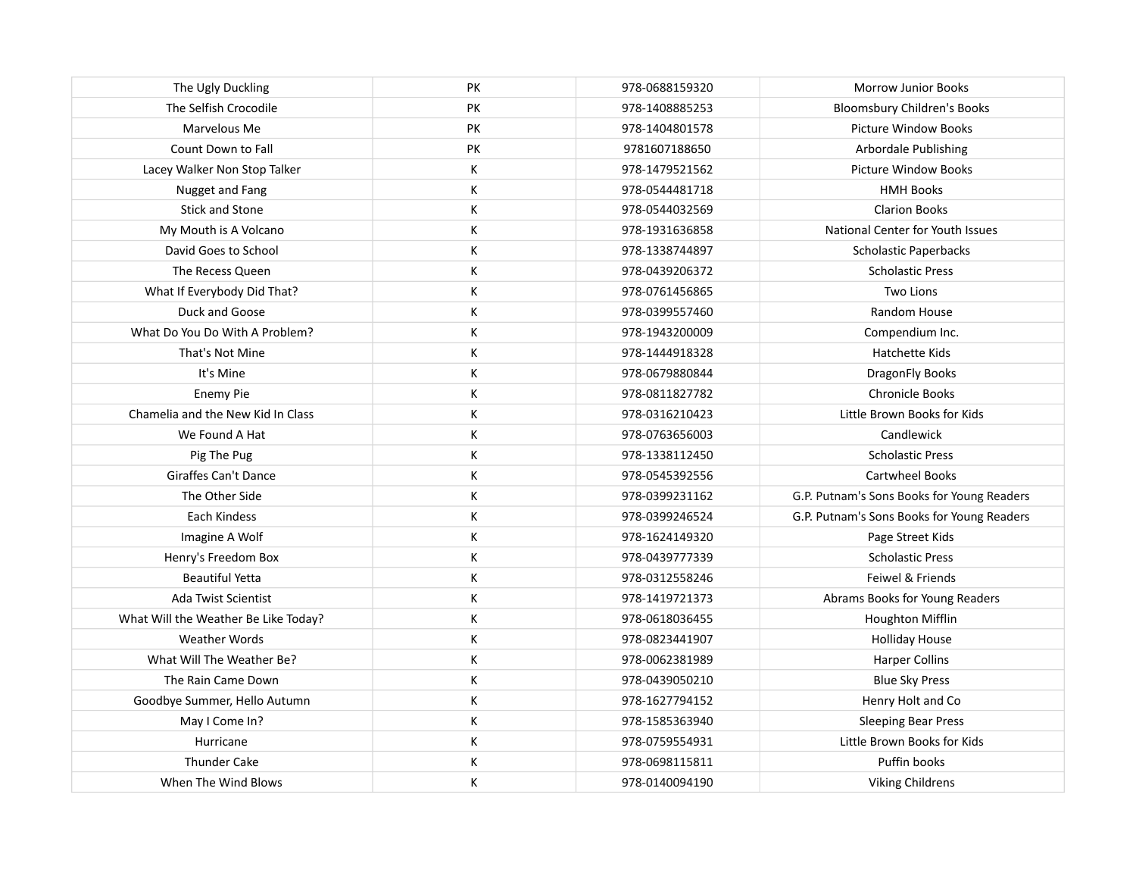| The Ugly Duckling                    | PK        | 978-0688159320 | <b>Morrow Junior Books</b>                 |
|--------------------------------------|-----------|----------------|--------------------------------------------|
| The Selfish Crocodile                | PK        | 978-1408885253 | <b>Bloomsbury Children's Books</b>         |
| Marvelous Me                         | <b>PK</b> | 978-1404801578 | <b>Picture Window Books</b>                |
| Count Down to Fall                   | PK        | 9781607188650  | <b>Arbordale Publishing</b>                |
| Lacey Walker Non Stop Talker         | К         | 978-1479521562 | <b>Picture Window Books</b>                |
| Nugget and Fang                      | К         | 978-0544481718 | <b>HMH Books</b>                           |
| <b>Stick and Stone</b>               | К         | 978-0544032569 | <b>Clarion Books</b>                       |
| My Mouth is A Volcano                | К         | 978-1931636858 | National Center for Youth Issues           |
| David Goes to School                 | К         | 978-1338744897 | Scholastic Paperbacks                      |
| The Recess Queen                     | К         | 978-0439206372 | <b>Scholastic Press</b>                    |
| What If Everybody Did That?          | К         | 978-0761456865 | <b>Two Lions</b>                           |
| Duck and Goose                       | К         | 978-0399557460 | Random House                               |
| What Do You Do With A Problem?       | К         | 978-1943200009 | Compendium Inc.                            |
| That's Not Mine                      | К         | 978-1444918328 | Hatchette Kids                             |
| It's Mine                            | К         | 978-0679880844 | DragonFly Books                            |
| <b>Enemy Pie</b>                     | К         | 978-0811827782 | <b>Chronicle Books</b>                     |
| Chamelia and the New Kid In Class    | К         | 978-0316210423 | Little Brown Books for Kids                |
| We Found A Hat                       | К         | 978-0763656003 | Candlewick                                 |
| Pig The Pug                          | К         | 978-1338112450 | <b>Scholastic Press</b>                    |
| <b>Giraffes Can't Dance</b>          | К         | 978-0545392556 | <b>Cartwheel Books</b>                     |
| The Other Side                       | К         | 978-0399231162 | G.P. Putnam's Sons Books for Young Readers |
| Each Kindess                         | К         | 978-0399246524 | G.P. Putnam's Sons Books for Young Readers |
| Imagine A Wolf                       | К         | 978-1624149320 | Page Street Kids                           |
| Henry's Freedom Box                  | К         | 978-0439777339 | <b>Scholastic Press</b>                    |
| <b>Beautiful Yetta</b>               | К         | 978-0312558246 | Feiwel & Friends                           |
| <b>Ada Twist Scientist</b>           | К         | 978-1419721373 | Abrams Books for Young Readers             |
| What Will the Weather Be Like Today? | К         | 978-0618036455 | Houghton Mifflin                           |
| Weather Words                        | К         | 978-0823441907 | <b>Holliday House</b>                      |
| What Will The Weather Be?            | К         | 978-0062381989 | <b>Harper Collins</b>                      |
| The Rain Came Down                   | К         | 978-0439050210 | <b>Blue Sky Press</b>                      |
| Goodbye Summer, Hello Autumn         | К         | 978-1627794152 | Henry Holt and Co                          |
| May I Come In?                       | К         | 978-1585363940 | <b>Sleeping Bear Press</b>                 |
| Hurricane                            | К         | 978-0759554931 | Little Brown Books for Kids                |
| <b>Thunder Cake</b>                  | К         | 978-0698115811 | Puffin books                               |
| When The Wind Blows                  | К         | 978-0140094190 | <b>Viking Childrens</b>                    |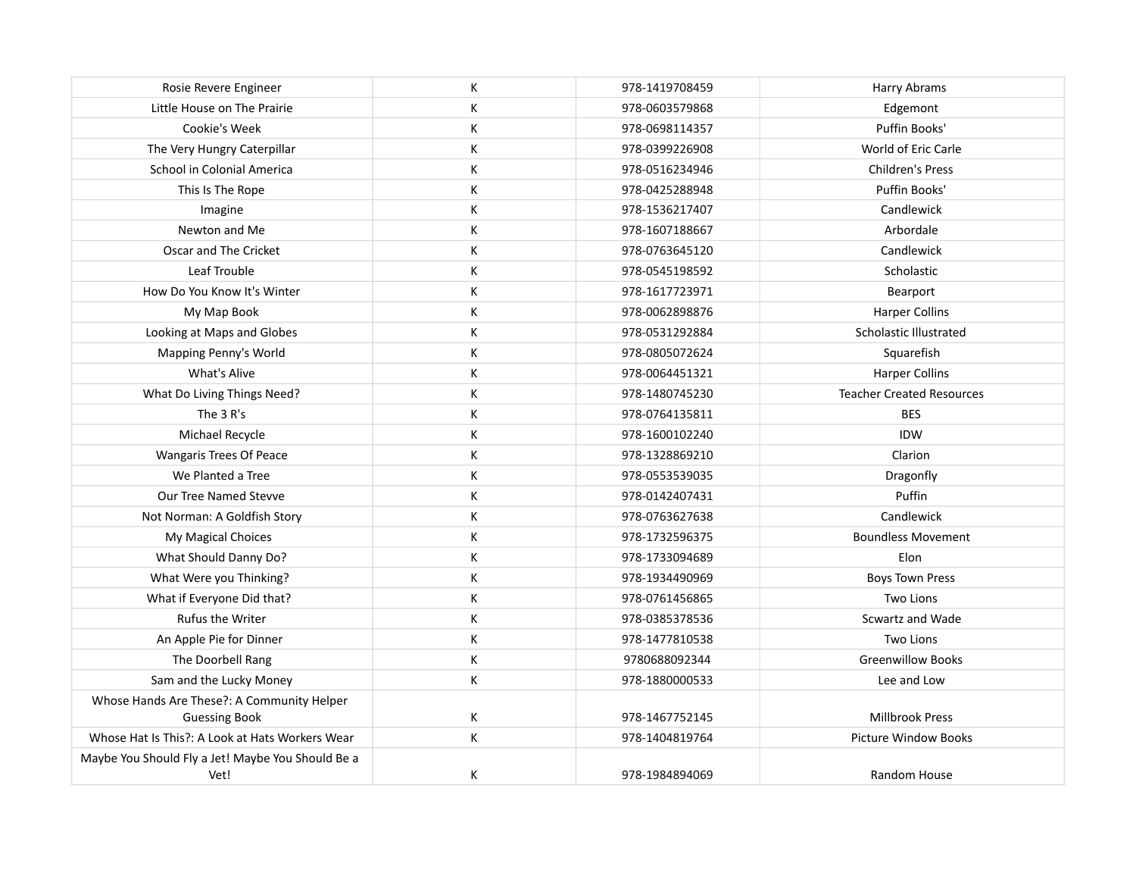| Rosie Revere Engineer                                              | К | 978-1419708459 | Harry Abrams                     |
|--------------------------------------------------------------------|---|----------------|----------------------------------|
| Little House on The Prairie                                        | К | 978-0603579868 | Edgemont                         |
| Cookie's Week                                                      | К | 978-0698114357 | Puffin Books'                    |
| The Very Hungry Caterpillar                                        | К | 978-0399226908 | World of Eric Carle              |
| School in Colonial America                                         | К | 978-0516234946 | <b>Children's Press</b>          |
| This Is The Rope                                                   | К | 978-0425288948 | Puffin Books'                    |
| Imagine                                                            | К | 978-1536217407 | Candlewick                       |
| Newton and Me                                                      | К | 978-1607188667 | Arbordale                        |
| Oscar and The Cricket                                              | К | 978-0763645120 | Candlewick                       |
| Leaf Trouble                                                       | К | 978-0545198592 | Scholastic                       |
| How Do You Know It's Winter                                        | К | 978-1617723971 | Bearport                         |
| My Map Book                                                        | К | 978-0062898876 | <b>Harper Collins</b>            |
| Looking at Maps and Globes                                         | К | 978-0531292884 | Scholastic Illustrated           |
| Mapping Penny's World                                              | К | 978-0805072624 | Squarefish                       |
| What's Alive                                                       | К | 978-0064451321 | <b>Harper Collins</b>            |
| What Do Living Things Need?                                        | К | 978-1480745230 | <b>Teacher Created Resources</b> |
| The 3 R's                                                          | К | 978-0764135811 | <b>BES</b>                       |
| Michael Recycle                                                    | К | 978-1600102240 | <b>IDW</b>                       |
| Wangaris Trees Of Peace                                            | К | 978-1328869210 | Clarion                          |
| We Planted a Tree                                                  | К | 978-0553539035 | Dragonfly                        |
| Our Tree Named Stevve                                              | К | 978-0142407431 | Puffin                           |
| Not Norman: A Goldfish Story                                       | К | 978-0763627638 | Candlewick                       |
| My Magical Choices                                                 | К | 978-1732596375 | <b>Boundless Movement</b>        |
| What Should Danny Do?                                              | К | 978-1733094689 | Elon                             |
| What Were you Thinking?                                            | К | 978-1934490969 | <b>Boys Town Press</b>           |
| What if Everyone Did that?                                         | К | 978-0761456865 | <b>Two Lions</b>                 |
| Rufus the Writer                                                   | К | 978-0385378536 | Scwartz and Wade                 |
| An Apple Pie for Dinner                                            | К | 978-1477810538 | Two Lions                        |
| The Doorbell Rang                                                  | К | 9780688092344  | <b>Greenwillow Books</b>         |
| Sam and the Lucky Money                                            | Κ | 978-1880000533 | Lee and Low                      |
| Whose Hands Are These?: A Community Helper<br><b>Guessing Book</b> | К | 978-1467752145 | Millbrook Press                  |
| Whose Hat Is This?: A Look at Hats Workers Wear                    | Κ | 978-1404819764 | <b>Picture Window Books</b>      |
| Maybe You Should Fly a Jet! Maybe You Should Be a<br>Vet!          | К | 978-1984894069 | Random House                     |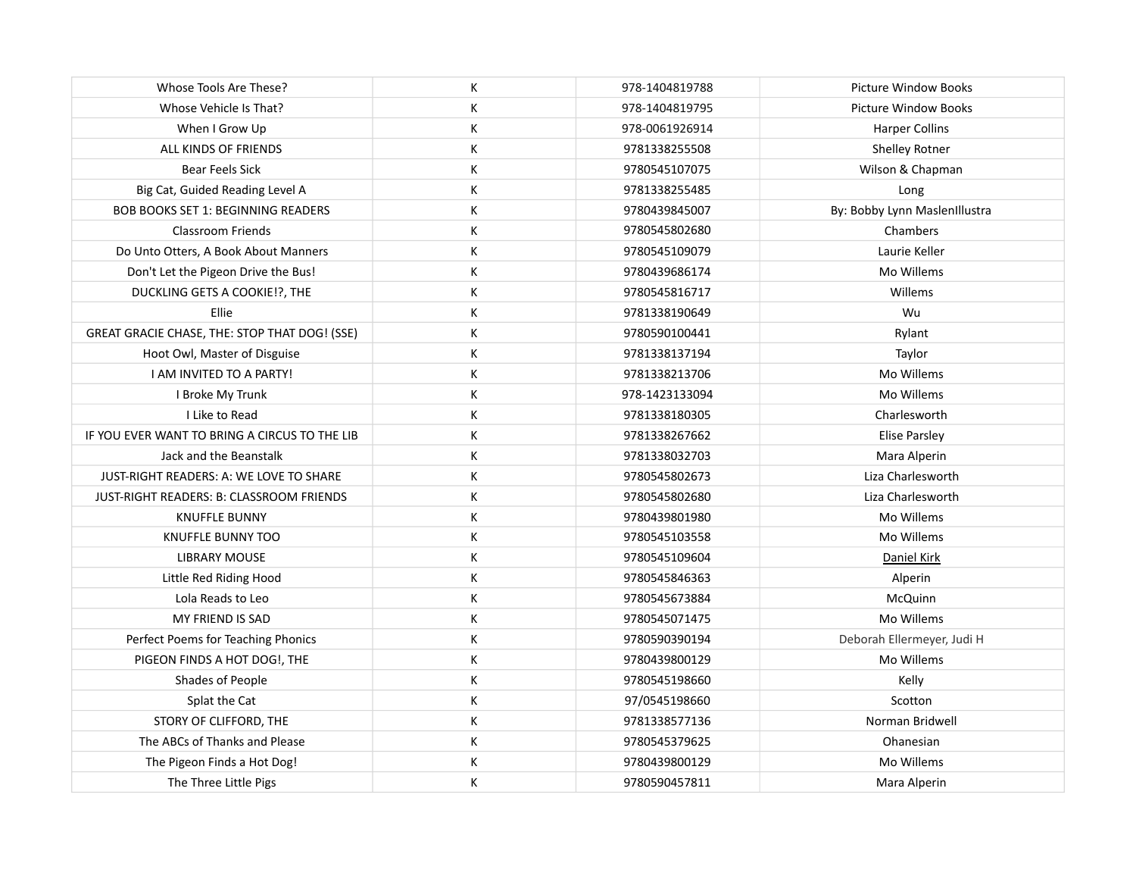| Whose Tools Are These?                        | К | 978-1404819788 | <b>Picture Window Books</b>   |
|-----------------------------------------------|---|----------------|-------------------------------|
| Whose Vehicle Is That?                        | К | 978-1404819795 | <b>Picture Window Books</b>   |
| When I Grow Up                                | К | 978-0061926914 | <b>Harper Collins</b>         |
| ALL KINDS OF FRIENDS                          | К | 9781338255508  | Shelley Rotner                |
| <b>Bear Feels Sick</b>                        | К | 9780545107075  | Wilson & Chapman              |
| Big Cat, Guided Reading Level A               | К | 9781338255485  | Long                          |
| <b>BOB BOOKS SET 1: BEGINNING READERS</b>     | К | 9780439845007  | By: Bobby Lynn MaslenIllustra |
| <b>Classroom Friends</b>                      | К | 9780545802680  | Chambers                      |
| Do Unto Otters, A Book About Manners          | К | 9780545109079  | Laurie Keller                 |
| Don't Let the Pigeon Drive the Bus!           | К | 9780439686174  | Mo Willems                    |
| DUCKLING GETS A COOKIE!?, THE                 | К | 9780545816717  | Willems                       |
| Ellie                                         | К | 9781338190649  | Wu                            |
| GREAT GRACIE CHASE, THE: STOP THAT DOG! (SSE) | К | 9780590100441  | Rylant                        |
| Hoot Owl, Master of Disguise                  | К | 9781338137194  | Taylor                        |
| I AM INVITED TO A PARTY!                      | К | 9781338213706  | Mo Willems                    |
| I Broke My Trunk                              | К | 978-1423133094 | Mo Willems                    |
| I Like to Read                                | К | 9781338180305  | Charlesworth                  |
| IF YOU EVER WANT TO BRING A CIRCUS TO THE LIB | К | 9781338267662  | <b>Elise Parsley</b>          |
| Jack and the Beanstalk                        | К | 9781338032703  | Mara Alperin                  |
| JUST-RIGHT READERS: A: WE LOVE TO SHARE       | К | 9780545802673  | Liza Charlesworth             |
| JUST-RIGHT READERS: B: CLASSROOM FRIENDS      | К | 9780545802680  | Liza Charlesworth             |
| <b>KNUFFLE BUNNY</b>                          | К | 9780439801980  | Mo Willems                    |
| <b>KNUFFLE BUNNY TOO</b>                      | К | 9780545103558  | Mo Willems                    |
| <b>LIBRARY MOUSE</b>                          | К | 9780545109604  | Daniel Kirk                   |
| Little Red Riding Hood                        | К | 9780545846363  | Alperin                       |
| Lola Reads to Leo                             | К | 9780545673884  | McQuinn                       |
| MY FRIEND IS SAD                              | К | 9780545071475  | Mo Willems                    |
| Perfect Poems for Teaching Phonics            | К | 9780590390194  | Deborah Ellermeyer, Judi H    |
| PIGEON FINDS A HOT DOG!, THE                  | К | 9780439800129  | Mo Willems                    |
| Shades of People                              | К | 9780545198660  | Kelly                         |
| Splat the Cat                                 | К | 97/0545198660  | Scotton                       |
| STORY OF CLIFFORD, THE                        | К | 9781338577136  | Norman Bridwell               |
| The ABCs of Thanks and Please                 | К | 9780545379625  | Ohanesian                     |
| The Pigeon Finds a Hot Dog!                   | К | 9780439800129  | Mo Willems                    |
| The Three Little Pigs                         | К | 9780590457811  | Mara Alperin                  |
|                                               |   |                |                               |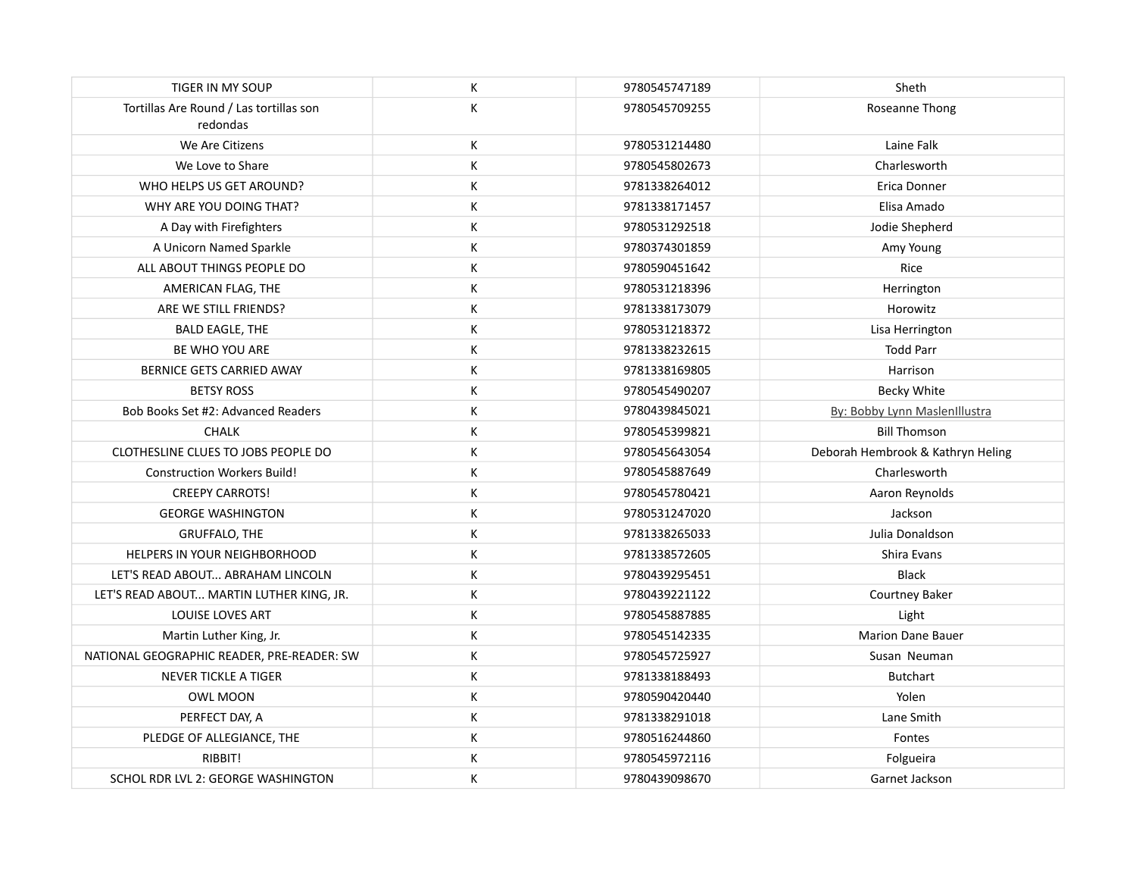| <b>TIGER IN MY SOUP</b>                             | К | 9780545747189 | Sheth                             |
|-----------------------------------------------------|---|---------------|-----------------------------------|
| Tortillas Are Round / Las tortillas son<br>redondas | K | 9780545709255 | Roseanne Thong                    |
| We Are Citizens                                     | К | 9780531214480 | Laine Falk                        |
| We Love to Share                                    | К | 9780545802673 | Charlesworth                      |
| WHO HELPS US GET AROUND?                            | K | 9781338264012 | Erica Donner                      |
| WHY ARE YOU DOING THAT?                             | К | 9781338171457 | Elisa Amado                       |
| A Day with Firefighters                             | К | 9780531292518 | Jodie Shepherd                    |
| A Unicorn Named Sparkle                             | К | 9780374301859 | Amy Young                         |
| ALL ABOUT THINGS PEOPLE DO                          | К | 9780590451642 | Rice                              |
| AMERICAN FLAG, THE                                  | К | 9780531218396 | Herrington                        |
| ARE WE STILL FRIENDS?                               | К | 9781338173079 | Horowitz                          |
| <b>BALD EAGLE, THE</b>                              | К | 9780531218372 | Lisa Herrington                   |
| BE WHO YOU ARE                                      | К | 9781338232615 | <b>Todd Parr</b>                  |
| BERNICE GETS CARRIED AWAY                           | К | 9781338169805 | Harrison                          |
| <b>BETSY ROSS</b>                                   | К | 9780545490207 | <b>Becky White</b>                |
| Bob Books Set #2: Advanced Readers                  | К | 9780439845021 | By: Bobby Lynn MaslenIllustra     |
| <b>CHALK</b>                                        | К | 9780545399821 | <b>Bill Thomson</b>               |
| CLOTHESLINE CLUES TO JOBS PEOPLE DO                 | К | 9780545643054 | Deborah Hembrook & Kathryn Heling |
| <b>Construction Workers Build!</b>                  | К | 9780545887649 | Charlesworth                      |
| <b>CREEPY CARROTS!</b>                              | К | 9780545780421 | Aaron Reynolds                    |
| <b>GEORGE WASHINGTON</b>                            | К | 9780531247020 | Jackson                           |
| <b>GRUFFALO, THE</b>                                | К | 9781338265033 | Julia Donaldson                   |
| HELPERS IN YOUR NEIGHBORHOOD                        | К | 9781338572605 | Shira Evans                       |
| LET'S READ ABOUT ABRAHAM LINCOLN                    | К | 9780439295451 | <b>Black</b>                      |
| LET'S READ ABOUT MARTIN LUTHER KING, JR.            | К | 9780439221122 | Courtney Baker                    |
| LOUISE LOVES ART                                    | К | 9780545887885 | Light                             |
| Martin Luther King, Jr.                             | K | 9780545142335 | <b>Marion Dane Bauer</b>          |
| NATIONAL GEOGRAPHIC READER, PRE-READER: SW          | К | 9780545725927 | Susan Neuman                      |
| <b>NEVER TICKLE A TIGER</b>                         | K | 9781338188493 | <b>Butchart</b>                   |
| <b>OWL MOON</b>                                     | К | 9780590420440 | Yolen                             |
| PERFECT DAY, A                                      | К | 9781338291018 | Lane Smith                        |
| PLEDGE OF ALLEGIANCE, THE                           | К | 9780516244860 | Fontes                            |
| RIBBIT!                                             | К | 9780545972116 | Folgueira                         |
| SCHOL RDR LVL 2: GEORGE WASHINGTON                  | К | 9780439098670 | Garnet Jackson                    |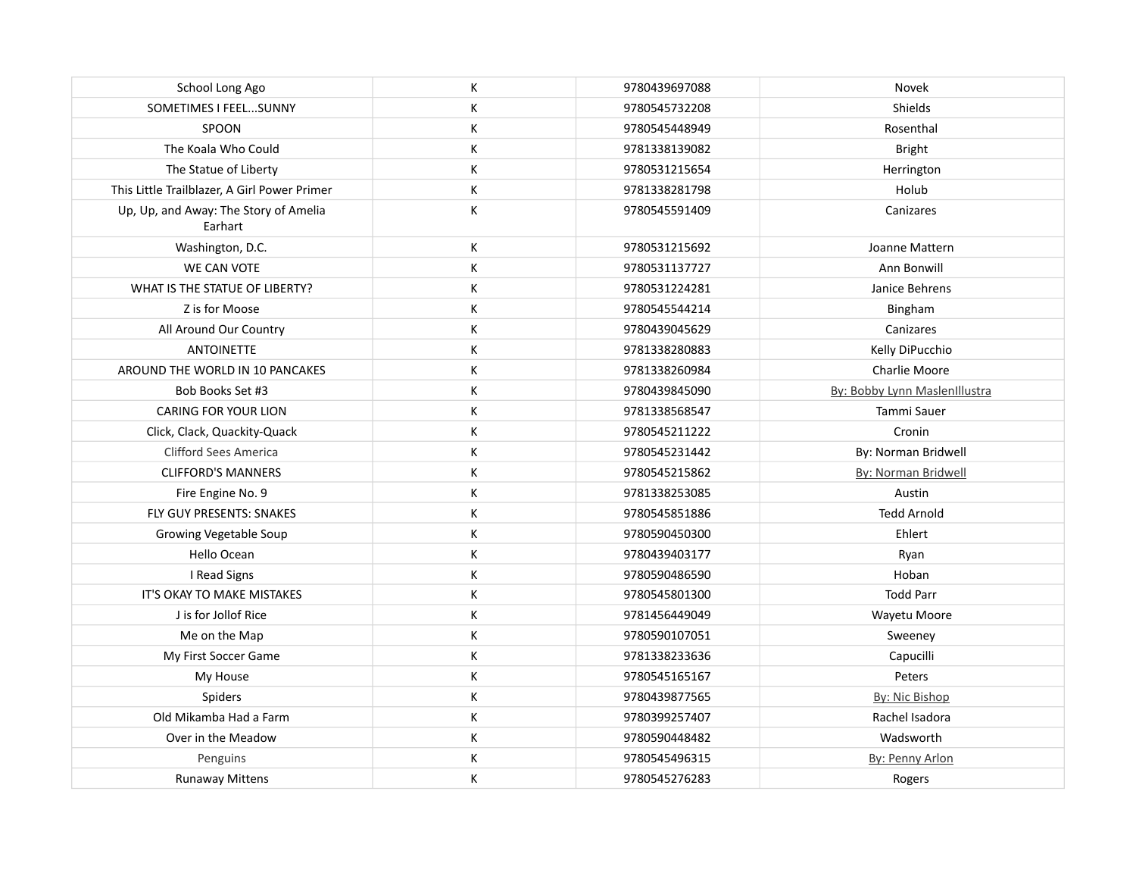| School Long Ago                                  | К | 9780439697088 | Novek                         |
|--------------------------------------------------|---|---------------|-------------------------------|
| SOMETIMES I FEEL SUNNY                           | К | 9780545732208 | Shields                       |
| SPOON                                            | К | 9780545448949 | Rosenthal                     |
| The Koala Who Could                              | К | 9781338139082 | <b>Bright</b>                 |
| The Statue of Liberty                            | К | 9780531215654 | Herrington                    |
| This Little Trailblazer, A Girl Power Primer     | К | 9781338281798 | Holub                         |
| Up, Up, and Away: The Story of Amelia<br>Earhart | К | 9780545591409 | Canizares                     |
| Washington, D.C.                                 | К | 9780531215692 | Joanne Mattern                |
| WE CAN VOTE                                      | К | 9780531137727 | Ann Bonwill                   |
| WHAT IS THE STATUE OF LIBERTY?                   | К | 9780531224281 | Janice Behrens                |
| Z is for Moose                                   | К | 9780545544214 | Bingham                       |
| All Around Our Country                           | К | 9780439045629 | Canizares                     |
| <b>ANTOINETTE</b>                                | К | 9781338280883 | Kelly DiPucchio               |
| AROUND THE WORLD IN 10 PANCAKES                  | К | 9781338260984 | Charlie Moore                 |
| Bob Books Set #3                                 | К | 9780439845090 | By: Bobby Lynn MaslenIllustra |
| <b>CARING FOR YOUR LION</b>                      | К | 9781338568547 | Tammi Sauer                   |
| Click, Clack, Quackity-Quack                     | К | 9780545211222 | Cronin                        |
| Clifford Sees America                            | К | 9780545231442 | By: Norman Bridwell           |
| <b>CLIFFORD'S MANNERS</b>                        | К | 9780545215862 | By: Norman Bridwell           |
| Fire Engine No. 9                                | К | 9781338253085 | Austin                        |
| <b>FLY GUY PRESENTS: SNAKES</b>                  | К | 9780545851886 | <b>Tedd Arnold</b>            |
| Growing Vegetable Soup                           | К | 9780590450300 | Ehlert                        |
| Hello Ocean                                      | К | 9780439403177 | Ryan                          |
| I Read Signs                                     | К | 9780590486590 | Hoban                         |
| IT'S OKAY TO MAKE MISTAKES                       | К | 9780545801300 | <b>Todd Parr</b>              |
| J is for Jollof Rice                             | К | 9781456449049 | Wayetu Moore                  |
| Me on the Map                                    | К | 9780590107051 | Sweeney                       |
| My First Soccer Game                             | К | 9781338233636 | Capucilli                     |
| My House                                         | К | 9780545165167 | Peters                        |
| Spiders                                          | К | 9780439877565 | By: Nic Bishop                |
| Old Mikamba Had a Farm                           | К | 9780399257407 | Rachel Isadora                |
| Over in the Meadow                               | К | 9780590448482 | Wadsworth                     |
| Penguins                                         | К | 9780545496315 | By: Penny Arlon               |
| <b>Runaway Mittens</b>                           | К | 9780545276283 | Rogers                        |
|                                                  |   |               |                               |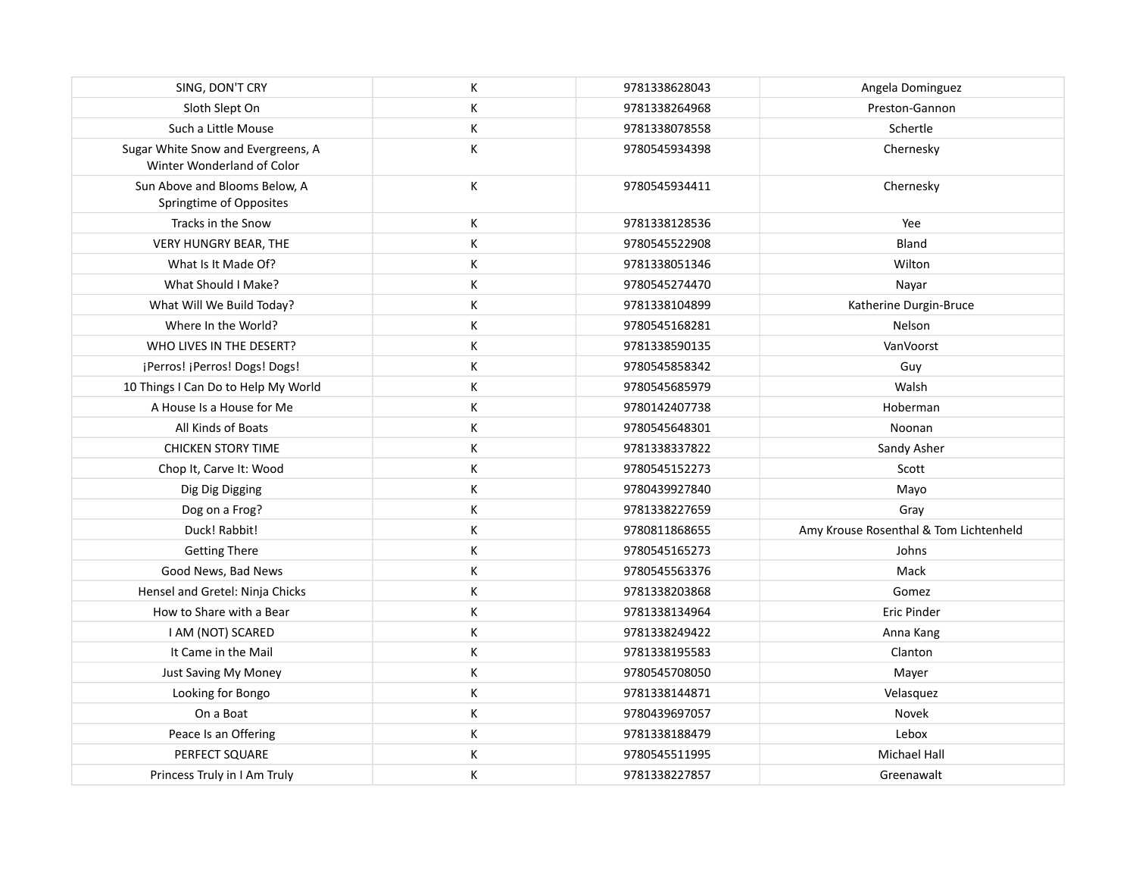| SING, DON'T CRY                                                  | К | 9781338628043 | Angela Dominguez                       |
|------------------------------------------------------------------|---|---------------|----------------------------------------|
| Sloth Slept On                                                   | К | 9781338264968 | Preston-Gannon                         |
| Such a Little Mouse                                              | К | 9781338078558 | Schertle                               |
| Sugar White Snow and Evergreens, A<br>Winter Wonderland of Color | К | 9780545934398 | Chernesky                              |
| Sun Above and Blooms Below, A<br>Springtime of Opposites         | К | 9780545934411 | Chernesky                              |
| Tracks in the Snow                                               | К | 9781338128536 | Yee                                    |
| VERY HUNGRY BEAR, THE                                            | К | 9780545522908 | Bland                                  |
| What Is It Made Of?                                              | К | 9781338051346 | Wilton                                 |
| What Should I Make?                                              | К | 9780545274470 | Nayar                                  |
| What Will We Build Today?                                        | К | 9781338104899 | Katherine Durgin-Bruce                 |
| Where In the World?                                              | К | 9780545168281 | Nelson                                 |
| WHO LIVES IN THE DESERT?                                         | К | 9781338590135 | VanVoorst                              |
| ¡Perros! ¡Perros! Dogs! Dogs!                                    | К | 9780545858342 | Guy                                    |
| 10 Things I Can Do to Help My World                              | К | 9780545685979 | Walsh                                  |
| A House Is a House for Me                                        | К | 9780142407738 | Hoberman                               |
| All Kinds of Boats                                               | К | 9780545648301 | Noonan                                 |
| <b>CHICKEN STORY TIME</b>                                        | К | 9781338337822 | Sandy Asher                            |
| Chop It, Carve It: Wood                                          | К | 9780545152273 | Scott                                  |
| Dig Dig Digging                                                  | К | 9780439927840 | Mayo                                   |
| Dog on a Frog?                                                   | К | 9781338227659 | Gray                                   |
| Duck! Rabbit!                                                    | К | 9780811868655 | Amy Krouse Rosenthal & Tom Lichtenheld |
| <b>Getting There</b>                                             | К | 9780545165273 | Johns                                  |
| Good News, Bad News                                              | К | 9780545563376 | Mack                                   |
| Hensel and Gretel: Ninja Chicks                                  | К | 9781338203868 | Gomez                                  |
| How to Share with a Bear                                         | К | 9781338134964 | <b>Eric Pinder</b>                     |
| I AM (NOT) SCARED                                                | К | 9781338249422 | Anna Kang                              |
| It Came in the Mail                                              | К | 9781338195583 | Clanton                                |
| Just Saving My Money                                             | К | 9780545708050 | Mayer                                  |
| Looking for Bongo                                                | К | 9781338144871 | Velasquez                              |
| On a Boat                                                        | К | 9780439697057 | Novek                                  |
| Peace Is an Offering                                             | К | 9781338188479 | Lebox                                  |
| PERFECT SQUARE                                                   | К | 9780545511995 | <b>Michael Hall</b>                    |
| Princess Truly in I Am Truly                                     | К | 9781338227857 | Greenawalt                             |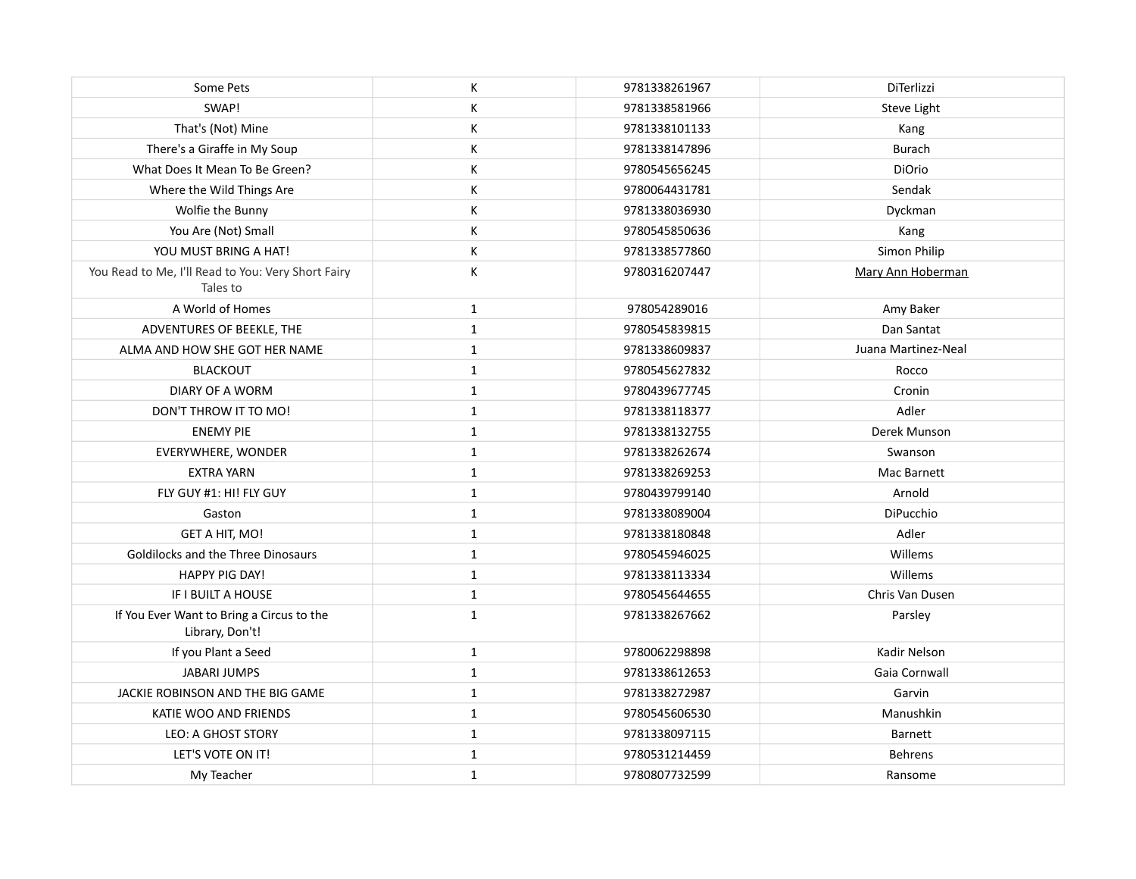| Some Pets                                                      | К            | 9781338261967 | <b>DiTerlizzi</b>   |
|----------------------------------------------------------------|--------------|---------------|---------------------|
| SWAP!                                                          | К            | 9781338581966 | Steve Light         |
| That's (Not) Mine                                              | К            | 9781338101133 | Kang                |
| There's a Giraffe in My Soup                                   | К            | 9781338147896 | <b>Burach</b>       |
| What Does It Mean To Be Green?                                 | К            | 9780545656245 | DiOrio              |
| Where the Wild Things Are                                      | К            | 9780064431781 | Sendak              |
| Wolfie the Bunny                                               | К            | 9781338036930 | Dyckman             |
| You Are (Not) Small                                            | Κ            | 9780545850636 | Kang                |
| YOU MUST BRING A HAT!                                          | К            | 9781338577860 | Simon Philip        |
| You Read to Me, I'll Read to You: Very Short Fairy<br>Tales to | К            | 9780316207447 | Mary Ann Hoberman   |
| A World of Homes                                               | $\mathbf{1}$ | 978054289016  | Amy Baker           |
| ADVENTURES OF BEEKLE, THE                                      | $\mathbf{1}$ | 9780545839815 | Dan Santat          |
| ALMA AND HOW SHE GOT HER NAME                                  | $\mathbf{1}$ | 9781338609837 | Juana Martinez-Neal |
| <b>BLACKOUT</b>                                                | $\mathbf{1}$ | 9780545627832 | Rocco               |
| DIARY OF A WORM                                                | $\mathbf{1}$ | 9780439677745 | Cronin              |
| DON'T THROW IT TO MO!                                          | $\mathbf{1}$ | 9781338118377 | Adler               |
| <b>ENEMY PIE</b>                                               | $\mathbf{1}$ | 9781338132755 | Derek Munson        |
| EVERYWHERE, WONDER                                             | $\mathbf{1}$ | 9781338262674 | Swanson             |
| <b>EXTRA YARN</b>                                              | $\mathbf{1}$ | 9781338269253 | Mac Barnett         |
| FLY GUY #1: HI! FLY GUY                                        | $\mathbf{1}$ | 9780439799140 | Arnold              |
| Gaston                                                         | $\mathbf{1}$ | 9781338089004 | DiPucchio           |
| GET A HIT, MO!                                                 | $\mathbf{1}$ | 9781338180848 | Adler               |
| Goldilocks and the Three Dinosaurs                             | $\mathbf{1}$ | 9780545946025 | Willems             |
| <b>HAPPY PIG DAY!</b>                                          | $\mathbf{1}$ | 9781338113334 | Willems             |
| IF I BUILT A HOUSE                                             | $\mathbf{1}$ | 9780545644655 | Chris Van Dusen     |
| If You Ever Want to Bring a Circus to the<br>Library, Don't!   | $\mathbf{1}$ | 9781338267662 | Parsley             |
| If you Plant a Seed                                            | $\mathbf{1}$ | 9780062298898 | Kadir Nelson        |
| <b>JABARI JUMPS</b>                                            | $\mathbf{1}$ | 9781338612653 | Gaia Cornwall       |
| JACKIE ROBINSON AND THE BIG GAME                               | $\mathbf{1}$ | 9781338272987 | Garvin              |
| KATIE WOO AND FRIENDS                                          | 1            | 9780545606530 | Manushkin           |
| <b>LEO: A GHOST STORY</b>                                      | $\mathbf{1}$ | 9781338097115 | Barnett             |
| LET'S VOTE ON IT!                                              | $\mathbf{1}$ | 9780531214459 | <b>Behrens</b>      |
| My Teacher                                                     | $\mathbf 1$  | 9780807732599 | Ransome             |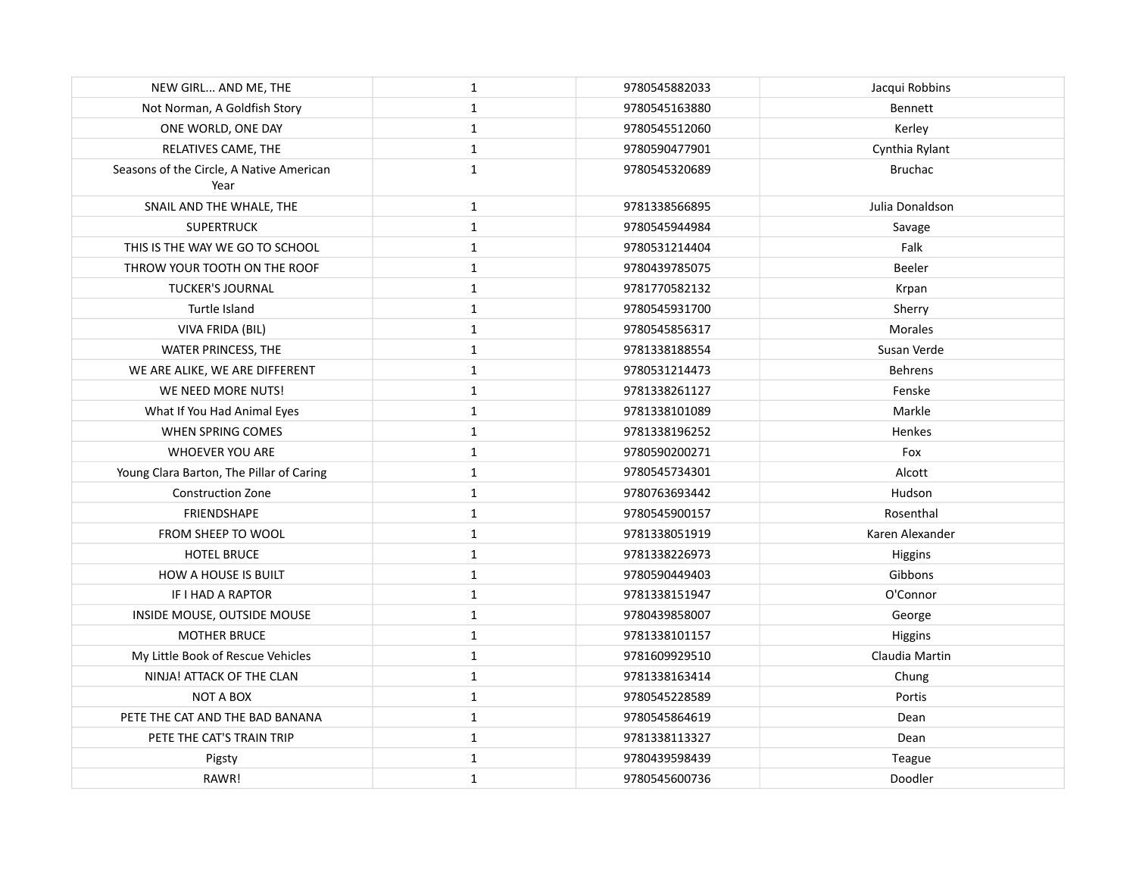| NEW GIRL AND ME, THE                             | $\mathbf{1}$ | 9780545882033 | Jacqui Robbins  |
|--------------------------------------------------|--------------|---------------|-----------------|
| Not Norman, A Goldfish Story                     | $\mathbf{1}$ | 9780545163880 | <b>Bennett</b>  |
| ONE WORLD, ONE DAY                               | $\mathbf{1}$ | 9780545512060 | Kerley          |
| RELATIVES CAME, THE                              | $\mathbf{1}$ | 9780590477901 | Cynthia Rylant  |
| Seasons of the Circle, A Native American<br>Year | $\mathbf{1}$ | 9780545320689 | <b>Bruchac</b>  |
| SNAIL AND THE WHALE, THE                         | $\mathbf{1}$ | 9781338566895 | Julia Donaldson |
| <b>SUPERTRUCK</b>                                | $\mathbf{1}$ | 9780545944984 | Savage          |
| THIS IS THE WAY WE GO TO SCHOOL                  | $\mathbf{1}$ | 9780531214404 | Falk            |
| THROW YOUR TOOTH ON THE ROOF                     | 1            | 9780439785075 | Beeler          |
| TUCKER'S JOURNAL                                 | $\mathbf{1}$ | 9781770582132 | Krpan           |
| Turtle Island                                    | $\mathbf 1$  | 9780545931700 | Sherry          |
| VIVA FRIDA (BIL)                                 | $\mathbf{1}$ | 9780545856317 | <b>Morales</b>  |
| WATER PRINCESS, THE                              | $\mathbf{1}$ | 9781338188554 | Susan Verde     |
| WE ARE ALIKE, WE ARE DIFFERENT                   | $\mathbf{1}$ | 9780531214473 | <b>Behrens</b>  |
| WE NEED MORE NUTS!                               | $\mathbf{1}$ | 9781338261127 | Fenske          |
| What If You Had Animal Eyes                      | $\mathbf{1}$ | 9781338101089 | Markle          |
| WHEN SPRING COMES                                | $\mathbf{1}$ | 9781338196252 | Henkes          |
| WHOEVER YOU ARE                                  | $\mathbf{1}$ | 9780590200271 | Fox             |
| Young Clara Barton, The Pillar of Caring         | 1            | 9780545734301 | Alcott          |
| <b>Construction Zone</b>                         | $\mathbf{1}$ | 9780763693442 | Hudson          |
| <b>FRIENDSHAPE</b>                               | $\mathbf{1}$ | 9780545900157 | Rosenthal       |
| FROM SHEEP TO WOOL                               | 1            | 9781338051919 | Karen Alexander |
| <b>HOTEL BRUCE</b>                               | $\mathbf{1}$ | 9781338226973 | Higgins         |
| <b>HOW A HOUSE IS BUILT</b>                      | $\mathbf{1}$ | 9780590449403 | Gibbons         |
| IF I HAD A RAPTOR                                | $\mathbf{1}$ | 9781338151947 | O'Connor        |
| INSIDE MOUSE, OUTSIDE MOUSE                      | $\mathbf{1}$ | 9780439858007 | George          |
| <b>MOTHER BRUCE</b>                              | $\mathbf{1}$ | 9781338101157 | Higgins         |
| My Little Book of Rescue Vehicles                | $\mathbf{1}$ | 9781609929510 | Claudia Martin  |
| NINJA! ATTACK OF THE CLAN                        | $\mathbf{1}$ | 9781338163414 | Chung           |
| <b>NOT A BOX</b>                                 | $\mathbf{1}$ | 9780545228589 | Portis          |
| PETE THE CAT AND THE BAD BANANA                  | $\mathbf{1}$ | 9780545864619 | Dean            |
| PETE THE CAT'S TRAIN TRIP                        | 1            | 9781338113327 | Dean            |
| Pigsty                                           | $\mathbf{1}$ | 9780439598439 | Teague          |
| RAWR!                                            | $\mathbf{1}$ | 9780545600736 | Doodler         |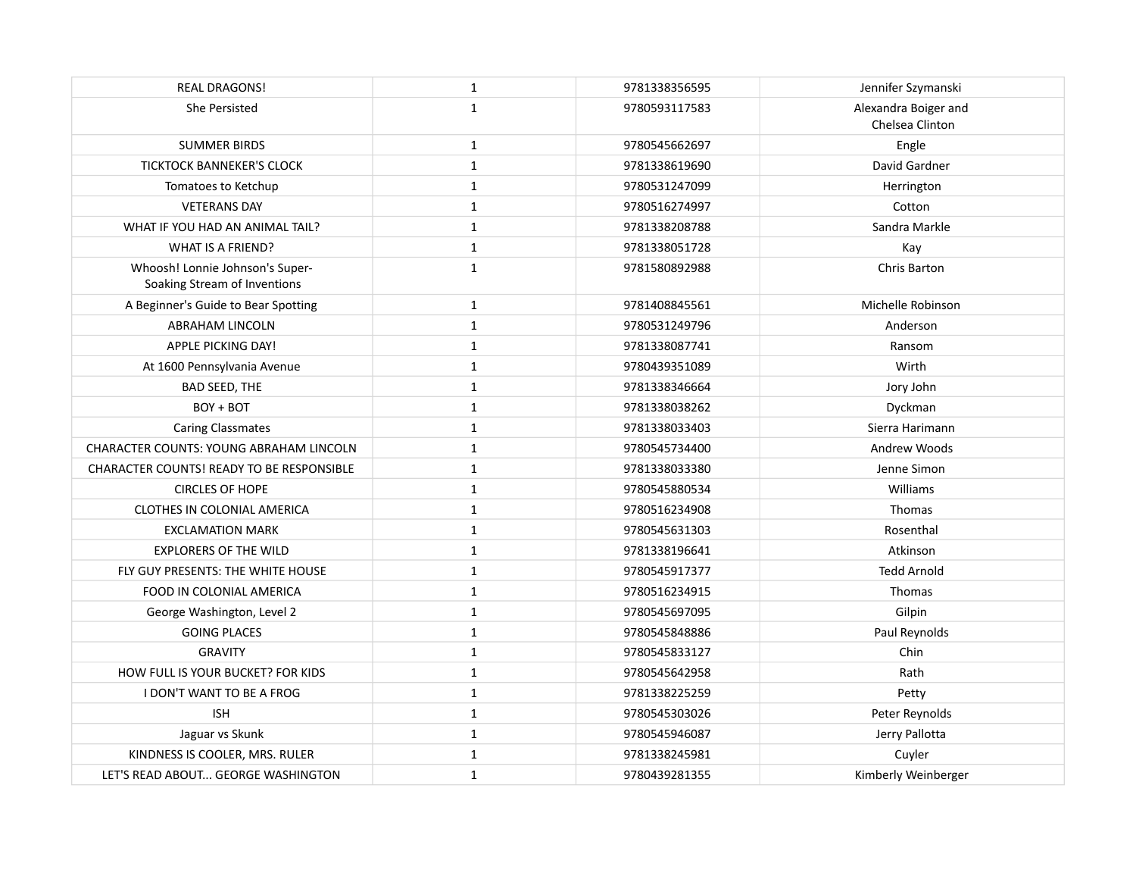| <b>REAL DRAGONS!</b>                                            | $\mathbf{1}$ | 9781338356595 | Jennifer Szymanski                      |
|-----------------------------------------------------------------|--------------|---------------|-----------------------------------------|
| She Persisted                                                   | $\mathbf{1}$ | 9780593117583 | Alexandra Boiger and<br>Chelsea Clinton |
| <b>SUMMER BIRDS</b>                                             | $\mathbf{1}$ | 9780545662697 | Engle                                   |
| <b>TICKTOCK BANNEKER'S CLOCK</b>                                | $\mathbf{1}$ | 9781338619690 | David Gardner                           |
| Tomatoes to Ketchup                                             | $\mathbf{1}$ | 9780531247099 | Herrington                              |
| <b>VETERANS DAY</b>                                             | $\mathbf{1}$ | 9780516274997 | Cotton                                  |
| WHAT IF YOU HAD AN ANIMAL TAIL?                                 | $\mathbf{1}$ | 9781338208788 | Sandra Markle                           |
| <b>WHAT IS A FRIEND?</b>                                        | $\mathbf 1$  | 9781338051728 | Kay                                     |
| Whoosh! Lonnie Johnson's Super-<br>Soaking Stream of Inventions | $\mathbf{1}$ | 9781580892988 | Chris Barton                            |
| A Beginner's Guide to Bear Spotting                             | $\mathbf{1}$ | 9781408845561 | Michelle Robinson                       |
| <b>ABRAHAM LINCOLN</b>                                          | $\mathbf{1}$ | 9780531249796 | Anderson                                |
| APPLE PICKING DAY!                                              | $\mathbf{1}$ | 9781338087741 | Ransom                                  |
| At 1600 Pennsylvania Avenue                                     | $\mathbf{1}$ | 9780439351089 | Wirth                                   |
| <b>BAD SEED, THE</b>                                            | $\mathbf{1}$ | 9781338346664 | Jory John                               |
| BOY + BOT                                                       | $\mathbf{1}$ | 9781338038262 | Dyckman                                 |
| <b>Caring Classmates</b>                                        | $\mathbf{1}$ | 9781338033403 | Sierra Harimann                         |
| <b>CHARACTER COUNTS: YOUNG ABRAHAM LINCOLN</b>                  | $\mathbf{1}$ | 9780545734400 | Andrew Woods                            |
| <b>CHARACTER COUNTS! READY TO BE RESPONSIBLE</b>                | $\mathbf{1}$ | 9781338033380 | Jenne Simon                             |
| <b>CIRCLES OF HOPE</b>                                          | $\mathbf{1}$ | 9780545880534 | Williams                                |
| <b>CLOTHES IN COLONIAL AMERICA</b>                              | $\mathbf{1}$ | 9780516234908 | <b>Thomas</b>                           |
| <b>EXCLAMATION MARK</b>                                         | $\mathbf{1}$ | 9780545631303 | Rosenthal                               |
| <b>EXPLORERS OF THE WILD</b>                                    | $\mathbf{1}$ | 9781338196641 | Atkinson                                |
| FLY GUY PRESENTS: THE WHITE HOUSE                               | $\mathbf{1}$ | 9780545917377 | <b>Tedd Arnold</b>                      |
| FOOD IN COLONIAL AMERICA                                        | $\mathbf{1}$ | 9780516234915 | Thomas                                  |
| George Washington, Level 2                                      | $\mathbf{1}$ | 9780545697095 | Gilpin                                  |
| <b>GOING PLACES</b>                                             | $\mathbf 1$  | 9780545848886 | Paul Reynolds                           |
| <b>GRAVITY</b>                                                  | $\mathbf{1}$ | 9780545833127 | Chin                                    |
| HOW FULL IS YOUR BUCKET? FOR KIDS                               | $\mathbf{1}$ | 9780545642958 | Rath                                    |
| <b>I DON'T WANT TO BE A FROG</b>                                | $\mathbf 1$  | 9781338225259 | Petty                                   |
| <b>ISH</b>                                                      | $\mathbf{1}$ | 9780545303026 | Peter Reynolds                          |
| Jaguar vs Skunk                                                 | $\mathbf{1}$ | 9780545946087 | Jerry Pallotta                          |
| KINDNESS IS COOLER, MRS. RULER                                  | $\mathbf 1$  | 9781338245981 | Cuyler                                  |
| LET'S READ ABOUT GEORGE WASHINGTON                              | $\mathbf{1}$ | 9780439281355 | Kimberly Weinberger                     |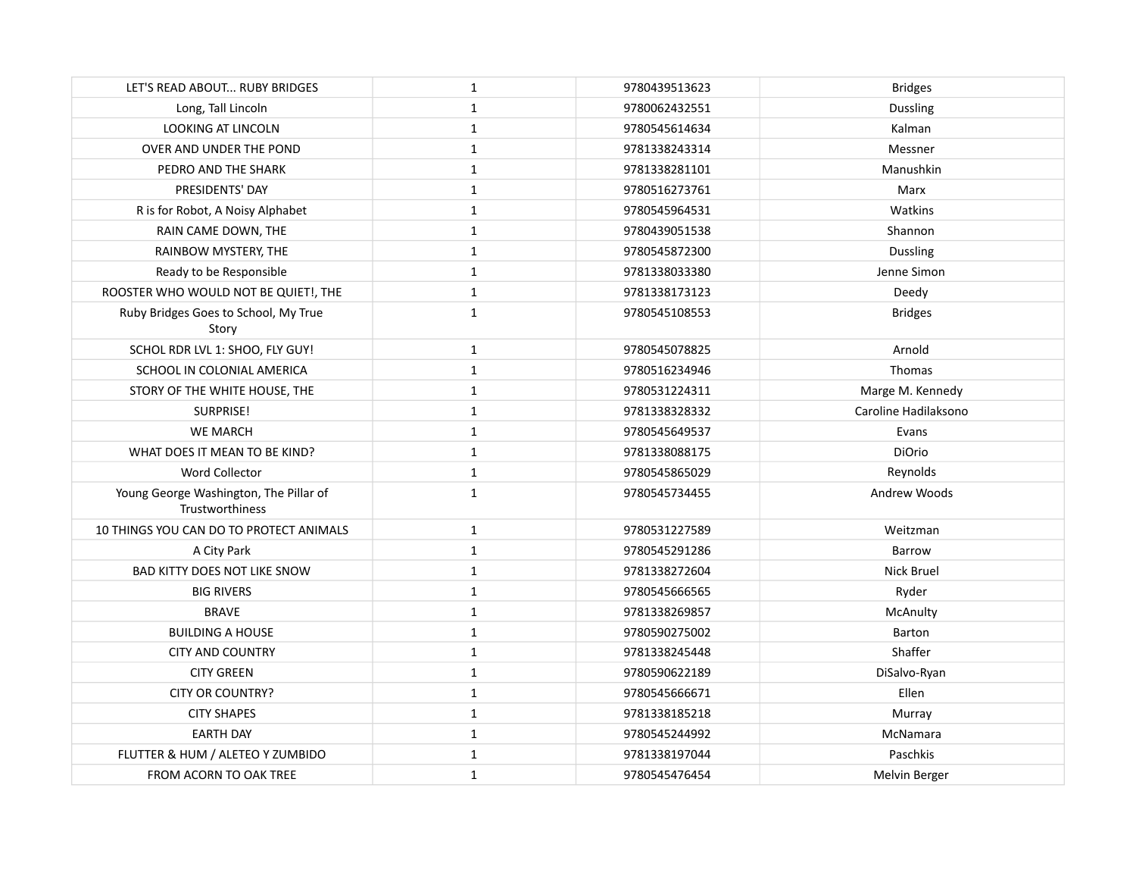| LET'S READ ABOUT RUBY BRIDGES                             | $\mathbf{1}$ | 9780439513623 | <b>Bridges</b>       |
|-----------------------------------------------------------|--------------|---------------|----------------------|
| Long, Tall Lincoln                                        | $\mathbf{1}$ | 9780062432551 | <b>Dussling</b>      |
| LOOKING AT LINCOLN                                        | $\mathbf{1}$ | 9780545614634 | Kalman               |
| OVER AND UNDER THE POND                                   | $\mathbf{1}$ | 9781338243314 | Messner              |
| PEDRO AND THE SHARK                                       | $\mathbf 1$  | 9781338281101 | Manushkin            |
| PRESIDENTS' DAY                                           | $\mathbf{1}$ | 9780516273761 | Marx                 |
| R is for Robot, A Noisy Alphabet                          | $\mathbf{1}$ | 9780545964531 | Watkins              |
| RAIN CAME DOWN, THE                                       | $\mathbf{1}$ | 9780439051538 | Shannon              |
| RAINBOW MYSTERY, THE                                      | $\mathbf{1}$ | 9780545872300 | <b>Dussling</b>      |
| Ready to be Responsible                                   | $\mathbf{1}$ | 9781338033380 | Jenne Simon          |
| ROOSTER WHO WOULD NOT BE QUIET!, THE                      | $\mathbf 1$  | 9781338173123 | Deedy                |
| Ruby Bridges Goes to School, My True<br>Story             | $\mathbf{1}$ | 9780545108553 | <b>Bridges</b>       |
| SCHOL RDR LVL 1: SHOO, FLY GUY!                           | $\mathbf 1$  | 9780545078825 | Arnold               |
| SCHOOL IN COLONIAL AMERICA                                | $\mathbf{1}$ | 9780516234946 | Thomas               |
| STORY OF THE WHITE HOUSE, THE                             | $\mathbf{1}$ | 9780531224311 | Marge M. Kennedy     |
| SURPRISE!                                                 | $\mathbf{1}$ | 9781338328332 | Caroline Hadilaksono |
| <b>WE MARCH</b>                                           | $\mathbf{1}$ | 9780545649537 | Evans                |
| WHAT DOES IT MEAN TO BE KIND?                             | $\mathbf{1}$ | 9781338088175 | DiOrio               |
| Word Collector                                            | $\mathbf{1}$ | 9780545865029 | Reynolds             |
| Young George Washington, The Pillar of<br>Trustworthiness | $\mathbf{1}$ | 9780545734455 | Andrew Woods         |
| 10 THINGS YOU CAN DO TO PROTECT ANIMALS                   | $\mathbf{1}$ | 9780531227589 | Weitzman             |
| A City Park                                               | $\mathbf 1$  | 9780545291286 | Barrow               |
| <b>BAD KITTY DOES NOT LIKE SNOW</b>                       | $\mathbf{1}$ | 9781338272604 | Nick Bruel           |
| <b>BIG RIVERS</b>                                         | $\mathbf{1}$ | 9780545666565 | Ryder                |
| <b>BRAVE</b>                                              | $\mathbf{1}$ | 9781338269857 | McAnulty             |
| <b>BUILDING A HOUSE</b>                                   | $\mathbf{1}$ | 9780590275002 | Barton               |
| <b>CITY AND COUNTRY</b>                                   | $\mathbf{1}$ | 9781338245448 | Shaffer              |
| <b>CITY GREEN</b>                                         | $\mathbf 1$  | 9780590622189 | DiSalvo-Ryan         |
| <b>CITY OR COUNTRY?</b>                                   | $\mathbf{1}$ | 9780545666671 | Ellen                |
| <b>CITY SHAPES</b>                                        | $\mathbf{1}$ | 9781338185218 | Murray               |
| <b>EARTH DAY</b>                                          | $\mathbf{1}$ | 9780545244992 | McNamara             |
| FLUTTER & HUM / ALETEO Y ZUMBIDO                          | $\mathbf{1}$ | 9781338197044 | Paschkis             |
| FROM ACORN TO OAK TREE                                    | $\mathbf{1}$ | 9780545476454 | Melvin Berger        |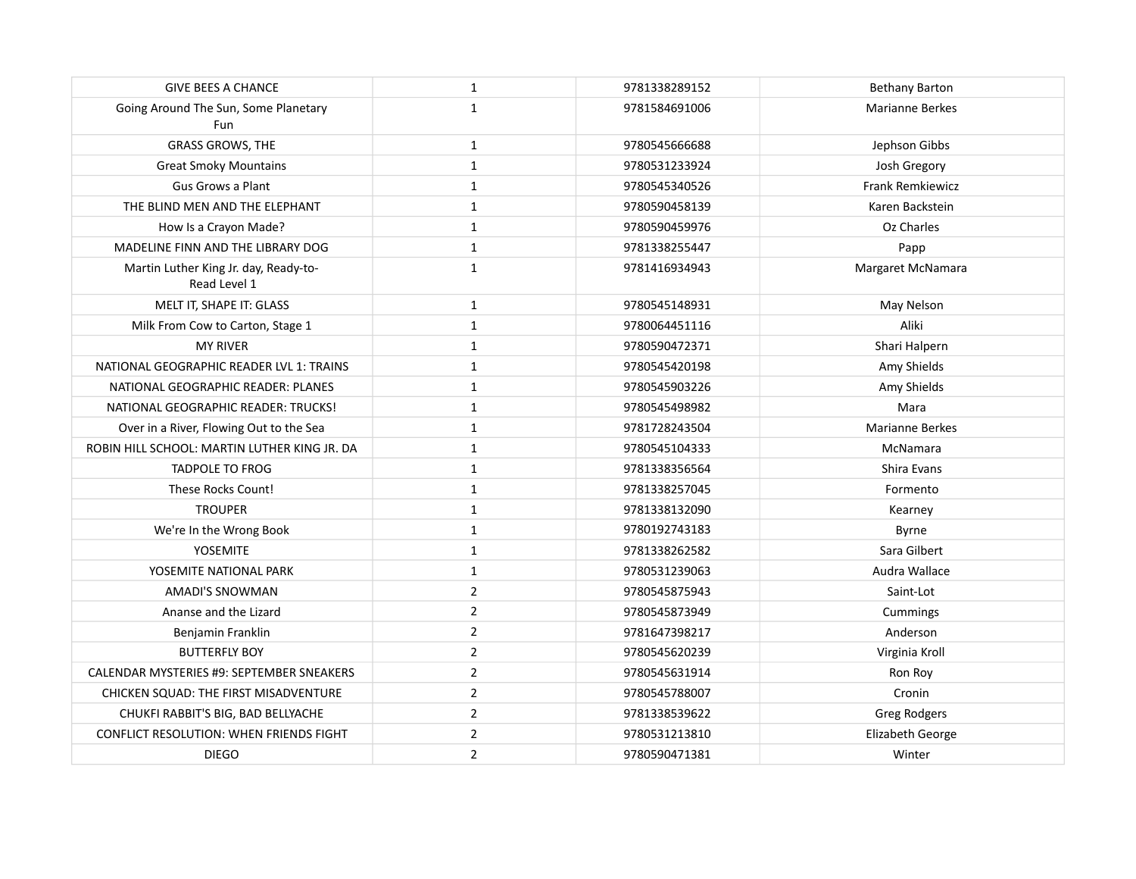| <b>GIVE BEES A CHANCE</b>                             | $\mathbf{1}$   | 9781338289152 | Bethany Barton         |
|-------------------------------------------------------|----------------|---------------|------------------------|
| Going Around The Sun, Some Planetary<br>Fun           | $\mathbf{1}$   | 9781584691006 | <b>Marianne Berkes</b> |
| <b>GRASS GROWS, THE</b>                               | $\mathbf{1}$   | 9780545666688 | Jephson Gibbs          |
| <b>Great Smoky Mountains</b>                          | $\mathbf{1}$   | 9780531233924 | Josh Gregory           |
| Gus Grows a Plant                                     | $\mathbf{1}$   | 9780545340526 | Frank Remkiewicz       |
| THE BLIND MEN AND THE ELEPHANT                        | $\mathbf{1}$   | 9780590458139 | Karen Backstein        |
| How Is a Crayon Made?                                 | $\mathbf{1}$   | 9780590459976 | Oz Charles             |
| MADELINE FINN AND THE LIBRARY DOG                     | $\mathbf{1}$   | 9781338255447 | Papp                   |
| Martin Luther King Jr. day, Ready-to-<br>Read Level 1 | $\mathbf 1$    | 9781416934943 | Margaret McNamara      |
| MELT IT, SHAPE IT: GLASS                              | $\mathbf{1}$   | 9780545148931 | May Nelson             |
| Milk From Cow to Carton, Stage 1                      | $\mathbf{1}$   | 9780064451116 | Aliki                  |
| <b>MY RIVER</b>                                       | $\mathbf{1}$   | 9780590472371 | Shari Halpern          |
| NATIONAL GEOGRAPHIC READER LVL 1: TRAINS              | $\mathbf{1}$   | 9780545420198 | Amy Shields            |
| NATIONAL GEOGRAPHIC READER: PLANES                    | $\mathbf{1}$   | 9780545903226 | Amy Shields            |
| NATIONAL GEOGRAPHIC READER: TRUCKS!                   | $\mathbf{1}$   | 9780545498982 | Mara                   |
| Over in a River, Flowing Out to the Sea               | $\mathbf 1$    | 9781728243504 | Marianne Berkes        |
| ROBIN HILL SCHOOL: MARTIN LUTHER KING JR. DA          | $\mathbf{1}$   | 9780545104333 | McNamara               |
| <b>TADPOLE TO FROG</b>                                | $\mathbf{1}$   | 9781338356564 | Shira Evans            |
| These Rocks Count!                                    | $\mathbf{1}$   | 9781338257045 | Formento               |
| <b>TROUPER</b>                                        | $\mathbf{1}$   | 9781338132090 | Kearney                |
| We're In the Wrong Book                               | $\mathbf{1}$   | 9780192743183 | Byrne                  |
| YOSEMITE                                              | $\mathbf{1}$   | 9781338262582 | Sara Gilbert           |
| YOSEMITE NATIONAL PARK                                | $\mathbf{1}$   | 9780531239063 | Audra Wallace          |
| AMADI'S SNOWMAN                                       | 2              | 9780545875943 | Saint-Lot              |
| Ananse and the Lizard                                 | $\overline{2}$ | 9780545873949 | Cummings               |
| Benjamin Franklin                                     | $\overline{2}$ | 9781647398217 | Anderson               |
| <b>BUTTERFLY BOY</b>                                  | $\overline{2}$ | 9780545620239 | Virginia Kroll         |
| CALENDAR MYSTERIES #9: SEPTEMBER SNEAKERS             | 2              | 9780545631914 | Ron Roy                |
| CHICKEN SQUAD: THE FIRST MISADVENTURE                 | $\overline{2}$ | 9780545788007 | Cronin                 |
| CHUKFI RABBIT'S BIG, BAD BELLYACHE                    | $\overline{2}$ | 9781338539622 | <b>Greg Rodgers</b>    |
| CONFLICT RESOLUTION: WHEN FRIENDS FIGHT               | $\overline{2}$ | 9780531213810 | Elizabeth George       |
| <b>DIEGO</b>                                          | $\overline{2}$ | 9780590471381 | Winter                 |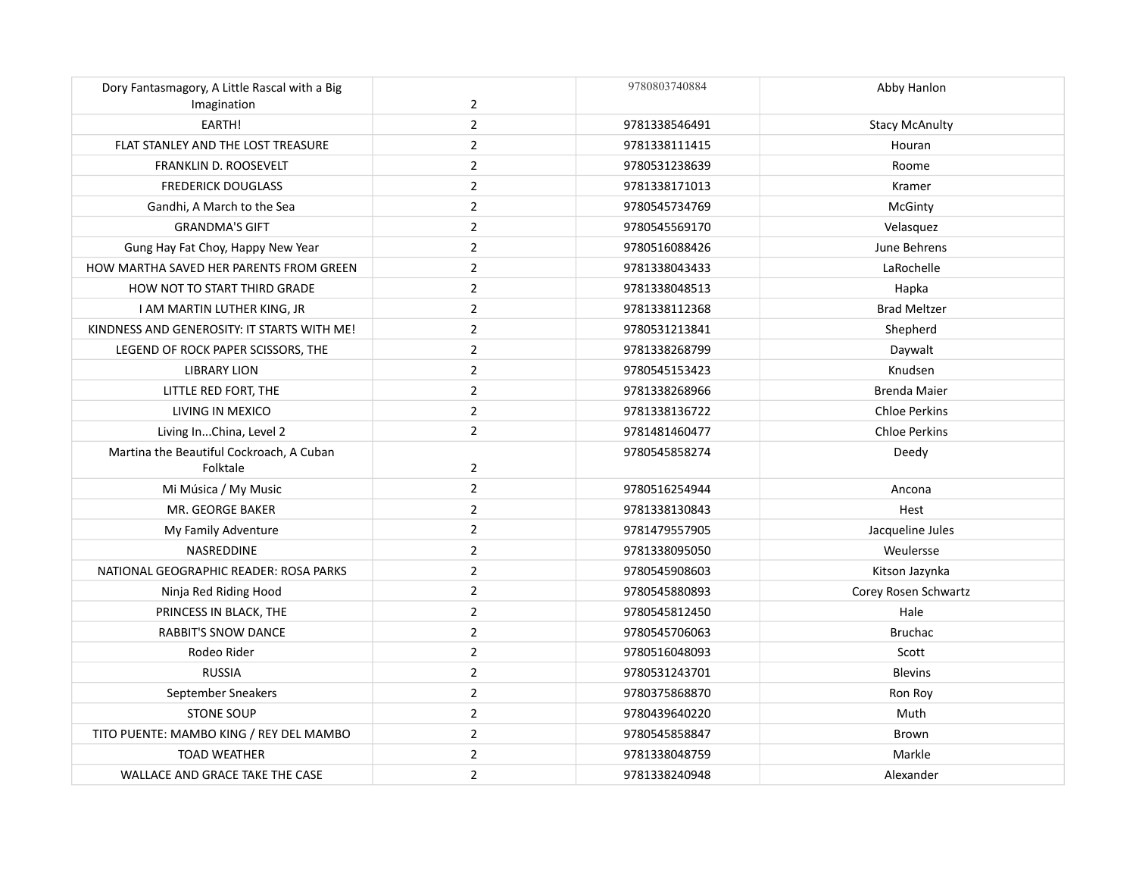| Dory Fantasmagory, A Little Rascal with a Big<br>Imagination | $\overline{2}$ | 9780803740884 | Abby Hanlon           |
|--------------------------------------------------------------|----------------|---------------|-----------------------|
| EARTH!                                                       | $\overline{2}$ | 9781338546491 | <b>Stacy McAnulty</b> |
| FLAT STANLEY AND THE LOST TREASURE                           | $\overline{2}$ | 9781338111415 | Houran                |
| FRANKLIN D. ROOSEVELT                                        | $\overline{2}$ | 9780531238639 | Roome                 |
| <b>FREDERICK DOUGLASS</b>                                    | $\overline{2}$ | 9781338171013 | Kramer                |
| Gandhi, A March to the Sea                                   | $\overline{2}$ | 9780545734769 | McGinty               |
| <b>GRANDMA'S GIFT</b>                                        | $\overline{2}$ | 9780545569170 | Velasquez             |
| Gung Hay Fat Choy, Happy New Year                            | $\overline{2}$ | 9780516088426 | June Behrens          |
| HOW MARTHA SAVED HER PARENTS FROM GREEN                      | $\overline{2}$ | 9781338043433 | LaRochelle            |
| HOW NOT TO START THIRD GRADE                                 | $\overline{2}$ | 9781338048513 | Hapka                 |
| I AM MARTIN LUTHER KING, JR                                  | $\overline{2}$ | 9781338112368 | <b>Brad Meltzer</b>   |
| KINDNESS AND GENEROSITY: IT STARTS WITH ME!                  | $\overline{2}$ | 9780531213841 | Shepherd              |
| LEGEND OF ROCK PAPER SCISSORS, THE                           | $\overline{2}$ | 9781338268799 | Daywalt               |
| <b>LIBRARY LION</b>                                          | $\overline{2}$ | 9780545153423 | Knudsen               |
| LITTLE RED FORT, THE                                         | $\overline{2}$ | 9781338268966 | <b>Brenda Maier</b>   |
| LIVING IN MEXICO                                             | $\overline{2}$ | 9781338136722 | <b>Chloe Perkins</b>  |
| Living InChina, Level 2                                      | $\overline{2}$ | 9781481460477 | <b>Chloe Perkins</b>  |
| Martina the Beautiful Cockroach, A Cuban                     |                | 9780545858274 | Deedy                 |
| Folktale                                                     | $\overline{2}$ |               |                       |
| Mi Música / My Music                                         | $\overline{2}$ | 9780516254944 | Ancona                |
| MR. GEORGE BAKER                                             | $\overline{2}$ | 9781338130843 | Hest                  |
| My Family Adventure                                          | $\overline{2}$ | 9781479557905 | Jacqueline Jules      |
| NASREDDINE                                                   | $\overline{2}$ | 9781338095050 | Weulersse             |
| NATIONAL GEOGRAPHIC READER: ROSA PARKS                       | $\overline{2}$ | 9780545908603 | Kitson Jazynka        |
| Ninja Red Riding Hood                                        | $\overline{2}$ | 9780545880893 | Corey Rosen Schwartz  |
| PRINCESS IN BLACK, THE                                       | $\overline{2}$ | 9780545812450 | Hale                  |
| <b>RABBIT'S SNOW DANCE</b>                                   | $\overline{2}$ | 9780545706063 | <b>Bruchac</b>        |
| Rodeo Rider                                                  | $\overline{2}$ | 9780516048093 | Scott                 |
| <b>RUSSIA</b>                                                | $\overline{2}$ | 9780531243701 | <b>Blevins</b>        |
| September Sneakers                                           | $\overline{2}$ | 9780375868870 | Ron Roy               |
| <b>STONE SOUP</b>                                            | $\overline{2}$ | 9780439640220 | Muth                  |
| TITO PUENTE: MAMBO KING / REY DEL MAMBO                      | $\overline{2}$ | 9780545858847 | Brown                 |
| <b>TOAD WEATHER</b>                                          | $\overline{2}$ | 9781338048759 | Markle                |
| WALLACE AND GRACE TAKE THE CASE                              | $\overline{2}$ | 9781338240948 | Alexander             |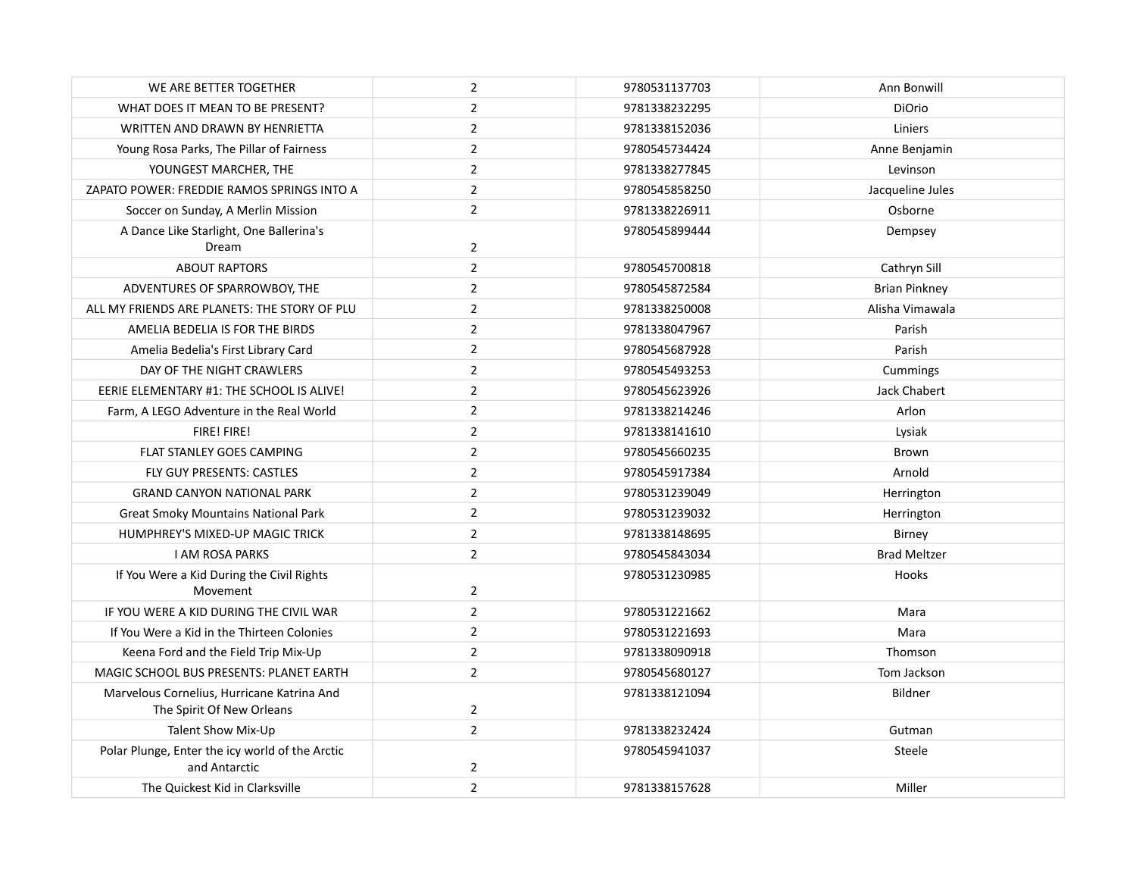| WE ARE BETTER TOGETHER                                                  | $\overline{2}$ | 9780531137703 | Ann Bonwill          |
|-------------------------------------------------------------------------|----------------|---------------|----------------------|
| WHAT DOES IT MEAN TO BE PRESENT?                                        | $\overline{2}$ | 9781338232295 | <b>DiOrio</b>        |
| WRITTEN AND DRAWN BY HENRIETTA                                          | $\overline{2}$ | 9781338152036 | Liniers              |
| Young Rosa Parks, The Pillar of Fairness                                | $\overline{2}$ | 9780545734424 | Anne Benjamin        |
| YOUNGEST MARCHER, THE                                                   | $\overline{2}$ | 9781338277845 | Levinson             |
| ZAPATO POWER: FREDDIE RAMOS SPRINGS INTO A                              | $\overline{2}$ | 9780545858250 | Jacqueline Jules     |
| Soccer on Sunday, A Merlin Mission                                      | $\overline{2}$ | 9781338226911 | Osborne              |
| A Dance Like Starlight, One Ballerina's<br>Dream                        | $\overline{2}$ | 9780545899444 | Dempsey              |
| <b>ABOUT RAPTORS</b>                                                    | $\overline{2}$ | 9780545700818 | Cathryn Sill         |
| ADVENTURES OF SPARROWBOY, THE                                           | $\overline{2}$ | 9780545872584 | <b>Brian Pinkney</b> |
| ALL MY FRIENDS ARE PLANETS: THE STORY OF PLU                            | $\overline{2}$ | 9781338250008 | Alisha Vimawala      |
| AMELIA BEDELIA IS FOR THE BIRDS                                         | $\overline{2}$ | 9781338047967 | Parish               |
| Amelia Bedelia's First Library Card                                     | $\overline{2}$ | 9780545687928 | Parish               |
| DAY OF THE NIGHT CRAWLERS                                               | $\overline{2}$ | 9780545493253 | Cummings             |
| EERIE ELEMENTARY #1: THE SCHOOL IS ALIVE!                               | $\overline{2}$ | 9780545623926 | Jack Chabert         |
| Farm, A LEGO Adventure in the Real World                                | $\overline{2}$ | 9781338214246 | Arlon                |
| FIRE! FIRE!                                                             | $\overline{2}$ | 9781338141610 | Lysiak               |
| FLAT STANLEY GOES CAMPING                                               | $\overline{2}$ | 9780545660235 | Brown                |
| FLY GUY PRESENTS: CASTLES                                               | $\overline{2}$ | 9780545917384 | Arnold               |
| <b>GRAND CANYON NATIONAL PARK</b>                                       | $\overline{2}$ | 9780531239049 | Herrington           |
| <b>Great Smoky Mountains National Park</b>                              | $\overline{2}$ | 9780531239032 | Herrington           |
| HUMPHREY'S MIXED-UP MAGIC TRICK                                         | $\overline{2}$ | 9781338148695 | Birney               |
| <b>I AM ROSA PARKS</b>                                                  | $\overline{2}$ | 9780545843034 | <b>Brad Meltzer</b>  |
| If You Were a Kid During the Civil Rights<br>Movement                   | $\overline{2}$ | 9780531230985 | Hooks                |
| IF YOU WERE A KID DURING THE CIVIL WAR                                  | $\overline{2}$ | 9780531221662 | Mara                 |
| If You Were a Kid in the Thirteen Colonies                              | $\overline{2}$ | 9780531221693 | Mara                 |
| Keena Ford and the Field Trip Mix-Up                                    | $\overline{2}$ | 9781338090918 | Thomson              |
| MAGIC SCHOOL BUS PRESENTS: PLANET EARTH                                 | $\overline{2}$ | 9780545680127 | Tom Jackson          |
| Marvelous Cornelius, Hurricane Katrina And<br>The Spirit Of New Orleans | $\overline{2}$ | 9781338121094 | Bildner              |
| Talent Show Mix-Up                                                      | $\overline{2}$ | 9781338232424 | Gutman               |
| Polar Plunge, Enter the icy world of the Arctic<br>and Antarctic        | 2              | 9780545941037 | Steele               |
| The Quickest Kid in Clarksville                                         | $\overline{2}$ | 9781338157628 | Miller               |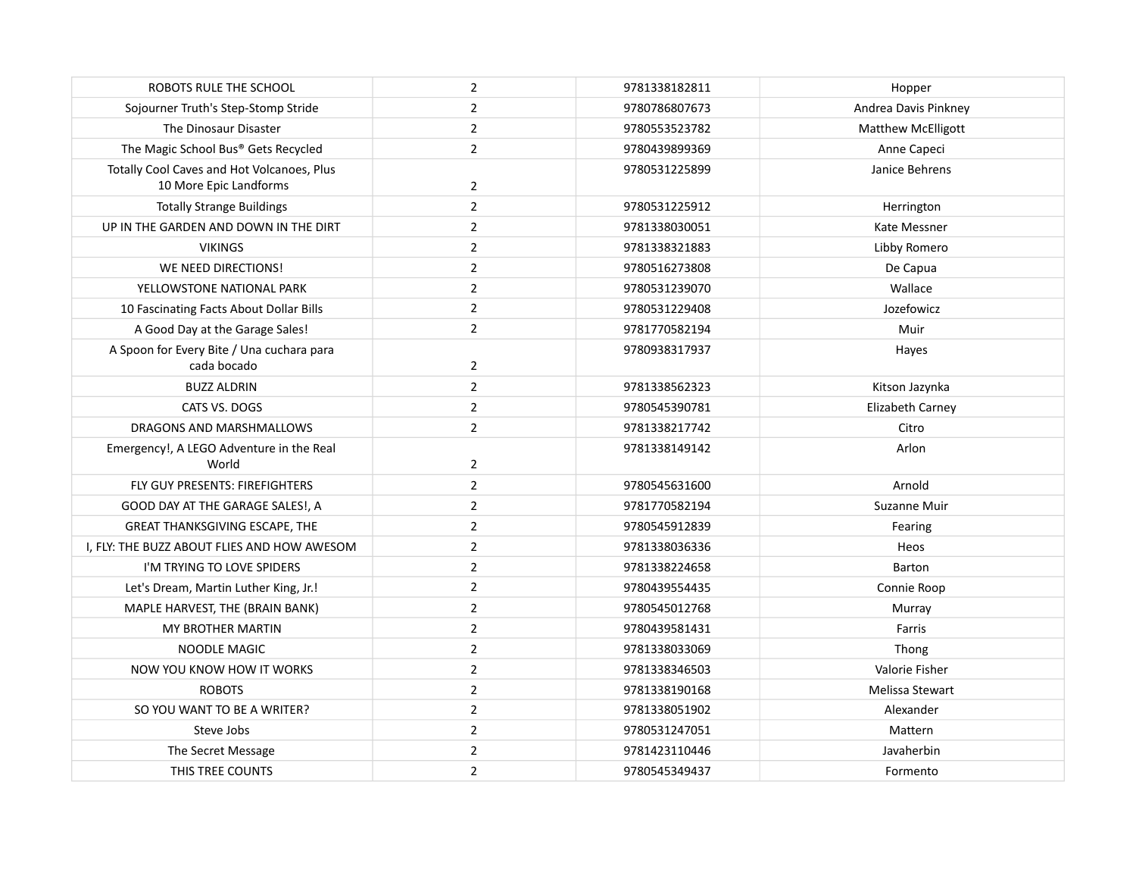| ROBOTS RULE THE SCHOOL                                               | $\overline{2}$ | 9781338182811 | Hopper                    |
|----------------------------------------------------------------------|----------------|---------------|---------------------------|
| Sojourner Truth's Step-Stomp Stride                                  | $\overline{2}$ | 9780786807673 | Andrea Davis Pinkney      |
| The Dinosaur Disaster                                                | $\overline{2}$ | 9780553523782 | <b>Matthew McElligott</b> |
| The Magic School Bus® Gets Recycled                                  | $\overline{2}$ | 9780439899369 | Anne Capeci               |
| Totally Cool Caves and Hot Volcanoes, Plus<br>10 More Epic Landforms | 2              | 9780531225899 | Janice Behrens            |
| <b>Totally Strange Buildings</b>                                     | $\overline{2}$ | 9780531225912 | Herrington                |
| UP IN THE GARDEN AND DOWN IN THE DIRT                                | $\overline{2}$ | 9781338030051 | Kate Messner              |
| <b>VIKINGS</b>                                                       | $\overline{2}$ | 9781338321883 | Libby Romero              |
| WE NEED DIRECTIONS!                                                  | $\overline{2}$ | 9780516273808 | De Capua                  |
| YELLOWSTONE NATIONAL PARK                                            | $\overline{2}$ | 9780531239070 | Wallace                   |
| 10 Fascinating Facts About Dollar Bills                              | $\overline{2}$ | 9780531229408 | Jozefowicz                |
| A Good Day at the Garage Sales!                                      | $\overline{2}$ | 9781770582194 | Muir                      |
| A Spoon for Every Bite / Una cuchara para<br>cada bocado             | 2              | 9780938317937 | Hayes                     |
| <b>BUZZ ALDRIN</b>                                                   | $\overline{2}$ | 9781338562323 | Kitson Jazynka            |
| CATS VS. DOGS                                                        | $\overline{2}$ | 9780545390781 | Elizabeth Carney          |
| DRAGONS AND MARSHMALLOWS                                             | $\overline{2}$ | 9781338217742 | Citro                     |
| Emergency!, A LEGO Adventure in the Real<br>World                    | $\overline{2}$ | 9781338149142 | Arlon                     |
| FLY GUY PRESENTS: FIREFIGHTERS                                       | $\overline{2}$ | 9780545631600 | Arnold                    |
| GOOD DAY AT THE GARAGE SALES!, A                                     | $\overline{2}$ | 9781770582194 | Suzanne Muir              |
| <b>GREAT THANKSGIVING ESCAPE, THE</b>                                | $\overline{2}$ | 9780545912839 | Fearing                   |
| I, FLY: THE BUZZ ABOUT FLIES AND HOW AWESOM                          | $\overline{2}$ | 9781338036336 | Heos                      |
| I'M TRYING TO LOVE SPIDERS                                           | $\overline{2}$ | 9781338224658 | Barton                    |
| Let's Dream, Martin Luther King, Jr.!                                | $\overline{2}$ | 9780439554435 | Connie Roop               |
| MAPLE HARVEST, THE (BRAIN BANK)                                      | $\overline{2}$ | 9780545012768 | Murray                    |
| MY BROTHER MARTIN                                                    | $\mathbf 2$    | 9780439581431 | Farris                    |
| <b>NOODLE MAGIC</b>                                                  | $\overline{2}$ | 9781338033069 | Thong                     |
| NOW YOU KNOW HOW IT WORKS                                            | $\overline{2}$ | 9781338346503 | Valorie Fisher            |
| <b>ROBOTS</b>                                                        | $\overline{2}$ | 9781338190168 | Melissa Stewart           |
| SO YOU WANT TO BE A WRITER?                                          | $\overline{2}$ | 9781338051902 | Alexander                 |
| Steve Jobs                                                           | $\overline{2}$ | 9780531247051 | Mattern                   |
| The Secret Message                                                   | $\overline{2}$ | 9781423110446 | Javaherbin                |
| THIS TREE COUNTS                                                     | $\overline{2}$ | 9780545349437 | Formento                  |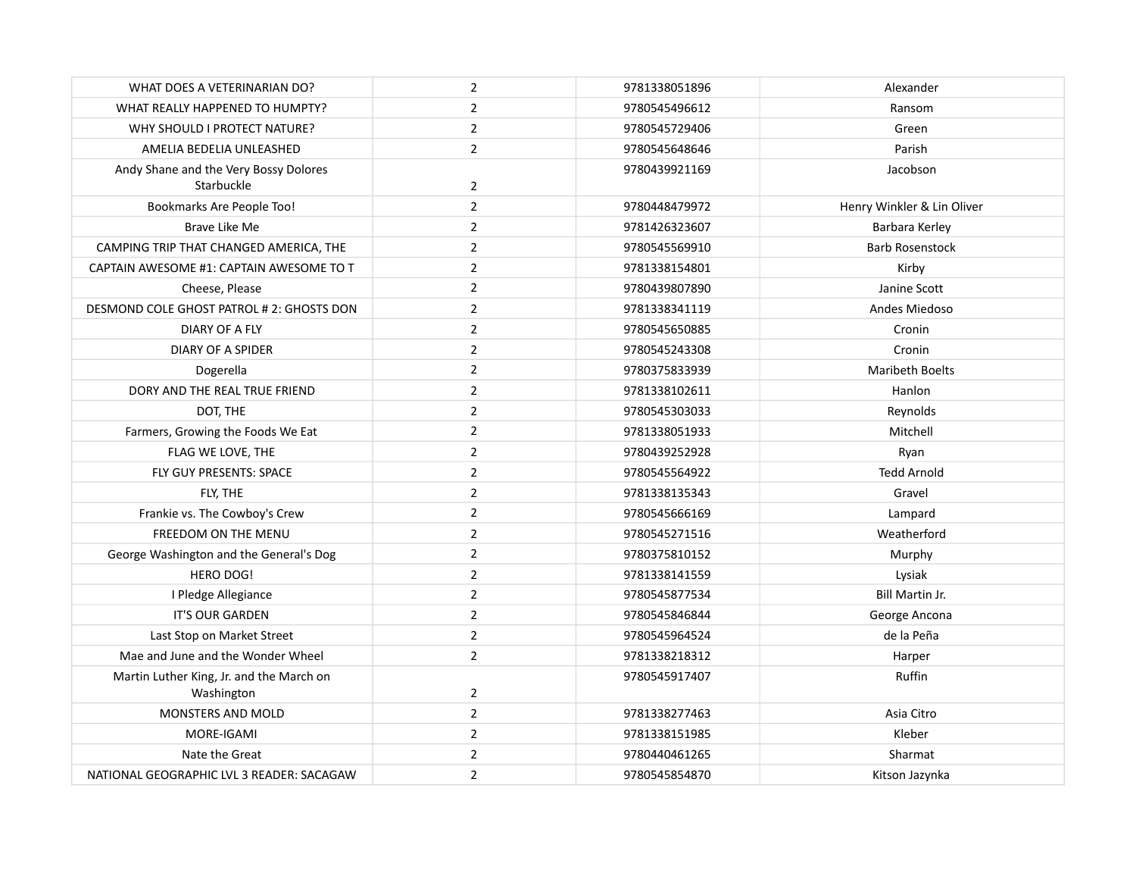| WHAT DOES A VETERINARIAN DO?                           | $\overline{2}$ | 9781338051896 | Alexander                  |
|--------------------------------------------------------|----------------|---------------|----------------------------|
| WHAT REALLY HAPPENED TO HUMPTY?                        | $\overline{2}$ | 9780545496612 | Ransom                     |
| WHY SHOULD I PROTECT NATURE?                           | $\overline{2}$ | 9780545729406 | Green                      |
| AMELIA BEDELIA UNLEASHED                               | $\overline{2}$ | 9780545648646 | Parish                     |
| Andy Shane and the Very Bossy Dolores<br>Starbuckle    | $\overline{2}$ | 9780439921169 | Jacobson                   |
| Bookmarks Are People Too!                              | $\overline{2}$ | 9780448479972 | Henry Winkler & Lin Oliver |
| Brave Like Me                                          | $\overline{2}$ | 9781426323607 | Barbara Kerley             |
| CAMPING TRIP THAT CHANGED AMERICA, THE                 | $\overline{2}$ | 9780545569910 | <b>Barb Rosenstock</b>     |
| CAPTAIN AWESOME #1: CAPTAIN AWESOME TO T               | $\overline{2}$ | 9781338154801 | Kirby                      |
| Cheese, Please                                         | $\overline{2}$ | 9780439807890 | Janine Scott               |
| DESMOND COLE GHOST PATROL # 2: GHOSTS DON              | $\overline{2}$ | 9781338341119 | Andes Miedoso              |
| DIARY OF A FLY                                         | $\overline{2}$ | 9780545650885 | Cronin                     |
| <b>DIARY OF A SPIDER</b>                               | $\overline{2}$ | 9780545243308 | Cronin                     |
| Dogerella                                              | $\overline{2}$ | 9780375833939 | <b>Maribeth Boelts</b>     |
| DORY AND THE REAL TRUE FRIEND                          | $\overline{2}$ | 9781338102611 | Hanlon                     |
| DOT, THE                                               | $\overline{2}$ | 9780545303033 | Reynolds                   |
| Farmers, Growing the Foods We Eat                      | $\overline{2}$ | 9781338051933 | Mitchell                   |
| FLAG WE LOVE, THE                                      | $\overline{2}$ | 9780439252928 | Ryan                       |
| FLY GUY PRESENTS: SPACE                                | $\overline{2}$ | 9780545564922 | <b>Tedd Arnold</b>         |
| FLY, THE                                               | $\overline{2}$ | 9781338135343 | Gravel                     |
| Frankie vs. The Cowboy's Crew                          | $\overline{2}$ | 9780545666169 | Lampard                    |
| FREEDOM ON THE MENU                                    | $\overline{2}$ | 9780545271516 | Weatherford                |
| George Washington and the General's Dog                | $\overline{2}$ | 9780375810152 | Murphy                     |
| HERO DOG!                                              | $\overline{2}$ | 9781338141559 | Lysiak                     |
| I Pledge Allegiance                                    | $\overline{2}$ | 9780545877534 | <b>Bill Martin Jr.</b>     |
| <b>IT'S OUR GARDEN</b>                                 | $\overline{2}$ | 9780545846844 | George Ancona              |
| Last Stop on Market Street                             | $\overline{2}$ | 9780545964524 | de la Peña                 |
| Mae and June and the Wonder Wheel                      | $\mathbf 2$    | 9781338218312 | Harper                     |
| Martin Luther King, Jr. and the March on<br>Washington | $\overline{2}$ | 9780545917407 | Ruffin                     |
| MONSTERS AND MOLD                                      | $\overline{2}$ | 9781338277463 | Asia Citro                 |
| MORE-IGAMI                                             | $\overline{2}$ | 9781338151985 | Kleber                     |
| Nate the Great                                         | $\overline{2}$ | 9780440461265 | Sharmat                    |
| NATIONAL GEOGRAPHIC LVL 3 READER: SACAGAW              | $\overline{2}$ | 9780545854870 | Kitson Jazynka             |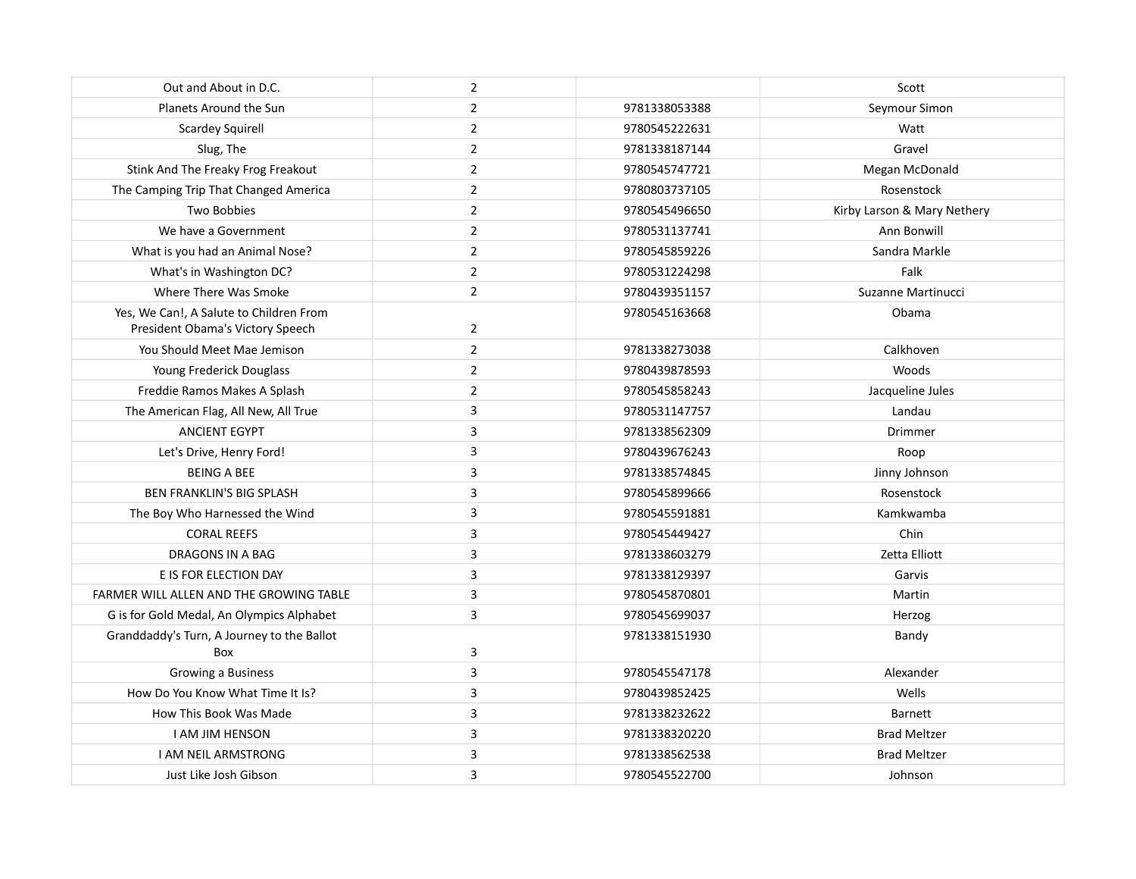| Out and About in D.C.                                                       | $\overline{2}$ |               | Scott                       |
|-----------------------------------------------------------------------------|----------------|---------------|-----------------------------|
| Planets Around the Sun                                                      | $\overline{2}$ | 9781338053388 | Seymour Simon               |
| <b>Scardey Squirell</b>                                                     | $\overline{2}$ | 9780545222631 | Watt                        |
| Slug, The                                                                   | $\overline{2}$ | 9781338187144 | Gravel                      |
| Stink And The Freaky Frog Freakout                                          | $\overline{2}$ | 9780545747721 | Megan McDonald              |
| The Camping Trip That Changed America                                       | $\overline{2}$ | 9780803737105 | Rosenstock                  |
| Two Bobbies                                                                 | $\overline{2}$ | 9780545496650 | Kirby Larson & Mary Nethery |
| We have a Government                                                        | $\mathbf 2$    | 9780531137741 | Ann Bonwill                 |
| What is you had an Animal Nose?                                             | $\overline{2}$ | 9780545859226 | Sandra Markle               |
| What's in Washington DC?                                                    | $\overline{2}$ | 9780531224298 | Falk                        |
| Where There Was Smoke                                                       | $\overline{2}$ | 9780439351157 | Suzanne Martinucci          |
| Yes, We Can!, A Salute to Children From<br>President Obama's Victory Speech | $\overline{2}$ | 9780545163668 | Obama                       |
| You Should Meet Mae Jemison                                                 | $\overline{2}$ | 9781338273038 | Calkhoven                   |
| Young Frederick Douglass                                                    | $\overline{2}$ | 9780439878593 | Woods                       |
| Freddie Ramos Makes A Splash                                                | $\overline{2}$ | 9780545858243 | Jacqueline Jules            |
| The American Flag, All New, All True                                        | 3              | 9780531147757 | Landau                      |
| <b>ANCIENT EGYPT</b>                                                        | 3              | 9781338562309 | Drimmer                     |
| Let's Drive, Henry Ford!                                                    | $\mathsf 3$    | 9780439676243 | Roop                        |
| <b>BEING A BEE</b>                                                          | 3              | 9781338574845 | Jinny Johnson               |
| <b>BEN FRANKLIN'S BIG SPLASH</b>                                            | 3              | 9780545899666 | Rosenstock                  |
| The Boy Who Harnessed the Wind                                              | $\mathsf 3$    | 9780545591881 | Kamkwamba                   |
| <b>CORAL REEFS</b>                                                          | 3              | 9780545449427 | Chin                        |
| DRAGONS IN A BAG                                                            | 3              | 9781338603279 | Zetta Elliott               |
| E IS FOR ELECTION DAY                                                       | 3              | 9781338129397 | Garvis                      |
| FARMER WILL ALLEN AND THE GROWING TABLE                                     | 3              | 9780545870801 | Martin                      |
| G is for Gold Medal, An Olympics Alphabet                                   | 3              | 9780545699037 | Herzog                      |
| Granddaddy's Turn, A Journey to the Ballot<br>Box                           | 3              | 9781338151930 | Bandy                       |
| Growing a Business                                                          | 3              | 9780545547178 | Alexander                   |
| How Do You Know What Time It Is?                                            | 3              | 9780439852425 | Wells                       |
| How This Book Was Made                                                      | 3              | 9781338232622 | <b>Barnett</b>              |
| <b>I AM JIM HENSON</b>                                                      | 3              | 9781338320220 | <b>Brad Meltzer</b>         |
| <b>I AM NEIL ARMSTRONG</b>                                                  | 3              | 9781338562538 | <b>Brad Meltzer</b>         |
| Just Like Josh Gibson                                                       | 3              | 9780545522700 | Johnson                     |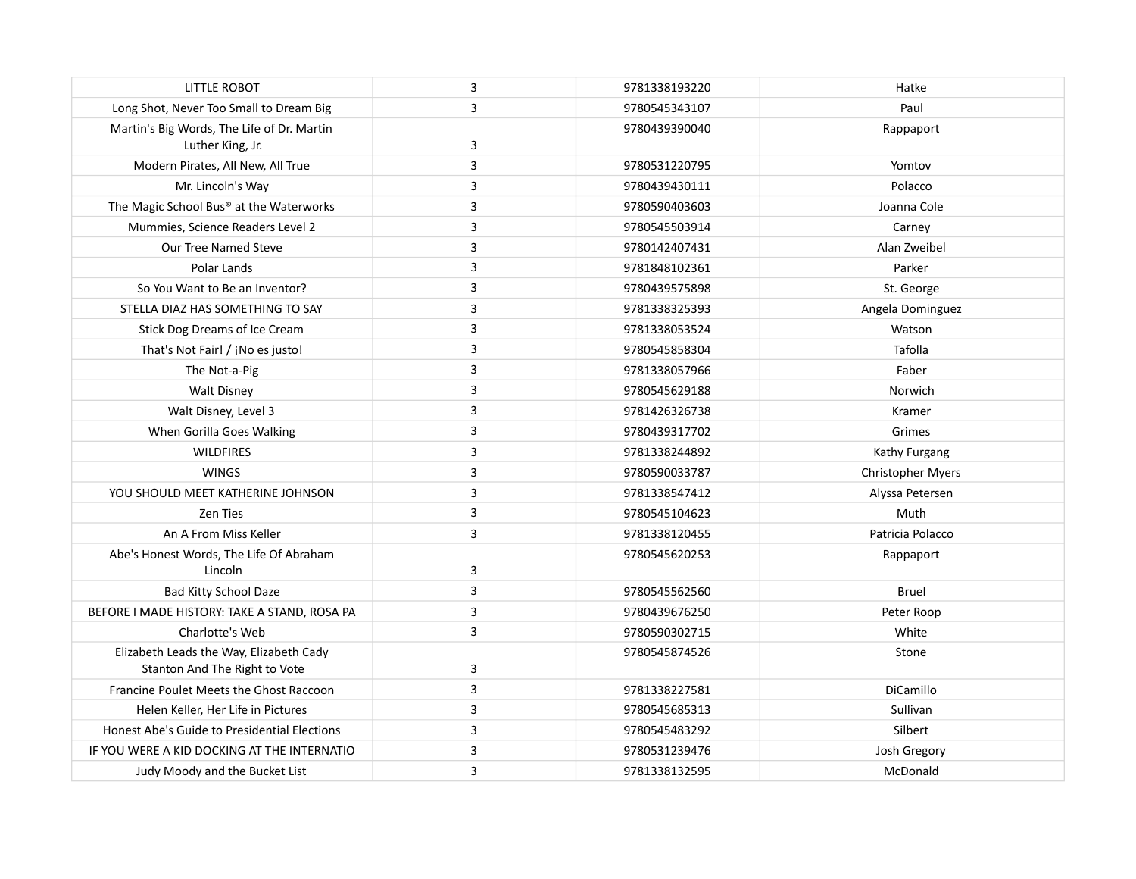| <b>LITTLE ROBOT</b>                          | 3           | 9781338193220 | Hatke                    |
|----------------------------------------------|-------------|---------------|--------------------------|
| Long Shot, Never Too Small to Dream Big      | 3           | 9780545343107 | Paul                     |
| Martin's Big Words, The Life of Dr. Martin   |             | 9780439390040 | Rappaport                |
| Luther King, Jr.                             | 3           |               |                          |
| Modern Pirates, All New, All True            | 3           | 9780531220795 | Yomtov                   |
| Mr. Lincoln's Way                            | 3           | 9780439430111 | Polacco                  |
| The Magic School Bus® at the Waterworks      | 3           | 9780590403603 | Joanna Cole              |
| Mummies, Science Readers Level 2             | 3           | 9780545503914 | Carney                   |
| Our Tree Named Steve                         | 3           | 9780142407431 | Alan Zweibel             |
| Polar Lands                                  | 3           | 9781848102361 | Parker                   |
| So You Want to Be an Inventor?               | 3           | 9780439575898 | St. George               |
| STELLA DIAZ HAS SOMETHING TO SAY             | 3           | 9781338325393 | Angela Dominguez         |
| Stick Dog Dreams of Ice Cream                | 3           | 9781338053524 | Watson                   |
| That's Not Fair! / ¡No es justo!             | 3           | 9780545858304 | Tafolla                  |
| The Not-a-Pig                                | 3           | 9781338057966 | Faber                    |
| <b>Walt Disney</b>                           | 3           | 9780545629188 | Norwich                  |
| Walt Disney, Level 3                         | 3           | 9781426326738 | Kramer                   |
| When Gorilla Goes Walking                    | 3           | 9780439317702 | Grimes                   |
| <b>WILDFIRES</b>                             | $\mathsf 3$ | 9781338244892 | Kathy Furgang            |
| <b>WINGS</b>                                 | 3           | 9780590033787 | <b>Christopher Myers</b> |
| YOU SHOULD MEET KATHERINE JOHNSON            | 3           | 9781338547412 | Alyssa Petersen          |
| Zen Ties                                     | 3           | 9780545104623 | Muth                     |
| An A From Miss Keller                        | 3           | 9781338120455 | Patricia Polacco         |
| Abe's Honest Words, The Life Of Abraham      |             | 9780545620253 | Rappaport                |
| Lincoln                                      | 3           |               |                          |
| <b>Bad Kitty School Daze</b>                 | 3           | 9780545562560 | Bruel                    |
| BEFORE I MADE HISTORY: TAKE A STAND, ROSA PA | 3           | 9780439676250 | Peter Roop               |
| Charlotte's Web                              | 3           | 9780590302715 | White                    |
| Elizabeth Leads the Way, Elizabeth Cady      |             | 9780545874526 | Stone                    |
| Stanton And The Right to Vote                | 3           |               |                          |
| Francine Poulet Meets the Ghost Raccoon      | 3           | 9781338227581 | DiCamillo                |
| Helen Keller, Her Life in Pictures           | 3           | 9780545685313 | Sullivan                 |
| Honest Abe's Guide to Presidential Elections | 3           | 9780545483292 | Silbert                  |
| IF YOU WERE A KID DOCKING AT THE INTERNATIO  | 3           | 9780531239476 | Josh Gregory             |
| Judy Moody and the Bucket List               | $\mathsf 3$ | 9781338132595 | McDonald                 |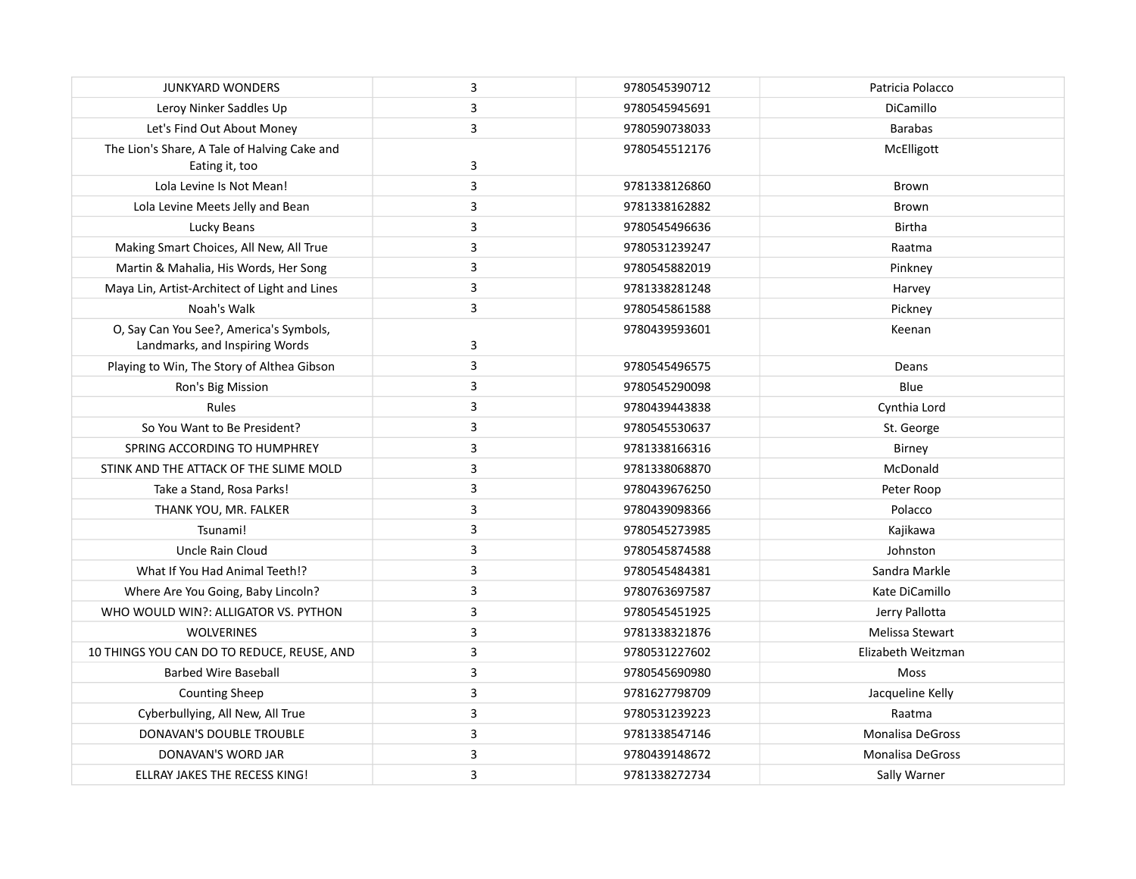| <b>JUNKYARD WONDERS</b>                       | 3 | 9780545390712 | Patricia Polacco        |
|-----------------------------------------------|---|---------------|-------------------------|
| Leroy Ninker Saddles Up                       | 3 | 9780545945691 | DiCamillo               |
| Let's Find Out About Money                    | 3 | 9780590738033 | <b>Barabas</b>          |
| The Lion's Share, A Tale of Halving Cake and  |   | 9780545512176 | McElligott              |
| Eating it, too                                | 3 |               |                         |
| Lola Levine Is Not Mean!                      | 3 | 9781338126860 | Brown                   |
| Lola Levine Meets Jelly and Bean              | 3 | 9781338162882 | Brown                   |
| Lucky Beans                                   | 3 | 9780545496636 | Birtha                  |
| Making Smart Choices, All New, All True       | 3 | 9780531239247 | Raatma                  |
| Martin & Mahalia, His Words, Her Song         | 3 | 9780545882019 | Pinkney                 |
| Maya Lin, Artist-Architect of Light and Lines | 3 | 9781338281248 | Harvey                  |
| Noah's Walk                                   | 3 | 9780545861588 | Pickney                 |
| O, Say Can You See?, America's Symbols,       |   | 9780439593601 | Keenan                  |
| Landmarks, and Inspiring Words                | 3 |               |                         |
| Playing to Win, The Story of Althea Gibson    | 3 | 9780545496575 | Deans                   |
| Ron's Big Mission                             | 3 | 9780545290098 | Blue                    |
| Rules                                         | 3 | 9780439443838 | Cynthia Lord            |
| So You Want to Be President?                  | 3 | 9780545530637 | St. George              |
| SPRING ACCORDING TO HUMPHREY                  | 3 | 9781338166316 | Birney                  |
| STINK AND THE ATTACK OF THE SLIME MOLD        | 3 | 9781338068870 | McDonald                |
| Take a Stand, Rosa Parks!                     | 3 | 9780439676250 | Peter Roop              |
| THANK YOU, MR. FALKER                         | 3 | 9780439098366 | Polacco                 |
| Tsunami!                                      | 3 | 9780545273985 | Kajikawa                |
| Uncle Rain Cloud                              | 3 | 9780545874588 | Johnston                |
| What If You Had Animal Teeth!?                | 3 | 9780545484381 | Sandra Markle           |
| Where Are You Going, Baby Lincoln?            | 3 | 9780763697587 | Kate DiCamillo          |
| WHO WOULD WIN?: ALLIGATOR VS. PYTHON          | 3 | 9780545451925 | Jerry Pallotta          |
| <b>WOLVERINES</b>                             | 3 | 9781338321876 | Melissa Stewart         |
| 10 THINGS YOU CAN DO TO REDUCE, REUSE, AND    | 3 | 9780531227602 | Elizabeth Weitzman      |
| <b>Barbed Wire Baseball</b>                   | 3 | 9780545690980 | Moss                    |
| <b>Counting Sheep</b>                         | 3 | 9781627798709 | Jacqueline Kelly        |
| Cyberbullying, All New, All True              | 3 | 9780531239223 | Raatma                  |
| DONAVAN'S DOUBLE TROUBLE                      | 3 | 9781338547146 | <b>Monalisa DeGross</b> |
| DONAVAN'S WORD JAR                            | 3 | 9780439148672 | <b>Monalisa DeGross</b> |
| ELLRAY JAKES THE RECESS KING!                 | 3 | 9781338272734 | Sally Warner            |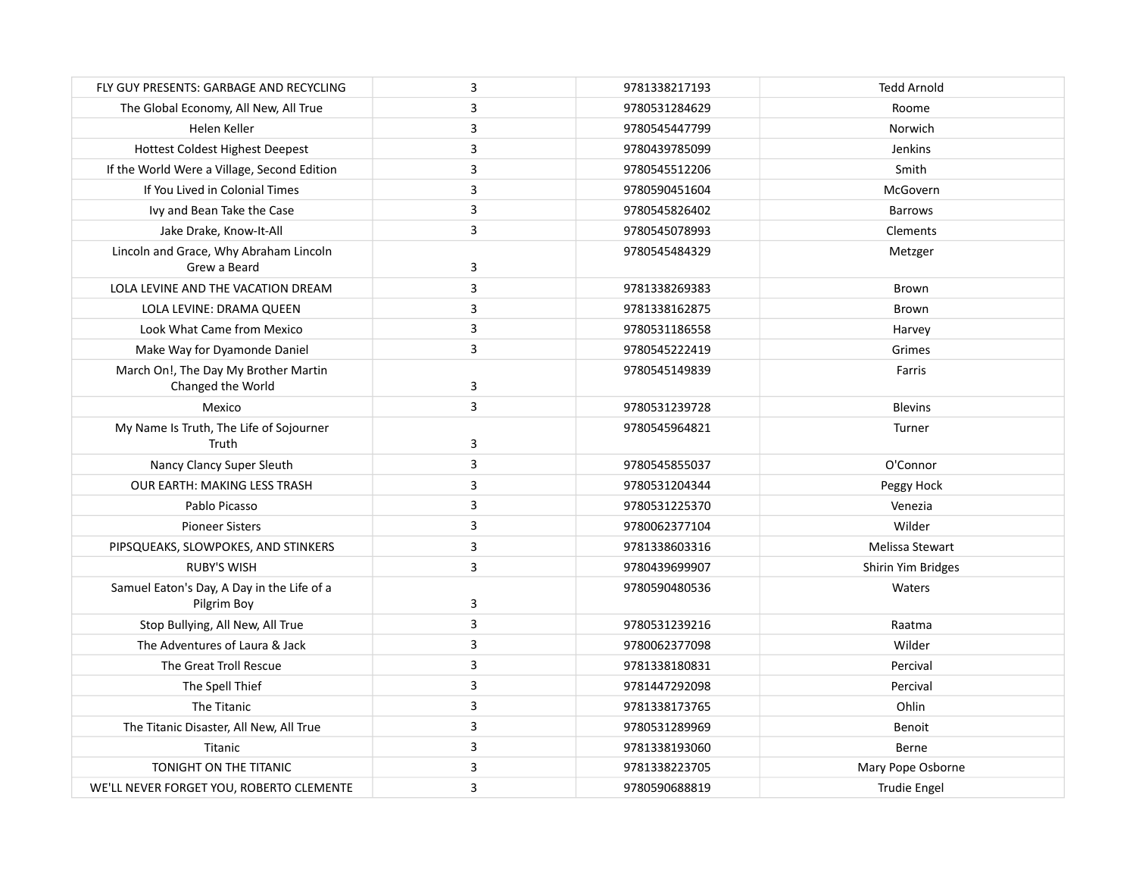| FLY GUY PRESENTS: GARBAGE AND RECYCLING                   | 3 | 9781338217193 | <b>Tedd Arnold</b>  |
|-----------------------------------------------------------|---|---------------|---------------------|
| The Global Economy, All New, All True                     | 3 | 9780531284629 | Roome               |
| Helen Keller                                              | 3 | 9780545447799 | Norwich             |
| <b>Hottest Coldest Highest Deepest</b>                    | 3 | 9780439785099 | Jenkins             |
| If the World Were a Village, Second Edition               | 3 | 9780545512206 | Smith               |
| If You Lived in Colonial Times                            | 3 | 9780590451604 | McGovern            |
| Ivy and Bean Take the Case                                | 3 | 9780545826402 | <b>Barrows</b>      |
| Jake Drake, Know-It-All                                   | 3 | 9780545078993 | Clements            |
| Lincoln and Grace, Why Abraham Lincoln<br>Grew a Beard    | 3 | 9780545484329 | Metzger             |
| LOLA LEVINE AND THE VACATION DREAM                        | 3 | 9781338269383 | Brown               |
| LOLA LEVINE: DRAMA QUEEN                                  | 3 | 9781338162875 | Brown               |
| Look What Came from Mexico                                | 3 | 9780531186558 | Harvey              |
| Make Way for Dyamonde Daniel                              | 3 | 9780545222419 | Grimes              |
| March On!, The Day My Brother Martin<br>Changed the World | 3 | 9780545149839 | Farris              |
| Mexico                                                    | 3 | 9780531239728 | <b>Blevins</b>      |
| My Name Is Truth, The Life of Sojourner<br>Truth          | 3 | 9780545964821 | Turner              |
| Nancy Clancy Super Sleuth                                 | 3 | 9780545855037 | O'Connor            |
| OUR EARTH: MAKING LESS TRASH                              | 3 | 9780531204344 | Peggy Hock          |
| Pablo Picasso                                             | 3 | 9780531225370 | Venezia             |
| <b>Pioneer Sisters</b>                                    | 3 | 9780062377104 | Wilder              |
| PIPSQUEAKS, SLOWPOKES, AND STINKERS                       | 3 | 9781338603316 | Melissa Stewart     |
| <b>RUBY'S WISH</b>                                        | 3 | 9780439699907 | Shirin Yim Bridges  |
| Samuel Eaton's Day, A Day in the Life of a<br>Pilgrim Boy | 3 | 9780590480536 | Waters              |
| Stop Bullying, All New, All True                          | 3 | 9780531239216 | Raatma              |
| The Adventures of Laura & Jack                            | 3 | 9780062377098 | Wilder              |
| The Great Troll Rescue                                    | 3 | 9781338180831 | Percival            |
| The Spell Thief                                           | 3 | 9781447292098 | Percival            |
| The Titanic                                               | 3 | 9781338173765 | Ohlin               |
| The Titanic Disaster, All New, All True                   | 3 | 9780531289969 | Benoit              |
| Titanic                                                   | 3 | 9781338193060 | Berne               |
| TONIGHT ON THE TITANIC                                    | 3 | 9781338223705 | Mary Pope Osborne   |
| WE'LL NEVER FORGET YOU, ROBERTO CLEMENTE                  | 3 | 9780590688819 | <b>Trudie Engel</b> |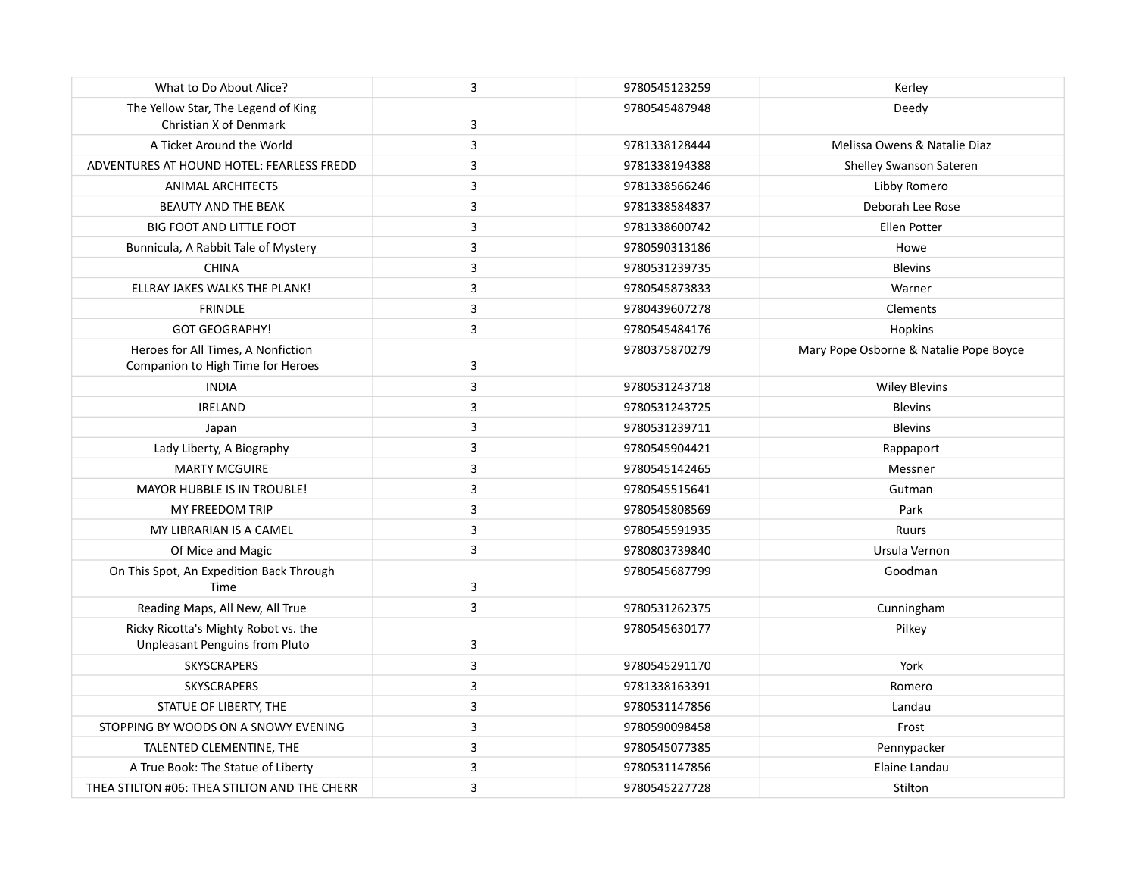| What to Do About Alice?                                                       | 3                       | 9780545123259 | Kerley                                 |
|-------------------------------------------------------------------------------|-------------------------|---------------|----------------------------------------|
| The Yellow Star, The Legend of King<br>Christian X of Denmark                 | 3                       | 9780545487948 | Deedy                                  |
| A Ticket Around the World                                                     | 3                       | 9781338128444 | Melissa Owens & Natalie Diaz           |
| ADVENTURES AT HOUND HOTEL: FEARLESS FREDD                                     | 3                       | 9781338194388 | Shelley Swanson Sateren                |
| <b>ANIMAL ARCHITECTS</b>                                                      | $\overline{3}$          | 9781338566246 | Libby Romero                           |
| <b>BEAUTY AND THE BEAK</b>                                                    | 3                       | 9781338584837 | Deborah Lee Rose                       |
| <b>BIG FOOT AND LITTLE FOOT</b>                                               | 3                       | 9781338600742 | Ellen Potter                           |
| Bunnicula, A Rabbit Tale of Mystery                                           | $\overline{\mathbf{3}}$ | 9780590313186 | Howe                                   |
| <b>CHINA</b>                                                                  | 3                       | 9780531239735 | <b>Blevins</b>                         |
| ELLRAY JAKES WALKS THE PLANK!                                                 | $\overline{\mathbf{3}}$ | 9780545873833 | Warner                                 |
| <b>FRINDLE</b>                                                                | 3                       | 9780439607278 | <b>Clements</b>                        |
| <b>GOT GEOGRAPHY!</b>                                                         | $\overline{3}$          | 9780545484176 | Hopkins                                |
| Heroes for All Times, A Nonfiction<br>Companion to High Time for Heroes       | 3                       | 9780375870279 | Mary Pope Osborne & Natalie Pope Boyce |
| <b>INDIA</b>                                                                  | $\overline{3}$          | 9780531243718 | <b>Wiley Blevins</b>                   |
| <b>IRELAND</b>                                                                | $\overline{3}$          | 9780531243725 | <b>Blevins</b>                         |
| Japan                                                                         | $\overline{3}$          | 9780531239711 | <b>Blevins</b>                         |
| Lady Liberty, A Biography                                                     | 3                       | 9780545904421 | Rappaport                              |
| <b>MARTY MCGUIRE</b>                                                          | $\overline{3}$          | 9780545142465 | Messner                                |
| MAYOR HUBBLE IS IN TROUBLE!                                                   | $\overline{\mathbf{3}}$ | 9780545515641 | Gutman                                 |
| MY FREEDOM TRIP                                                               | 3                       | 9780545808569 | Park                                   |
| MY LIBRARIAN IS A CAMEL                                                       | $\overline{\mathbf{3}}$ | 9780545591935 | Ruurs                                  |
| Of Mice and Magic                                                             | $\overline{\mathbf{3}}$ | 9780803739840 | Ursula Vernon                          |
| On This Spot, An Expedition Back Through<br>Time                              | 3                       | 9780545687799 | Goodman                                |
| Reading Maps, All New, All True                                               | $\overline{3}$          | 9780531262375 | Cunningham                             |
| Ricky Ricotta's Mighty Robot vs. the<br><b>Unpleasant Penguins from Pluto</b> | 3                       | 9780545630177 | Pilkey                                 |
| <b>SKYSCRAPERS</b>                                                            | 3                       | 9780545291170 | York                                   |
| <b>SKYSCRAPERS</b>                                                            | $\overline{3}$          | 9781338163391 | Romero                                 |
| STATUE OF LIBERTY, THE                                                        | 3                       | 9780531147856 | Landau                                 |
| STOPPING BY WOODS ON A SNOWY EVENING                                          | 3                       | 9780590098458 | Frost                                  |
| TALENTED CLEMENTINE, THE                                                      | $\overline{3}$          | 9780545077385 | Pennypacker                            |
| A True Book: The Statue of Liberty                                            | 3                       | 9780531147856 | Elaine Landau                          |
| THEA STILTON #06: THEA STILTON AND THE CHERR                                  | 3                       | 9780545227728 | Stilton                                |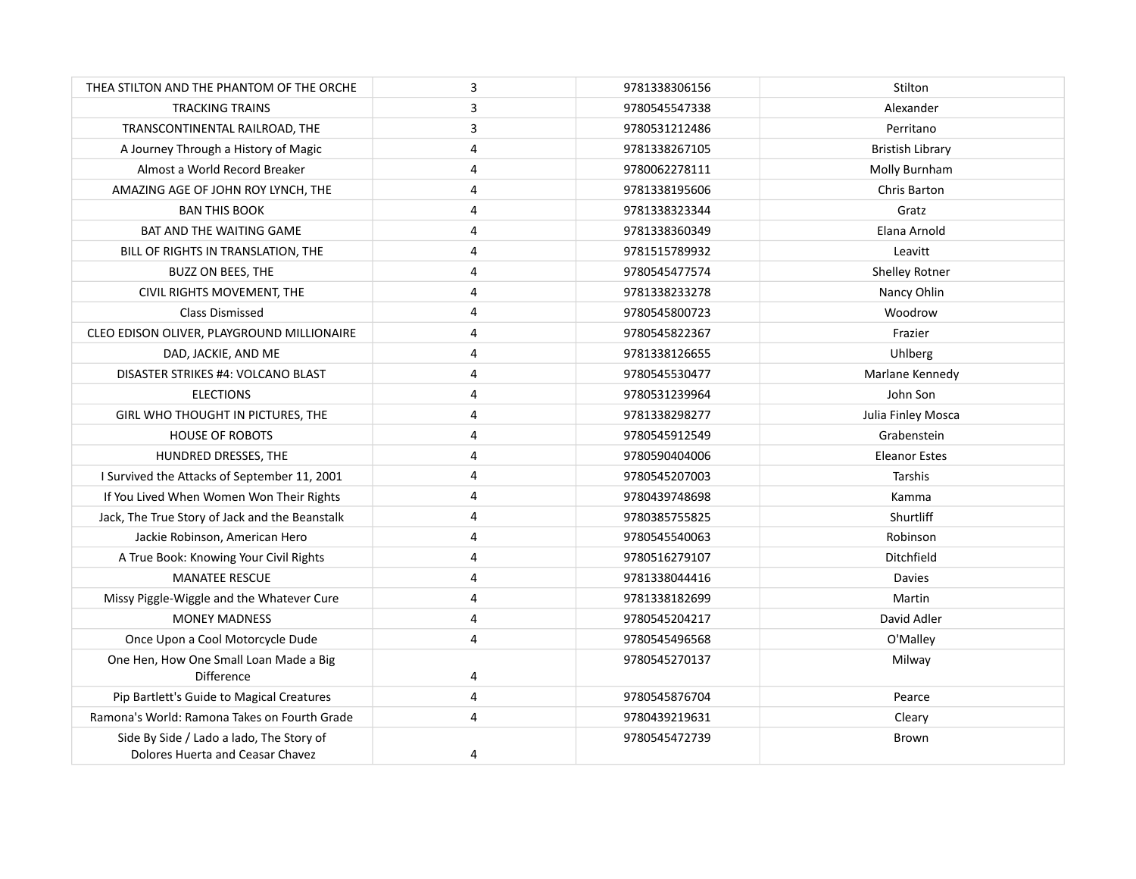| THEA STILTON AND THE PHANTOM OF THE ORCHE                                    | 3                       | 9781338306156 | Stilton                 |
|------------------------------------------------------------------------------|-------------------------|---------------|-------------------------|
| <b>TRACKING TRAINS</b>                                                       | 3                       | 9780545547338 | Alexander               |
| TRANSCONTINENTAL RAILROAD, THE                                               | 3                       | 9780531212486 | Perritano               |
| A Journey Through a History of Magic                                         | $\overline{4}$          | 9781338267105 | <b>Bristish Library</b> |
| Almost a World Record Breaker                                                | $\overline{4}$          | 9780062278111 | Molly Burnham           |
| AMAZING AGE OF JOHN ROY LYNCH, THE                                           | 4                       | 9781338195606 | Chris Barton            |
| <b>BAN THIS BOOK</b>                                                         | 4                       | 9781338323344 | Gratz                   |
| BAT AND THE WAITING GAME                                                     | 4                       | 9781338360349 | Elana Arnold            |
| BILL OF RIGHTS IN TRANSLATION, THE                                           | $\overline{\mathbf{4}}$ | 9781515789932 | Leavitt                 |
| <b>BUZZ ON BEES, THE</b>                                                     | 4                       | 9780545477574 | <b>Shelley Rotner</b>   |
| CIVIL RIGHTS MOVEMENT, THE                                                   | 4                       | 9781338233278 | Nancy Ohlin             |
| Class Dismissed                                                              | 4                       | 9780545800723 | Woodrow                 |
| CLEO EDISON OLIVER, PLAYGROUND MILLIONAIRE                                   | $\overline{4}$          | 9780545822367 | Frazier                 |
| DAD, JACKIE, AND ME                                                          | 4                       | 9781338126655 | Uhlberg                 |
| DISASTER STRIKES #4: VOLCANO BLAST                                           | 4                       | 9780545530477 | Marlane Kennedy         |
| <b>ELECTIONS</b>                                                             | 4                       | 9780531239964 | John Son                |
| GIRL WHO THOUGHT IN PICTURES, THE                                            | $\overline{4}$          | 9781338298277 | Julia Finley Mosca      |
| <b>HOUSE OF ROBOTS</b>                                                       | $\overline{4}$          | 9780545912549 | Grabenstein             |
| HUNDRED DRESSES, THE                                                         | 4                       | 9780590404006 | <b>Eleanor Estes</b>    |
| I Survived the Attacks of September 11, 2001                                 | 4                       | 9780545207003 | Tarshis                 |
| If You Lived When Women Won Their Rights                                     | 4                       | 9780439748698 | Kamma                   |
| Jack, The True Story of Jack and the Beanstalk                               | 4                       | 9780385755825 | Shurtliff               |
| Jackie Robinson, American Hero                                               | 4                       | 9780545540063 | Robinson                |
| A True Book: Knowing Your Civil Rights                                       | 4                       | 9780516279107 | Ditchfield              |
| <b>MANATEE RESCUE</b>                                                        | 4                       | 9781338044416 | Davies                  |
| Missy Piggle-Wiggle and the Whatever Cure                                    | $\overline{4}$          | 9781338182699 | Martin                  |
| <b>MONEY MADNESS</b>                                                         | 4                       | 9780545204217 | David Adler             |
| Once Upon a Cool Motorcycle Dude                                             | $\overline{4}$          | 9780545496568 | O'Malley                |
| One Hen, How One Small Loan Made a Big<br><b>Difference</b>                  | 4                       | 9780545270137 | Milway                  |
| Pip Bartlett's Guide to Magical Creatures                                    | 4                       | 9780545876704 | Pearce                  |
| Ramona's World: Ramona Takes on Fourth Grade                                 | $\overline{4}$          | 9780439219631 | Cleary                  |
| Side By Side / Lado a lado, The Story of<br>Dolores Huerta and Ceasar Chavez | 4                       | 9780545472739 | Brown                   |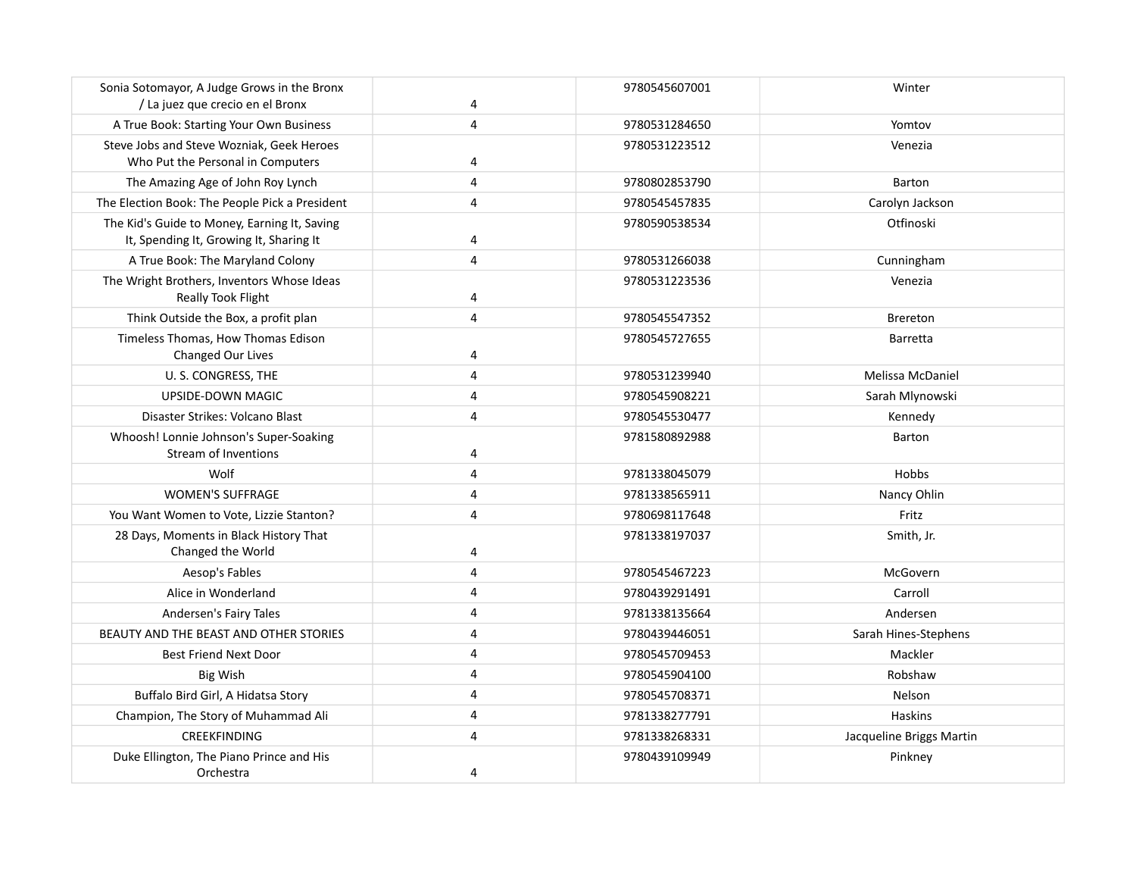| Sonia Sotomayor, A Judge Grows in the Bronx<br>/ La juez que crecio en el Bronx         | 4          | 9780545607001 | Winter                   |
|-----------------------------------------------------------------------------------------|------------|---------------|--------------------------|
| A True Book: Starting Your Own Business                                                 | 4          | 9780531284650 | Yomtov                   |
| Steve Jobs and Steve Wozniak, Geek Heroes<br>Who Put the Personal in Computers          | 4          | 9780531223512 | Venezia                  |
| The Amazing Age of John Roy Lynch                                                       | 4          | 9780802853790 | Barton                   |
| The Election Book: The People Pick a President                                          | 4          | 9780545457835 | Carolyn Jackson          |
| The Kid's Guide to Money, Earning It, Saving<br>It, Spending It, Growing It, Sharing It | 4          | 9780590538534 | Otfinoski                |
| A True Book: The Maryland Colony                                                        | 4          | 9780531266038 | Cunningham               |
| The Wright Brothers, Inventors Whose Ideas<br><b>Really Took Flight</b>                 | 4          | 9780531223536 | Venezia                  |
| Think Outside the Box, a profit plan                                                    | 4          | 9780545547352 | <b>Brereton</b>          |
| Timeless Thomas, How Thomas Edison<br>Changed Our Lives                                 | 4          | 9780545727655 | Barretta                 |
| U.S. CONGRESS, THE                                                                      | 4          | 9780531239940 | Melissa McDaniel         |
| <b>UPSIDE-DOWN MAGIC</b>                                                                | $\sqrt{4}$ | 9780545908221 | Sarah Mlynowski          |
| Disaster Strikes: Volcano Blast                                                         | 4          | 9780545530477 | Kennedy                  |
| Whoosh! Lonnie Johnson's Super-Soaking<br><b>Stream of Inventions</b>                   | 4          | 9781580892988 | Barton                   |
| Wolf                                                                                    | 4          | 9781338045079 | Hobbs                    |
| <b>WOMEN'S SUFFRAGE</b>                                                                 | 4          | 9781338565911 | Nancy Ohlin              |
| You Want Women to Vote, Lizzie Stanton?                                                 | 4          | 9780698117648 | Fritz                    |
| 28 Days, Moments in Black History That<br>Changed the World                             | 4          | 9781338197037 | Smith, Jr.               |
| Aesop's Fables                                                                          | 4          | 9780545467223 | McGovern                 |
| Alice in Wonderland                                                                     | 4          | 9780439291491 | Carroll                  |
| Andersen's Fairy Tales                                                                  | 4          | 9781338135664 | Andersen                 |
| BEAUTY AND THE BEAST AND OTHER STORIES                                                  | 4          | 9780439446051 | Sarah Hines-Stephens     |
| <b>Best Friend Next Door</b>                                                            | 4          | 9780545709453 | Mackler                  |
| <b>Big Wish</b>                                                                         | 4          | 9780545904100 | Robshaw                  |
| Buffalo Bird Girl, A Hidatsa Story                                                      | 4          | 9780545708371 | Nelson                   |
| Champion, The Story of Muhammad Ali                                                     | 4          | 9781338277791 | Haskins                  |
| <b>CREEKFINDING</b>                                                                     | $\sqrt{4}$ | 9781338268331 | Jacqueline Briggs Martin |
| Duke Ellington, The Piano Prince and His<br>Orchestra                                   | 4          | 9780439109949 | Pinkney                  |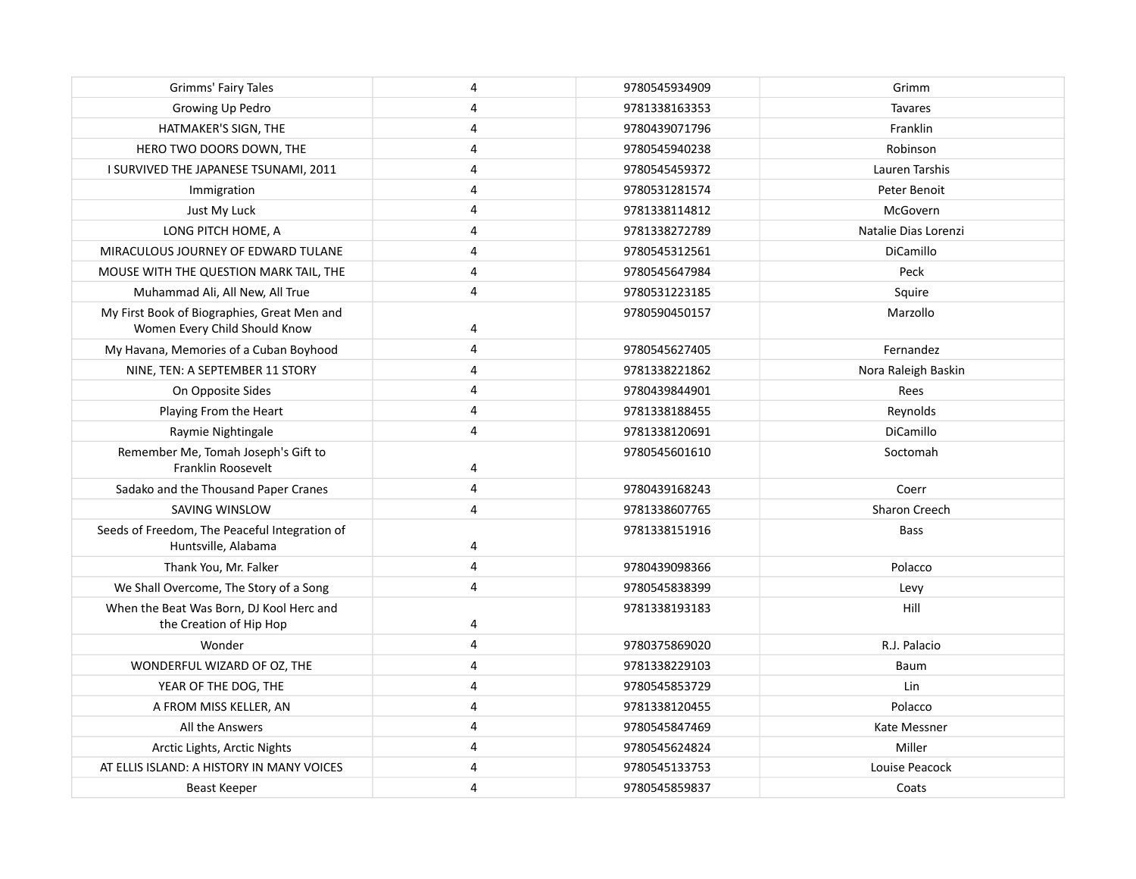| Grimms' Fairy Tales                                                          | 4 | 9780545934909 | Grimm                |
|------------------------------------------------------------------------------|---|---------------|----------------------|
| Growing Up Pedro                                                             | 4 | 9781338163353 | <b>Tavares</b>       |
| HATMAKER'S SIGN, THE                                                         | 4 | 9780439071796 | Franklin             |
| HERO TWO DOORS DOWN, THE                                                     | 4 | 9780545940238 | Robinson             |
| I SURVIVED THE JAPANESE TSUNAMI, 2011                                        | 4 | 9780545459372 | Lauren Tarshis       |
| Immigration                                                                  | 4 | 9780531281574 | Peter Benoit         |
| Just My Luck                                                                 | 4 | 9781338114812 | McGovern             |
| LONG PITCH HOME, A                                                           | 4 | 9781338272789 | Natalie Dias Lorenzi |
| MIRACULOUS JOURNEY OF EDWARD TULANE                                          | 4 | 9780545312561 | DiCamillo            |
| MOUSE WITH THE QUESTION MARK TAIL, THE                                       | 4 | 9780545647984 | Peck                 |
| Muhammad Ali, All New, All True                                              | 4 | 9780531223185 | Squire               |
| My First Book of Biographies, Great Men and<br>Women Every Child Should Know | 4 | 9780590450157 | Marzollo             |
| My Havana, Memories of a Cuban Boyhood                                       | 4 | 9780545627405 | Fernandez            |
| NINE, TEN: A SEPTEMBER 11 STORY                                              | 4 | 9781338221862 | Nora Raleigh Baskin  |
| On Opposite Sides                                                            | 4 | 9780439844901 | Rees                 |
| Playing From the Heart                                                       | 4 | 9781338188455 | Reynolds             |
| Raymie Nightingale                                                           | 4 | 9781338120691 | DiCamillo            |
| Remember Me, Tomah Joseph's Gift to<br>Franklin Roosevelt                    | 4 | 9780545601610 | Soctomah             |
| Sadako and the Thousand Paper Cranes                                         | 4 | 9780439168243 | Coerr                |
| SAVING WINSLOW                                                               | 4 | 9781338607765 | <b>Sharon Creech</b> |
| Seeds of Freedom, The Peaceful Integration of<br>Huntsville, Alabama         | 4 | 9781338151916 | <b>Bass</b>          |
| Thank You, Mr. Falker                                                        | 4 | 9780439098366 | Polacco              |
| We Shall Overcome, The Story of a Song                                       | 4 | 9780545838399 | Levy                 |
| When the Beat Was Born, DJ Kool Herc and<br>the Creation of Hip Hop          | 4 | 9781338193183 | Hill                 |
| Wonder                                                                       | 4 | 9780375869020 | R.J. Palacio         |
| WONDERFUL WIZARD OF OZ, THE                                                  | 4 | 9781338229103 | Baum                 |
| YEAR OF THE DOG, THE                                                         | 4 | 9780545853729 | Lin                  |
| A FROM MISS KELLER, AN                                                       | 4 | 9781338120455 | Polacco              |
| All the Answers                                                              | 4 | 9780545847469 | Kate Messner         |
| Arctic Lights, Arctic Nights                                                 | 4 | 9780545624824 | Miller               |
| AT ELLIS ISLAND: A HISTORY IN MANY VOICES                                    | 4 | 9780545133753 | Louise Peacock       |
| Beast Keeper                                                                 | 4 | 9780545859837 | Coats                |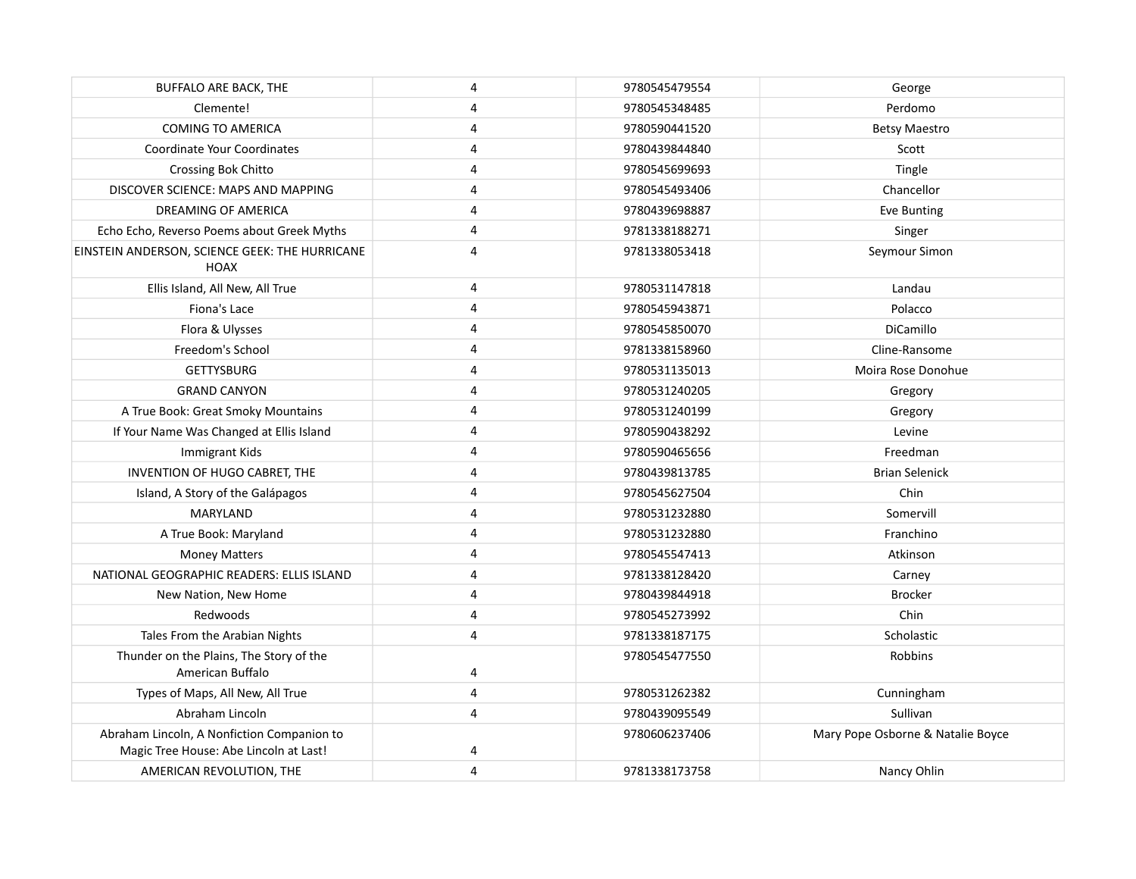| <b>BUFFALO ARE BACK, THE</b>                                  | 4 | 9780545479554 | George                            |
|---------------------------------------------------------------|---|---------------|-----------------------------------|
| Clemente!                                                     | 4 | 9780545348485 | Perdomo                           |
| <b>COMING TO AMERICA</b>                                      | 4 | 9780590441520 | <b>Betsy Maestro</b>              |
| <b>Coordinate Your Coordinates</b>                            | 4 | 9780439844840 | Scott                             |
| Crossing Bok Chitto                                           | 4 | 9780545699693 | Tingle                            |
| DISCOVER SCIENCE: MAPS AND MAPPING                            | 4 | 9780545493406 | Chancellor                        |
| DREAMING OF AMERICA                                           | 4 | 9780439698887 | Eve Bunting                       |
| Echo Echo, Reverso Poems about Greek Myths                    | 4 | 9781338188271 | Singer                            |
| EINSTEIN ANDERSON, SCIENCE GEEK: THE HURRICANE<br><b>HOAX</b> | 4 | 9781338053418 | Seymour Simon                     |
| Ellis Island, All New, All True                               | 4 | 9780531147818 | Landau                            |
| Fiona's Lace                                                  | 4 | 9780545943871 | Polacco                           |
| Flora & Ulysses                                               | 4 | 9780545850070 | <b>DiCamillo</b>                  |
| Freedom's School                                              | 4 | 9781338158960 | Cline-Ransome                     |
| <b>GETTYSBURG</b>                                             | 4 | 9780531135013 | Moira Rose Donohue                |
| <b>GRAND CANYON</b>                                           | 4 | 9780531240205 | Gregory                           |
| A True Book: Great Smoky Mountains                            | 4 | 9780531240199 | Gregory                           |
| If Your Name Was Changed at Ellis Island                      | 4 | 9780590438292 | Levine                            |
| Immigrant Kids                                                | 4 | 9780590465656 | Freedman                          |
| INVENTION OF HUGO CABRET, THE                                 | 4 | 9780439813785 | <b>Brian Selenick</b>             |
| Island, A Story of the Galápagos                              | 4 | 9780545627504 | Chin                              |
| MARYLAND                                                      | 4 | 9780531232880 | Somervill                         |
| A True Book: Maryland                                         | 4 | 9780531232880 | Franchino                         |
| <b>Money Matters</b>                                          | 4 | 9780545547413 | Atkinson                          |
| NATIONAL GEOGRAPHIC READERS: ELLIS ISLAND                     | 4 | 9781338128420 | Carney                            |
| New Nation, New Home                                          | 4 | 9780439844918 | <b>Brocker</b>                    |
| Redwoods                                                      | 4 | 9780545273992 | Chin                              |
| Tales From the Arabian Nights                                 | 4 | 9781338187175 | Scholastic                        |
| Thunder on the Plains, The Story of the<br>American Buffalo   | 4 | 9780545477550 | Robbins                           |
| Types of Maps, All New, All True                              | 4 | 9780531262382 | Cunningham                        |
| Abraham Lincoln                                               | 4 | 9780439095549 | Sullivan                          |
| Abraham Lincoln, A Nonfiction Companion to                    |   | 9780606237406 | Mary Pope Osborne & Natalie Boyce |
| Magic Tree House: Abe Lincoln at Last!                        | 4 |               |                                   |
| AMERICAN REVOLUTION, THE                                      | 4 | 9781338173758 | Nancy Ohlin                       |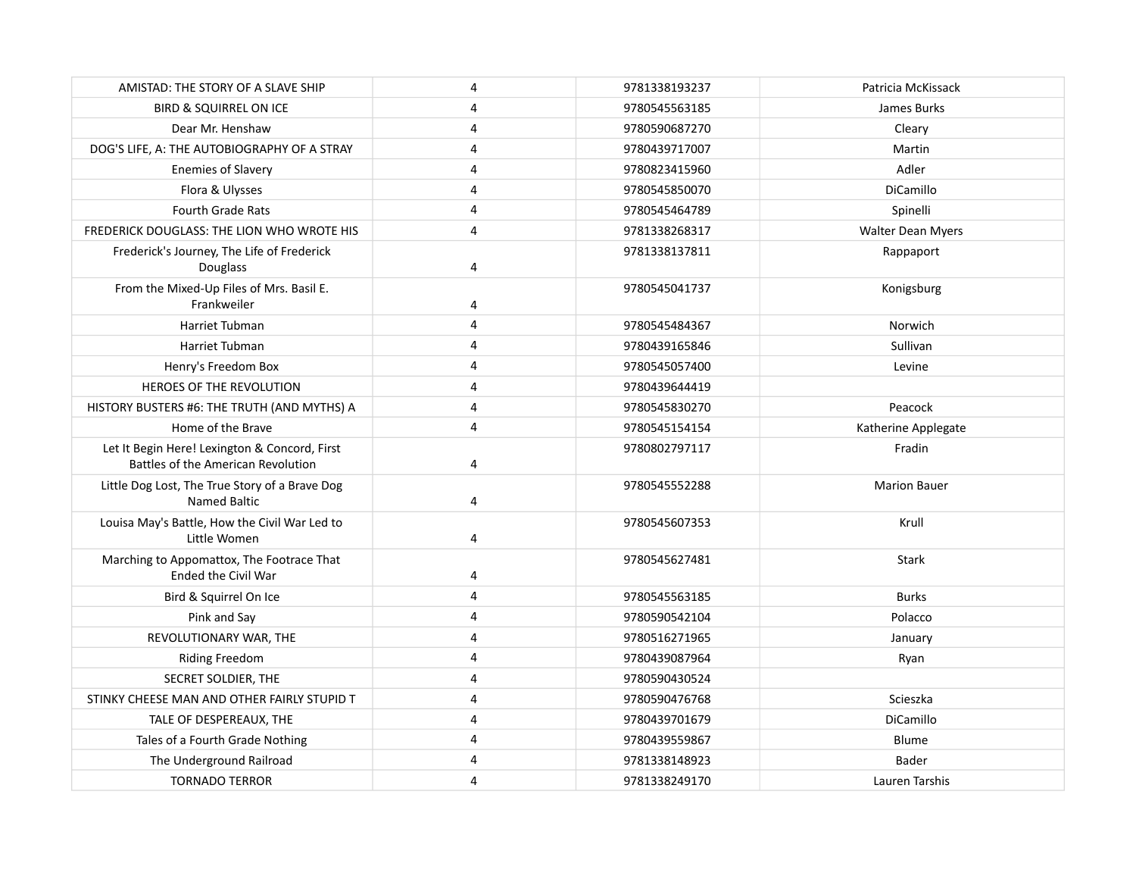| AMISTAD: THE STORY OF A SLAVE SHIP                                                  | 4              | 9781338193237 | Patricia McKissack  |
|-------------------------------------------------------------------------------------|----------------|---------------|---------------------|
| <b>BIRD &amp; SQUIRREL ON ICE</b>                                                   | 4              | 9780545563185 | James Burks         |
| Dear Mr. Henshaw                                                                    | $\overline{4}$ | 9780590687270 | Cleary              |
| DOG'S LIFE, A: THE AUTOBIOGRAPHY OF A STRAY                                         | 4              | 9780439717007 | Martin              |
| <b>Enemies of Slavery</b>                                                           | 4              | 9780823415960 | Adler               |
| Flora & Ulysses                                                                     | 4              | 9780545850070 | DiCamillo           |
| <b>Fourth Grade Rats</b>                                                            | 4              | 9780545464789 | Spinelli            |
| <b>FREDERICK DOUGLASS: THE LION WHO WROTE HIS</b>                                   | $\overline{4}$ | 9781338268317 | Walter Dean Myers   |
| Frederick's Journey, The Life of Frederick<br>Douglass                              | 4              | 9781338137811 | Rappaport           |
| From the Mixed-Up Files of Mrs. Basil E.<br>Frankweiler                             | 4              | 9780545041737 | Konigsburg          |
| Harriet Tubman                                                                      | $\overline{4}$ | 9780545484367 | Norwich             |
| Harriet Tubman                                                                      | $\overline{4}$ | 9780439165846 | Sullivan            |
| Henry's Freedom Box                                                                 | 4              | 9780545057400 | Levine              |
| HEROES OF THE REVOLUTION                                                            | 4              | 9780439644419 |                     |
| HISTORY BUSTERS #6: THE TRUTH (AND MYTHS) A                                         | $\overline{4}$ | 9780545830270 | Peacock             |
| Home of the Brave                                                                   | $\overline{4}$ | 9780545154154 | Katherine Applegate |
| Let It Begin Here! Lexington & Concord, First<br>Battles of the American Revolution | 4              | 9780802797117 | Fradin              |
| Little Dog Lost, The True Story of a Brave Dog<br>Named Baltic                      | 4              | 9780545552288 | <b>Marion Bauer</b> |
| Louisa May's Battle, How the Civil War Led to<br>Little Women                       | 4              | 9780545607353 | Krull               |
| Marching to Appomattox, The Footrace That<br>Ended the Civil War                    | 4              | 9780545627481 | <b>Stark</b>        |
| Bird & Squirrel On Ice                                                              | $\overline{4}$ | 9780545563185 | <b>Burks</b>        |
| Pink and Say                                                                        | $\overline{4}$ | 9780590542104 | Polacco             |
| REVOLUTIONARY WAR, THE                                                              | $\overline{4}$ | 9780516271965 | January             |
| <b>Riding Freedom</b>                                                               | $\overline{4}$ | 9780439087964 | Ryan                |
| SECRET SOLDIER, THE                                                                 | $\overline{4}$ | 9780590430524 |                     |
| STINKY CHEESE MAN AND OTHER FAIRLY STUPID T                                         | 4              | 9780590476768 | Scieszka            |
| TALE OF DESPEREAUX, THE                                                             | 4              | 9780439701679 | DiCamillo           |
| Tales of a Fourth Grade Nothing                                                     | 4              | 9780439559867 | Blume               |
| The Underground Railroad                                                            | 4              | 9781338148923 | Bader               |
| <b>TORNADO TERROR</b>                                                               | 4              | 9781338249170 | Lauren Tarshis      |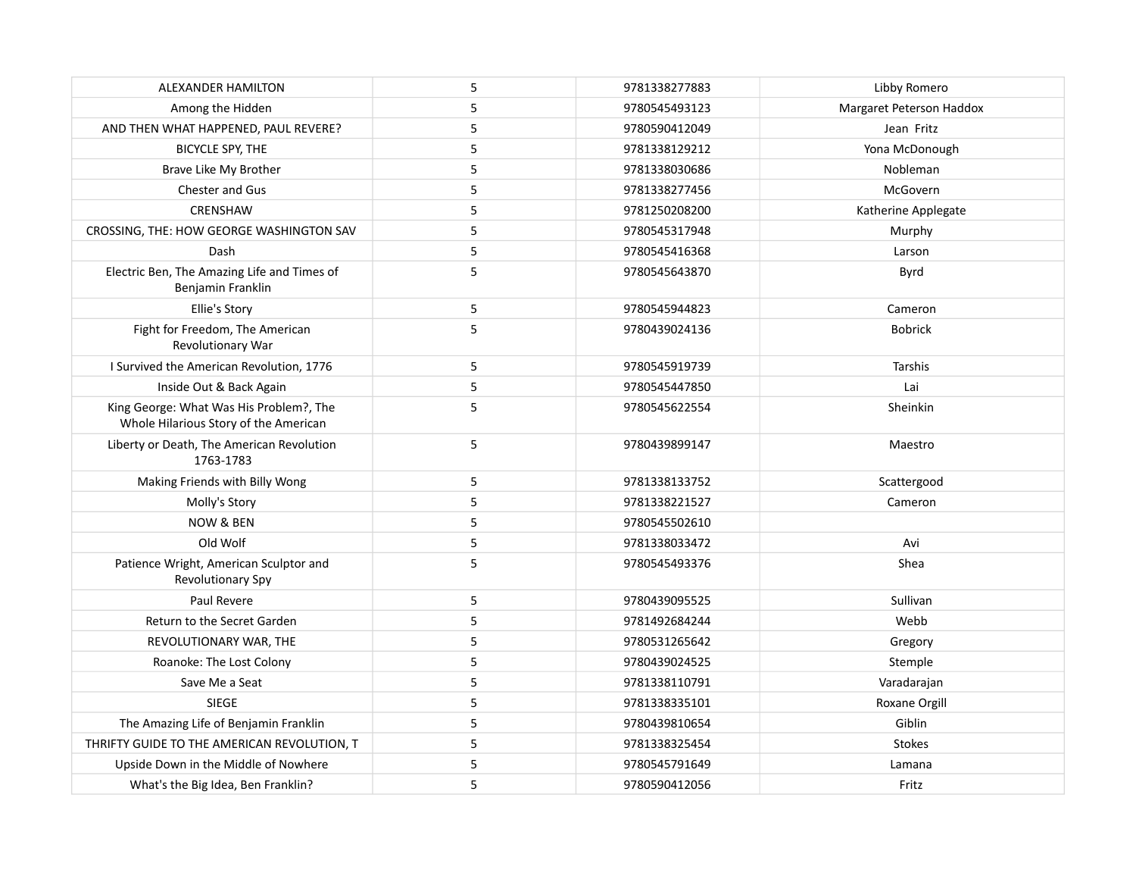| ALEXANDER HAMILTON                                                               | 5           | 9781338277883 | Libby Romero             |
|----------------------------------------------------------------------------------|-------------|---------------|--------------------------|
| Among the Hidden                                                                 | 5           | 9780545493123 | Margaret Peterson Haddox |
| AND THEN WHAT HAPPENED, PAUL REVERE?                                             | 5           | 9780590412049 | Jean Fritz               |
| <b>BICYCLE SPY, THE</b>                                                          | 5           | 9781338129212 | Yona McDonough           |
| Brave Like My Brother                                                            | 5           | 9781338030686 | Nobleman                 |
| Chester and Gus                                                                  | 5           | 9781338277456 | McGovern                 |
| CRENSHAW                                                                         | 5           | 9781250208200 | Katherine Applegate      |
| CROSSING, THE: HOW GEORGE WASHINGTON SAV                                         | 5           | 9780545317948 | Murphy                   |
| Dash                                                                             | 5           | 9780545416368 | Larson                   |
| Electric Ben, The Amazing Life and Times of<br>Benjamin Franklin                 | 5           | 9780545643870 | Byrd                     |
| Ellie's Story                                                                    | $\mathsf S$ | 9780545944823 | Cameron                  |
| Fight for Freedom, The American<br>Revolutionary War                             | 5           | 9780439024136 | <b>Bobrick</b>           |
| I Survived the American Revolution, 1776                                         | 5           | 9780545919739 | Tarshis                  |
| Inside Out & Back Again                                                          | 5           | 9780545447850 | Lai                      |
| King George: What Was His Problem?, The<br>Whole Hilarious Story of the American | 5           | 9780545622554 | Sheinkin                 |
| Liberty or Death, The American Revolution<br>1763-1783                           | 5           | 9780439899147 | Maestro                  |
| Making Friends with Billy Wong                                                   | 5           | 9781338133752 | Scattergood              |
| Molly's Story                                                                    | 5           | 9781338221527 | Cameron                  |
| <b>NOW &amp; BEN</b>                                                             | 5           | 9780545502610 |                          |
| Old Wolf                                                                         | 5           | 9781338033472 | Avi                      |
| Patience Wright, American Sculptor and<br>Revolutionary Spy                      | 5           | 9780545493376 | Shea                     |
| Paul Revere                                                                      | 5           | 9780439095525 | Sullivan                 |
| Return to the Secret Garden                                                      | 5           | 9781492684244 | Webb                     |
| REVOLUTIONARY WAR, THE                                                           | 5           | 9780531265642 | Gregory                  |
| Roanoke: The Lost Colony                                                         | 5           | 9780439024525 | Stemple                  |
| Save Me a Seat                                                                   | 5           | 9781338110791 | Varadarajan              |
| <b>SIEGE</b>                                                                     | 5           | 9781338335101 | Roxane Orgill            |
| The Amazing Life of Benjamin Franklin                                            | 5           | 9780439810654 | Giblin                   |
| THRIFTY GUIDE TO THE AMERICAN REVOLUTION, T                                      | 5           | 9781338325454 | <b>Stokes</b>            |
| Upside Down in the Middle of Nowhere                                             | 5           | 9780545791649 | Lamana                   |
| What's the Big Idea, Ben Franklin?                                               | 5           | 9780590412056 | Fritz                    |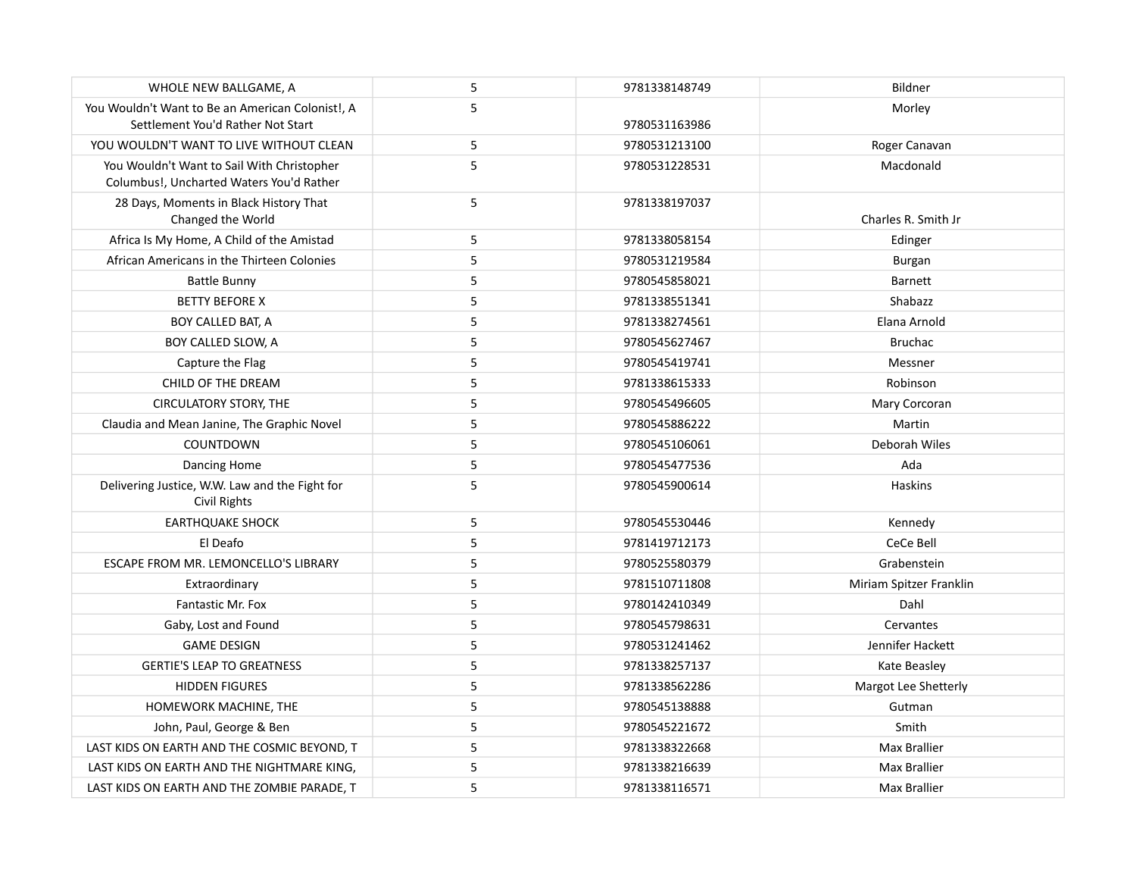| WHOLE NEW BALLGAME, A                                                                  | 5 | 9781338148749 | Bildner                 |
|----------------------------------------------------------------------------------------|---|---------------|-------------------------|
| You Wouldn't Want to Be an American Colonist!, A<br>Settlement You'd Rather Not Start  | 5 | 9780531163986 | Morley                  |
| YOU WOULDN'T WANT TO LIVE WITHOUT CLEAN                                                | 5 | 9780531213100 | Roger Canavan           |
| You Wouldn't Want to Sail With Christopher<br>Columbus!, Uncharted Waters You'd Rather | 5 | 9780531228531 | Macdonald               |
| 28 Days, Moments in Black History That<br>Changed the World                            | 5 | 9781338197037 | Charles R. Smith Jr     |
| Africa Is My Home, A Child of the Amistad                                              | 5 | 9781338058154 | Edinger                 |
| African Americans in the Thirteen Colonies                                             | 5 | 9780531219584 | Burgan                  |
| <b>Battle Bunny</b>                                                                    | 5 | 9780545858021 | <b>Barnett</b>          |
| <b>BETTY BEFORE X</b>                                                                  | 5 | 9781338551341 | Shabazz                 |
| BOY CALLED BAT, A                                                                      | 5 | 9781338274561 | Elana Arnold            |
| BOY CALLED SLOW, A                                                                     | 5 | 9780545627467 | <b>Bruchac</b>          |
| Capture the Flag                                                                       | 5 | 9780545419741 | Messner                 |
| CHILD OF THE DREAM                                                                     | 5 | 9781338615333 | Robinson                |
| <b>CIRCULATORY STORY, THE</b>                                                          | 5 | 9780545496605 | Mary Corcoran           |
| Claudia and Mean Janine, The Graphic Novel                                             | 5 | 9780545886222 | Martin                  |
| <b>COUNTDOWN</b>                                                                       | 5 | 9780545106061 | Deborah Wiles           |
| Dancing Home                                                                           | 5 | 9780545477536 | Ada                     |
| Delivering Justice, W.W. Law and the Fight for<br><b>Civil Rights</b>                  | 5 | 9780545900614 | <b>Haskins</b>          |
| <b>EARTHOUAKE SHOCK</b>                                                                | 5 | 9780545530446 | Kennedy                 |
| El Deafo                                                                               | 5 | 9781419712173 | CeCe Bell               |
| <b>ESCAPE FROM MR. LEMONCELLO'S LIBRARY</b>                                            | 5 | 9780525580379 | Grabenstein             |
| Extraordinary                                                                          | 5 | 9781510711808 | Miriam Spitzer Franklin |
| Fantastic Mr. Fox                                                                      | 5 | 9780142410349 | Dahl                    |
| Gaby, Lost and Found                                                                   | 5 | 9780545798631 | Cervantes               |
| <b>GAME DESIGN</b>                                                                     | 5 | 9780531241462 | Jennifer Hackett        |
| <b>GERTIE'S LEAP TO GREATNESS</b>                                                      | 5 | 9781338257137 | Kate Beasley            |
| <b>HIDDEN FIGURES</b>                                                                  | 5 | 9781338562286 | Margot Lee Shetterly    |
| HOMEWORK MACHINE, THE                                                                  | 5 | 9780545138888 | Gutman                  |
| John, Paul, George & Ben                                                               | 5 | 9780545221672 | Smith                   |
| LAST KIDS ON EARTH AND THE COSMIC BEYOND, T                                            | 5 | 9781338322668 | <b>Max Brallier</b>     |
| LAST KIDS ON EARTH AND THE NIGHTMARE KING,                                             | 5 | 9781338216639 | <b>Max Brallier</b>     |
| LAST KIDS ON EARTH AND THE ZOMBIE PARADE, T                                            | 5 | 9781338116571 | <b>Max Brallier</b>     |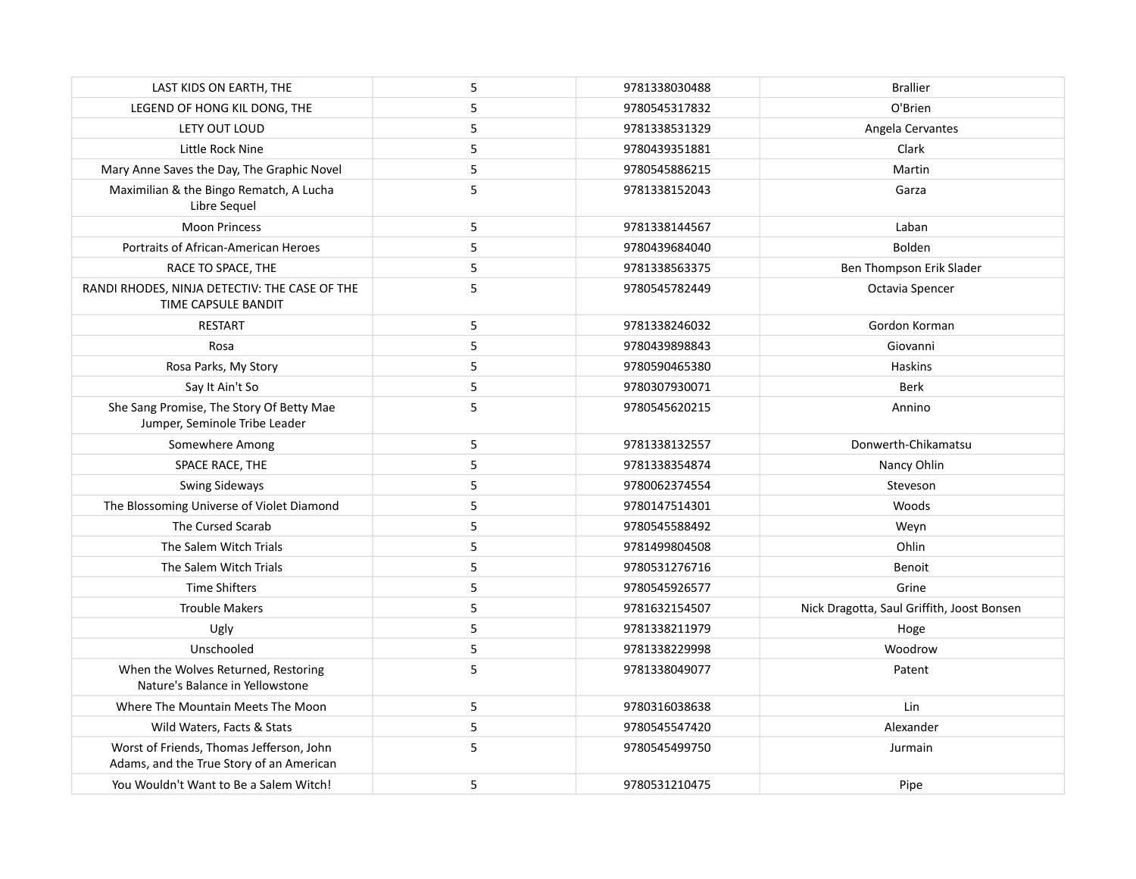| LAST KIDS ON EARTH, THE                                                              | 5 | 9781338030488 | <b>Brallier</b>                            |
|--------------------------------------------------------------------------------------|---|---------------|--------------------------------------------|
| LEGEND OF HONG KIL DONG, THE                                                         | 5 | 9780545317832 | O'Brien                                    |
| LETY OUT LOUD                                                                        | 5 | 9781338531329 | Angela Cervantes                           |
| Little Rock Nine                                                                     | 5 | 9780439351881 | Clark                                      |
| Mary Anne Saves the Day, The Graphic Novel                                           | 5 | 9780545886215 | Martin                                     |
| Maximilian & the Bingo Rematch, A Lucha<br>Libre Sequel                              | 5 | 9781338152043 | Garza                                      |
| <b>Moon Princess</b>                                                                 | 5 | 9781338144567 | Laban                                      |
| Portraits of African-American Heroes                                                 | 5 | 9780439684040 | Bolden                                     |
| RACE TO SPACE, THE                                                                   | 5 | 9781338563375 | Ben Thompson Erik Slader                   |
| RANDI RHODES, NINJA DETECTIV: THE CASE OF THE<br>TIME CAPSULE BANDIT                 | 5 | 9780545782449 | Octavia Spencer                            |
| <b>RESTART</b>                                                                       | 5 | 9781338246032 | Gordon Korman                              |
| Rosa                                                                                 | 5 | 9780439898843 | Giovanni                                   |
| Rosa Parks, My Story                                                                 | 5 | 9780590465380 | Haskins                                    |
| Say It Ain't So                                                                      | 5 | 9780307930071 | Berk                                       |
| She Sang Promise, The Story Of Betty Mae<br>Jumper, Seminole Tribe Leader            | 5 | 9780545620215 | Annino                                     |
| Somewhere Among                                                                      | 5 | 9781338132557 | Donwerth-Chikamatsu                        |
| SPACE RACE, THE                                                                      | 5 | 9781338354874 | Nancy Ohlin                                |
| <b>Swing Sideways</b>                                                                | 5 | 9780062374554 | Steveson                                   |
| The Blossoming Universe of Violet Diamond                                            | 5 | 9780147514301 | Woods                                      |
| The Cursed Scarab                                                                    | 5 | 9780545588492 | Weyn                                       |
| The Salem Witch Trials                                                               | 5 | 9781499804508 | Ohlin                                      |
| The Salem Witch Trials                                                               | 5 | 9780531276716 | Benoit                                     |
| <b>Time Shifters</b>                                                                 | 5 | 9780545926577 | Grine                                      |
| <b>Trouble Makers</b>                                                                | 5 | 9781632154507 | Nick Dragotta, Saul Griffith, Joost Bonsen |
| Ugly                                                                                 | 5 | 9781338211979 | Hoge                                       |
| Unschooled                                                                           | 5 | 9781338229998 | Woodrow                                    |
| When the Wolves Returned, Restoring<br>Nature's Balance in Yellowstone               | 5 | 9781338049077 | Patent                                     |
| Where The Mountain Meets The Moon                                                    | 5 | 9780316038638 | Lin                                        |
| Wild Waters, Facts & Stats                                                           | 5 | 9780545547420 | Alexander                                  |
| Worst of Friends, Thomas Jefferson, John<br>Adams, and the True Story of an American | 5 | 9780545499750 | Jurmain                                    |
| You Wouldn't Want to Be a Salem Witch!                                               | 5 | 9780531210475 | Pipe                                       |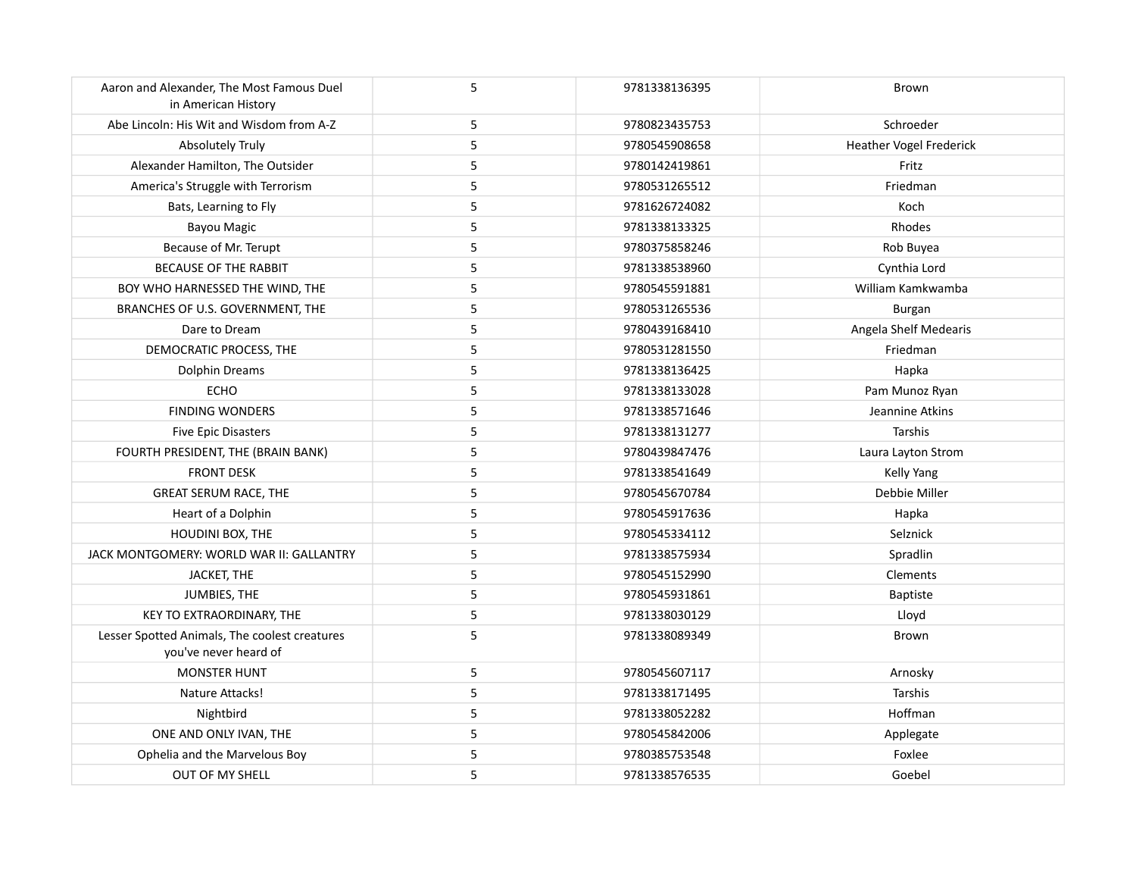| Aaron and Alexander, The Most Famous Duel<br>in American History       | 5          | 9781338136395 | Brown                          |
|------------------------------------------------------------------------|------------|---------------|--------------------------------|
| Abe Lincoln: His Wit and Wisdom from A-Z                               | 5          | 9780823435753 | Schroeder                      |
| <b>Absolutely Truly</b>                                                | 5          | 9780545908658 | <b>Heather Vogel Frederick</b> |
| Alexander Hamilton, The Outsider                                       | 5          | 9780142419861 | Fritz                          |
| America's Struggle with Terrorism                                      | 5          | 9780531265512 | Friedman                       |
| Bats, Learning to Fly                                                  | 5          | 9781626724082 | Koch                           |
| <b>Bayou Magic</b>                                                     | $\sqrt{5}$ | 9781338133325 | Rhodes                         |
| Because of Mr. Terupt                                                  | $\sqrt{5}$ | 9780375858246 | Rob Buyea                      |
| <b>BECAUSE OF THE RABBIT</b>                                           | $\sqrt{5}$ | 9781338538960 | Cynthia Lord                   |
| BOY WHO HARNESSED THE WIND, THE                                        | 5          | 9780545591881 | William Kamkwamba              |
| BRANCHES OF U.S. GOVERNMENT, THE                                       | 5          | 9780531265536 | Burgan                         |
| Dare to Dream                                                          | $\sqrt{5}$ | 9780439168410 | Angela Shelf Medearis          |
| DEMOCRATIC PROCESS, THE                                                | 5          | 9780531281550 | Friedman                       |
| Dolphin Dreams                                                         | $\sqrt{5}$ | 9781338136425 | Hapka                          |
| ECHO                                                                   | 5          | 9781338133028 | Pam Munoz Ryan                 |
| <b>FINDING WONDERS</b>                                                 | 5          | 9781338571646 | Jeannine Atkins                |
| <b>Five Epic Disasters</b>                                             | 5          | 9781338131277 | Tarshis                        |
| FOURTH PRESIDENT, THE (BRAIN BANK)                                     | 5          | 9780439847476 | Laura Layton Strom             |
| <b>FRONT DESK</b>                                                      | $\sqrt{5}$ | 9781338541649 | Kelly Yang                     |
| GREAT SERUM RACE, THE                                                  | 5          | 9780545670784 | Debbie Miller                  |
| Heart of a Dolphin                                                     | $\sqrt{5}$ | 9780545917636 | Hapka                          |
| HOUDINI BOX, THE                                                       | $\sqrt{5}$ | 9780545334112 | Selznick                       |
| JACK MONTGOMERY: WORLD WAR II: GALLANTRY                               | 5          | 9781338575934 | Spradlin                       |
| JACKET, THE                                                            | 5          | 9780545152990 | Clements                       |
| JUMBIES, THE                                                           | 5          | 9780545931861 | <b>Baptiste</b>                |
| KEY TO EXTRAORDINARY, THE                                              | $\sqrt{5}$ | 9781338030129 | Lloyd                          |
| Lesser Spotted Animals, The coolest creatures<br>you've never heard of | 5          | 9781338089349 | Brown                          |
| <b>MONSTER HUNT</b>                                                    | 5          | 9780545607117 | Arnosky                        |
| Nature Attacks!                                                        | 5          | 9781338171495 | Tarshis                        |
| Nightbird                                                              | 5          | 9781338052282 | Hoffman                        |
| ONE AND ONLY IVAN, THE                                                 | 5          | 9780545842006 | Applegate                      |
| Ophelia and the Marvelous Boy                                          | 5          | 9780385753548 | Foxlee                         |
| OUT OF MY SHELL                                                        | 5          | 9781338576535 | Goebel                         |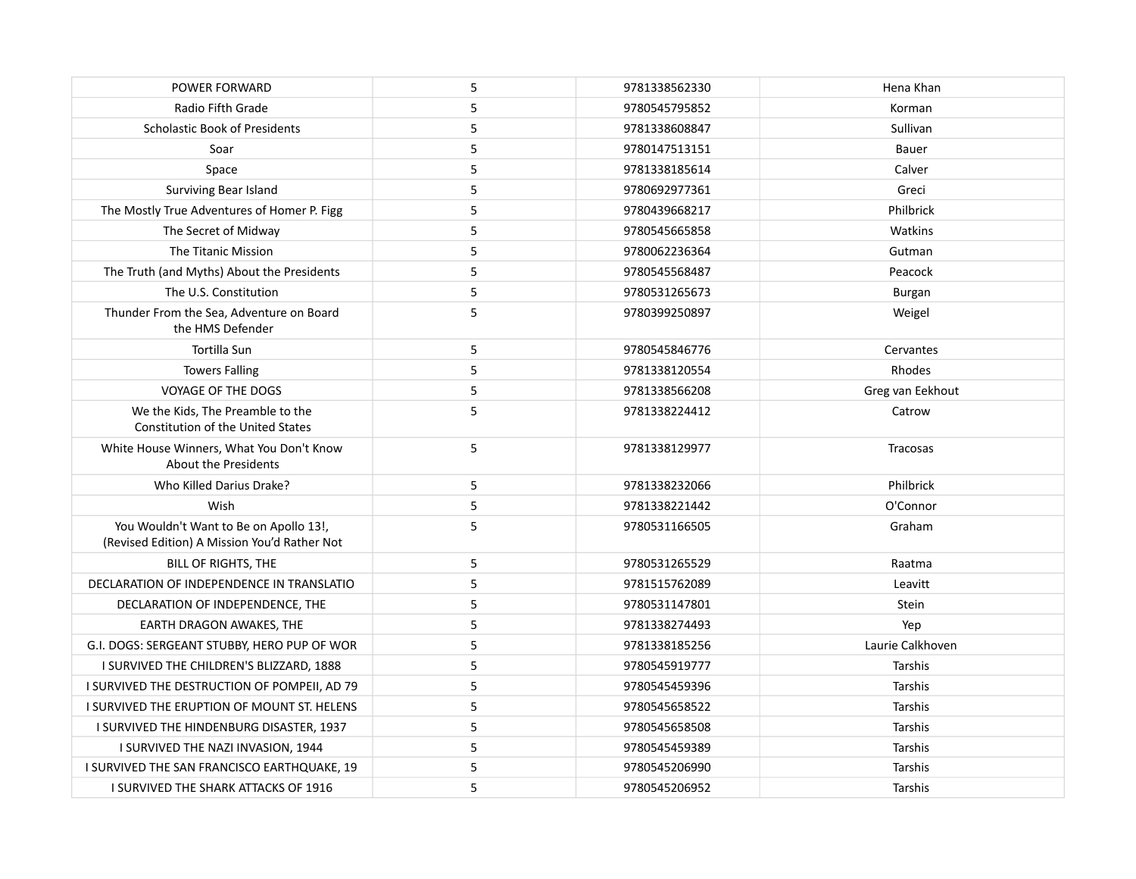| POWER FORWARD                                                                          | 5 | 9781338562330 | Hena Khan        |
|----------------------------------------------------------------------------------------|---|---------------|------------------|
| Radio Fifth Grade                                                                      | 5 | 9780545795852 | Korman           |
| <b>Scholastic Book of Presidents</b>                                                   | 5 | 9781338608847 | Sullivan         |
| Soar                                                                                   | 5 | 9780147513151 | Bauer            |
| Space                                                                                  | 5 | 9781338185614 | Calver           |
| Surviving Bear Island                                                                  | 5 | 9780692977361 | Greci            |
| The Mostly True Adventures of Homer P. Figg                                            | 5 | 9780439668217 | Philbrick        |
| The Secret of Midway                                                                   | 5 | 9780545665858 | Watkins          |
| The Titanic Mission                                                                    | 5 | 9780062236364 | Gutman           |
| The Truth (and Myths) About the Presidents                                             | 5 | 9780545568487 | Peacock          |
| The U.S. Constitution                                                                  | 5 | 9780531265673 | <b>Burgan</b>    |
| Thunder From the Sea, Adventure on Board<br>the HMS Defender                           | 5 | 9780399250897 | Weigel           |
| Tortilla Sun                                                                           | 5 | 9780545846776 | Cervantes        |
| <b>Towers Falling</b>                                                                  | 5 | 9781338120554 | Rhodes           |
| <b>VOYAGE OF THE DOGS</b>                                                              | 5 | 9781338566208 | Greg van Eekhout |
| We the Kids, The Preamble to the<br>Constitution of the United States                  | 5 | 9781338224412 | Catrow           |
| White House Winners, What You Don't Know<br><b>About the Presidents</b>                | 5 | 9781338129977 | Tracosas         |
| Who Killed Darius Drake?                                                               | 5 | 9781338232066 | Philbrick        |
| Wish                                                                                   | 5 | 9781338221442 | O'Connor         |
| You Wouldn't Want to Be on Apollo 13!,<br>(Revised Edition) A Mission You'd Rather Not | 5 | 9780531166505 | Graham           |
| BILL OF RIGHTS, THE                                                                    | 5 | 9780531265529 | Raatma           |
| DECLARATION OF INDEPENDENCE IN TRANSLATIO                                              | 5 | 9781515762089 | Leavitt          |
| DECLARATION OF INDEPENDENCE, THE                                                       | 5 | 9780531147801 | Stein            |
| EARTH DRAGON AWAKES, THE                                                               | 5 | 9781338274493 | Yep              |
| G.I. DOGS: SERGEANT STUBBY, HERO PUP OF WOR                                            | 5 | 9781338185256 | Laurie Calkhoven |
| I SURVIVED THE CHILDREN'S BLIZZARD, 1888                                               | 5 | 9780545919777 | Tarshis          |
| I SURVIVED THE DESTRUCTION OF POMPEII, AD 79                                           | 5 | 9780545459396 | Tarshis          |
| I SURVIVED THE ERUPTION OF MOUNT ST. HELENS                                            | 5 | 9780545658522 | Tarshis          |
| I SURVIVED THE HINDENBURG DISASTER, 1937                                               | 5 | 9780545658508 | Tarshis          |
| I SURVIVED THE NAZI INVASION, 1944                                                     | 5 | 9780545459389 | Tarshis          |
| I SURVIVED THE SAN FRANCISCO EARTHQUAKE, 19                                            | 5 | 9780545206990 | Tarshis          |
| I SURVIVED THE SHARK ATTACKS OF 1916                                                   | 5 | 9780545206952 | Tarshis          |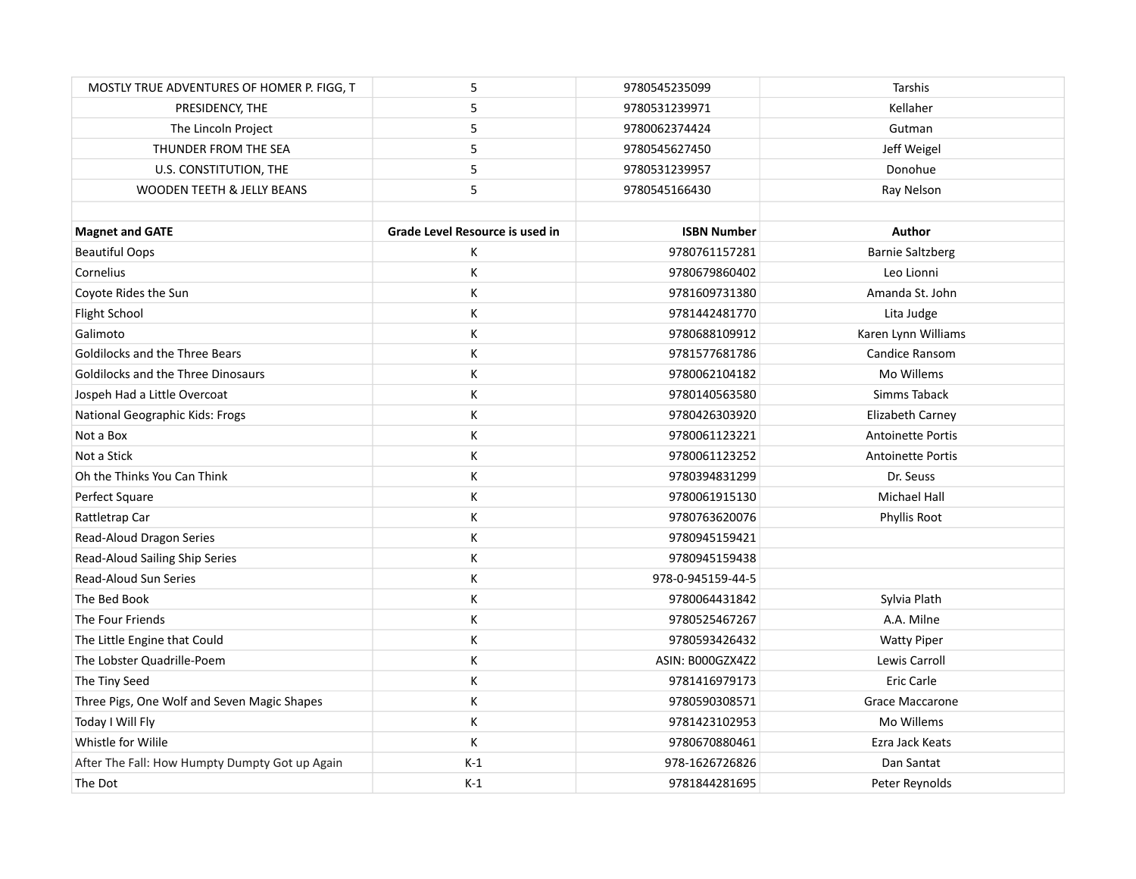| MOSTLY TRUE ADVENTURES OF HOMER P. FIGG, T     | 5                               | 9780545235099      | Tarshis                  |
|------------------------------------------------|---------------------------------|--------------------|--------------------------|
| PRESIDENCY, THE                                | 5                               | 9780531239971      | Kellaher                 |
| The Lincoln Project                            | 5                               | 9780062374424      | Gutman                   |
| THUNDER FROM THE SEA                           | 5                               | 9780545627450      | Jeff Weigel              |
| U.S. CONSTITUTION, THE                         | 5                               | 9780531239957      | Donohue                  |
| <b>WOODEN TEETH &amp; JELLY BEANS</b>          | 5                               | 9780545166430      | Ray Nelson               |
|                                                |                                 |                    |                          |
| <b>Magnet and GATE</b>                         | Grade Level Resource is used in | <b>ISBN Number</b> | Author                   |
| <b>Beautiful Oops</b>                          | Κ                               | 9780761157281      | <b>Barnie Saltzberg</b>  |
| Cornelius                                      | Κ                               | 9780679860402      | Leo Lionni               |
| Coyote Rides the Sun                           | К                               | 9781609731380      | Amanda St. John          |
| Flight School                                  | К                               | 9781442481770      | Lita Judge               |
| Galimoto                                       | Κ                               | 9780688109912      | Karen Lynn Williams      |
| Goldilocks and the Three Bears                 | Κ                               | 9781577681786      | Candice Ransom           |
| Goldilocks and the Three Dinosaurs             | Κ                               | 9780062104182      | Mo Willems               |
| Jospeh Had a Little Overcoat                   | К                               | 9780140563580      | Simms Taback             |
| National Geographic Kids: Frogs                | Κ                               | 9780426303920      | Elizabeth Carney         |
| Not a Box                                      | Κ                               | 9780061123221      | <b>Antoinette Portis</b> |
| Not a Stick                                    | Κ                               | 9780061123252      | <b>Antoinette Portis</b> |
| Oh the Thinks You Can Think                    | К                               | 9780394831299      | Dr. Seuss                |
| Perfect Square                                 | К                               | 9780061915130      | <b>Michael Hall</b>      |
| Rattletrap Car                                 | Κ                               | 9780763620076      | Phyllis Root             |
| Read-Aloud Dragon Series                       | Κ                               | 9780945159421      |                          |
| Read-Aloud Sailing Ship Series                 | К                               | 9780945159438      |                          |
| <b>Read-Aloud Sun Series</b>                   | К                               | 978-0-945159-44-5  |                          |
| The Bed Book                                   | К                               | 9780064431842      | Sylvia Plath             |
| The Four Friends                               | Κ                               | 9780525467267      | A.A. Milne               |
| The Little Engine that Could                   | К                               | 9780593426432      | <b>Watty Piper</b>       |
| The Lobster Quadrille-Poem                     | Κ                               | ASIN: B000GZX4Z2   | Lewis Carroll            |
| The Tiny Seed                                  | Κ                               | 9781416979173      | Eric Carle               |
| Three Pigs, One Wolf and Seven Magic Shapes    | Κ                               | 9780590308571      | Grace Maccarone          |
| Today I Will Fly                               | К                               | 9781423102953      | Mo Willems               |
| Whistle for Wilile                             | К                               | 9780670880461      | Ezra Jack Keats          |
| After The Fall: How Humpty Dumpty Got up Again | $K-1$                           | 978-1626726826     | Dan Santat               |
| The Dot                                        | $K-1$                           | 9781844281695      | Peter Reynolds           |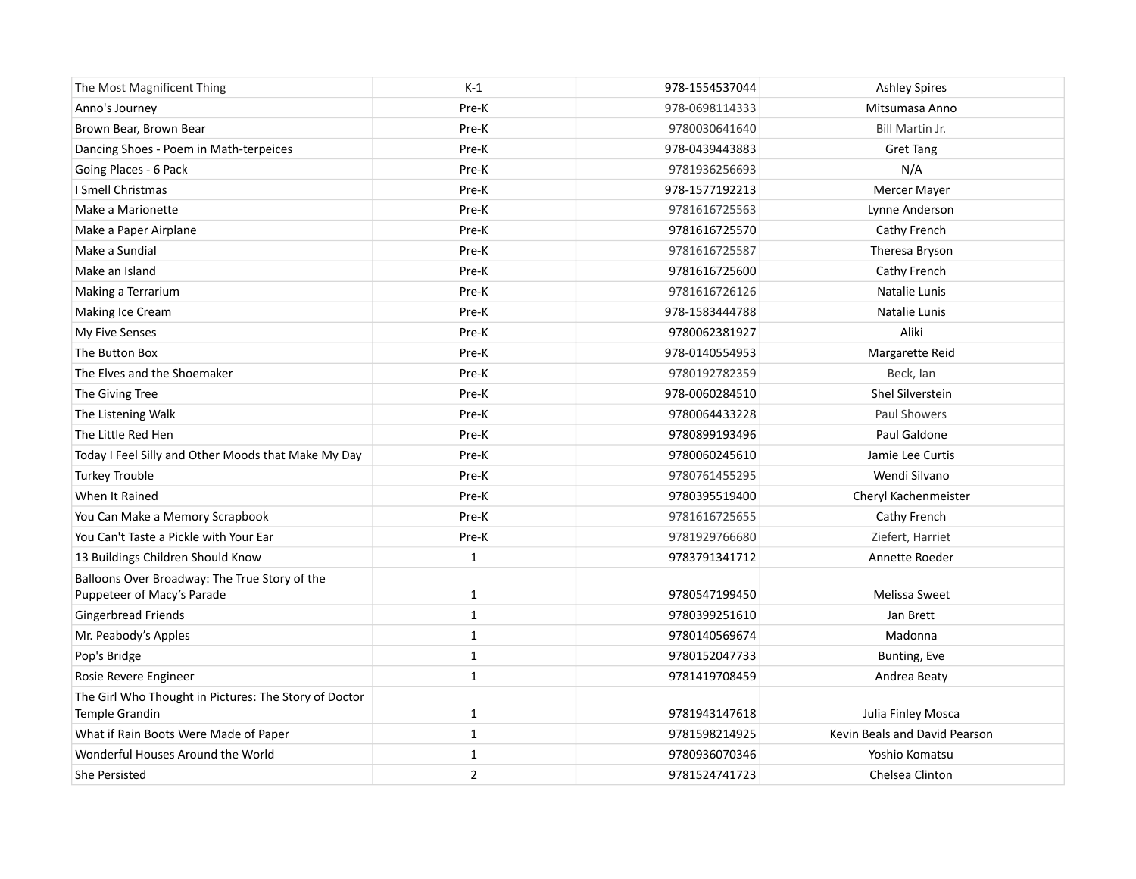| The Most Magnificent Thing                                                  | $K-1$        | 978-1554537044 | <b>Ashley Spires</b>          |
|-----------------------------------------------------------------------------|--------------|----------------|-------------------------------|
| Anno's Journey                                                              | Pre-K        | 978-0698114333 | Mitsumasa Anno                |
| Brown Bear, Brown Bear                                                      | Pre-K        | 9780030641640  | Bill Martin Jr.               |
| Dancing Shoes - Poem in Math-terpeices                                      | Pre-K        | 978-0439443883 | <b>Gret Tang</b>              |
| Going Places - 6 Pack                                                       | Pre-K        | 9781936256693  | N/A                           |
| I Smell Christmas                                                           | Pre-K        | 978-1577192213 | Mercer Mayer                  |
| Make a Marionette                                                           | Pre-K        | 9781616725563  | Lynne Anderson                |
| Make a Paper Airplane                                                       | Pre-K        | 9781616725570  | Cathy French                  |
| Make a Sundial                                                              | Pre-K        | 9781616725587  | Theresa Bryson                |
| Make an Island                                                              | Pre-K        | 9781616725600  | Cathy French                  |
| Making a Terrarium                                                          | Pre-K        | 9781616726126  | Natalie Lunis                 |
| Making Ice Cream                                                            | Pre-K        | 978-1583444788 | Natalie Lunis                 |
| My Five Senses                                                              | Pre-K        | 9780062381927  | Aliki                         |
| The Button Box                                                              | Pre-K        | 978-0140554953 | Margarette Reid               |
| The Elves and the Shoemaker                                                 | Pre-K        | 9780192782359  | Beck, Ian                     |
| The Giving Tree                                                             | Pre-K        | 978-0060284510 | Shel Silverstein              |
| The Listening Walk                                                          | Pre-K        | 9780064433228  | Paul Showers                  |
| The Little Red Hen                                                          | Pre-K        | 9780899193496  | Paul Galdone                  |
| Today I Feel Silly and Other Moods that Make My Day                         | Pre-K        | 9780060245610  | Jamie Lee Curtis              |
| <b>Turkey Trouble</b>                                                       | Pre-K        | 9780761455295  | Wendi Silvano                 |
| When It Rained                                                              | Pre-K        | 9780395519400  | Cheryl Kachenmeister          |
| You Can Make a Memory Scrapbook                                             | Pre-K        | 9781616725655  | Cathy French                  |
| You Can't Taste a Pickle with Your Ear                                      | Pre-K        | 9781929766680  | Ziefert, Harriet              |
| 13 Buildings Children Should Know                                           | $\mathbf{1}$ | 9783791341712  | Annette Roeder                |
| Balloons Over Broadway: The True Story of the<br>Puppeteer of Macy's Parade | 1            | 9780547199450  | Melissa Sweet                 |
| Gingerbread Friends                                                         | $\mathbf 1$  | 9780399251610  | Jan Brett                     |
| Mr. Peabody's Apples                                                        | $\mathbf{1}$ | 9780140569674  | Madonna                       |
| Pop's Bridge                                                                | $\mathbf{1}$ | 9780152047733  | Bunting, Eve                  |
| Rosie Revere Engineer                                                       | $\mathbf 1$  | 9781419708459  | Andrea Beaty                  |
| The Girl Who Thought in Pictures: The Story of Doctor<br>Temple Grandin     | $\mathbf{1}$ | 9781943147618  | Julia Finley Mosca            |
| What if Rain Boots Were Made of Paper                                       | $\mathbf{1}$ | 9781598214925  | Kevin Beals and David Pearson |
| Wonderful Houses Around the World                                           | 1            | 9780936070346  | Yoshio Komatsu                |
| She Persisted                                                               | $\mathbf 2$  | 9781524741723  | Chelsea Clinton               |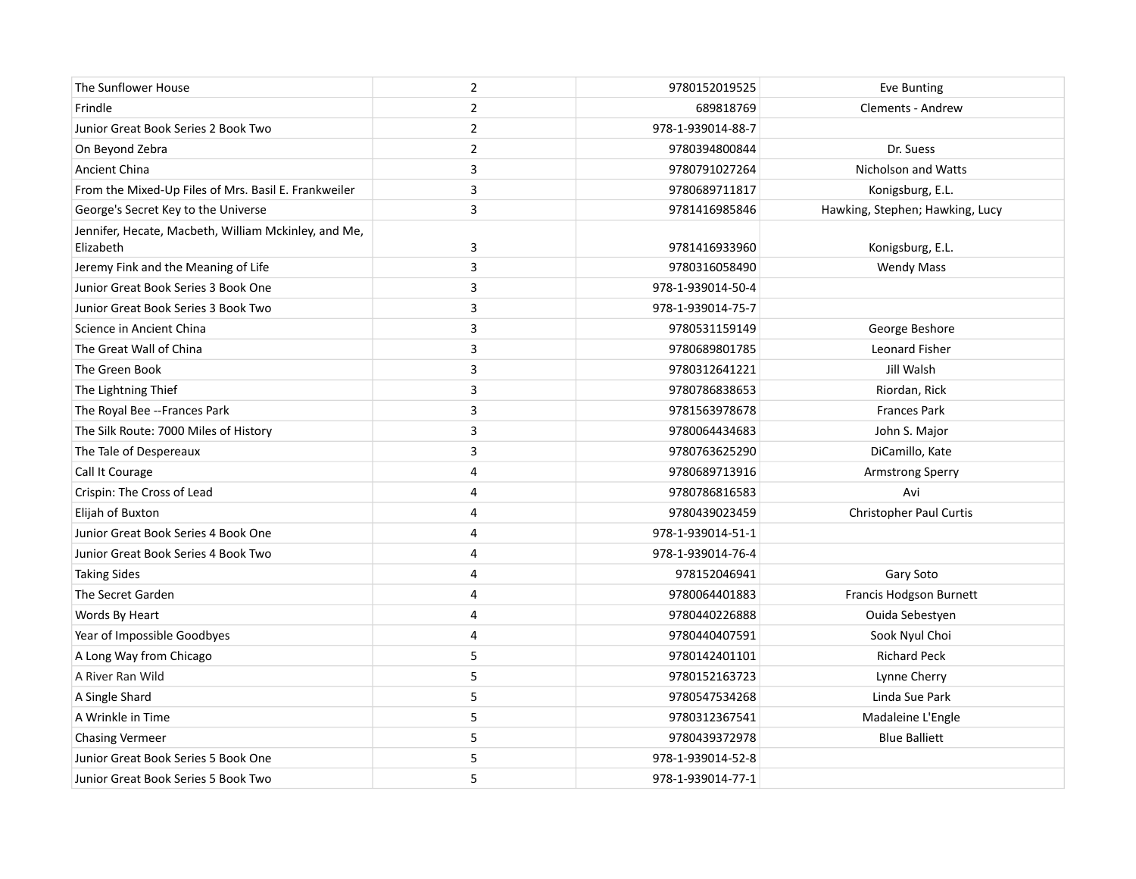| The Sunflower House                                               | $\overline{2}$ | 9780152019525     | Eve Bunting                     |
|-------------------------------------------------------------------|----------------|-------------------|---------------------------------|
| Frindle                                                           | $\overline{2}$ | 689818769         | Clements - Andrew               |
| Junior Great Book Series 2 Book Two                               | $\overline{2}$ | 978-1-939014-88-7 |                                 |
| On Beyond Zebra                                                   | $\overline{2}$ | 9780394800844     | Dr. Suess                       |
| Ancient China                                                     | 3              | 9780791027264     | Nicholson and Watts             |
| From the Mixed-Up Files of Mrs. Basil E. Frankweiler              | 3              | 9780689711817     | Konigsburg, E.L.                |
| George's Secret Key to the Universe                               | 3              | 9781416985846     | Hawking, Stephen; Hawking, Lucy |
| Jennifer, Hecate, Macbeth, William Mckinley, and Me,<br>Elizabeth | 3              | 9781416933960     | Konigsburg, E.L.                |
| Jeremy Fink and the Meaning of Life                               | 3              | 9780316058490     | <b>Wendy Mass</b>               |
| Junior Great Book Series 3 Book One                               | 3              | 978-1-939014-50-4 |                                 |
| Junior Great Book Series 3 Book Two                               | 3              | 978-1-939014-75-7 |                                 |
| Science in Ancient China                                          | 3              | 9780531159149     | George Beshore                  |
| The Great Wall of China                                           | 3              | 9780689801785     | <b>Leonard Fisher</b>           |
| The Green Book                                                    | 3              | 9780312641221     | Jill Walsh                      |
| The Lightning Thief                                               | 3              | 9780786838653     | Riordan, Rick                   |
| The Royal Bee -- Frances Park                                     | 3              | 9781563978678     | <b>Frances Park</b>             |
| The Silk Route: 7000 Miles of History                             | 3              | 9780064434683     | John S. Major                   |
| The Tale of Despereaux                                            | 3              | 9780763625290     | DiCamillo, Kate                 |
| Call It Courage                                                   | 4              | 9780689713916     | Armstrong Sperry                |
| Crispin: The Cross of Lead                                        | 4              | 9780786816583     | Avi                             |
| Elijah of Buxton                                                  | 4              | 9780439023459     | <b>Christopher Paul Curtis</b>  |
| Junior Great Book Series 4 Book One                               | 4              | 978-1-939014-51-1 |                                 |
| Junior Great Book Series 4 Book Two                               | 4              | 978-1-939014-76-4 |                                 |
| <b>Taking Sides</b>                                               | $\overline{4}$ | 978152046941      | Gary Soto                       |
| The Secret Garden                                                 | 4              | 9780064401883     | Francis Hodgson Burnett         |
| Words By Heart                                                    | 4              | 9780440226888     | Ouida Sebestyen                 |
| Year of Impossible Goodbyes                                       | 4              | 9780440407591     | Sook Nyul Choi                  |
| A Long Way from Chicago                                           | 5              | 9780142401101     | <b>Richard Peck</b>             |
| A River Ran Wild                                                  | 5              | 9780152163723     | Lynne Cherry                    |
| A Single Shard                                                    | 5              | 9780547534268     | Linda Sue Park                  |
| A Wrinkle in Time                                                 | 5              | 9780312367541     | Madaleine L'Engle               |
| <b>Chasing Vermeer</b>                                            | 5              | 9780439372978     | <b>Blue Balliett</b>            |
| Junior Great Book Series 5 Book One                               | 5              | 978-1-939014-52-8 |                                 |
| Junior Great Book Series 5 Book Two                               | 5              | 978-1-939014-77-1 |                                 |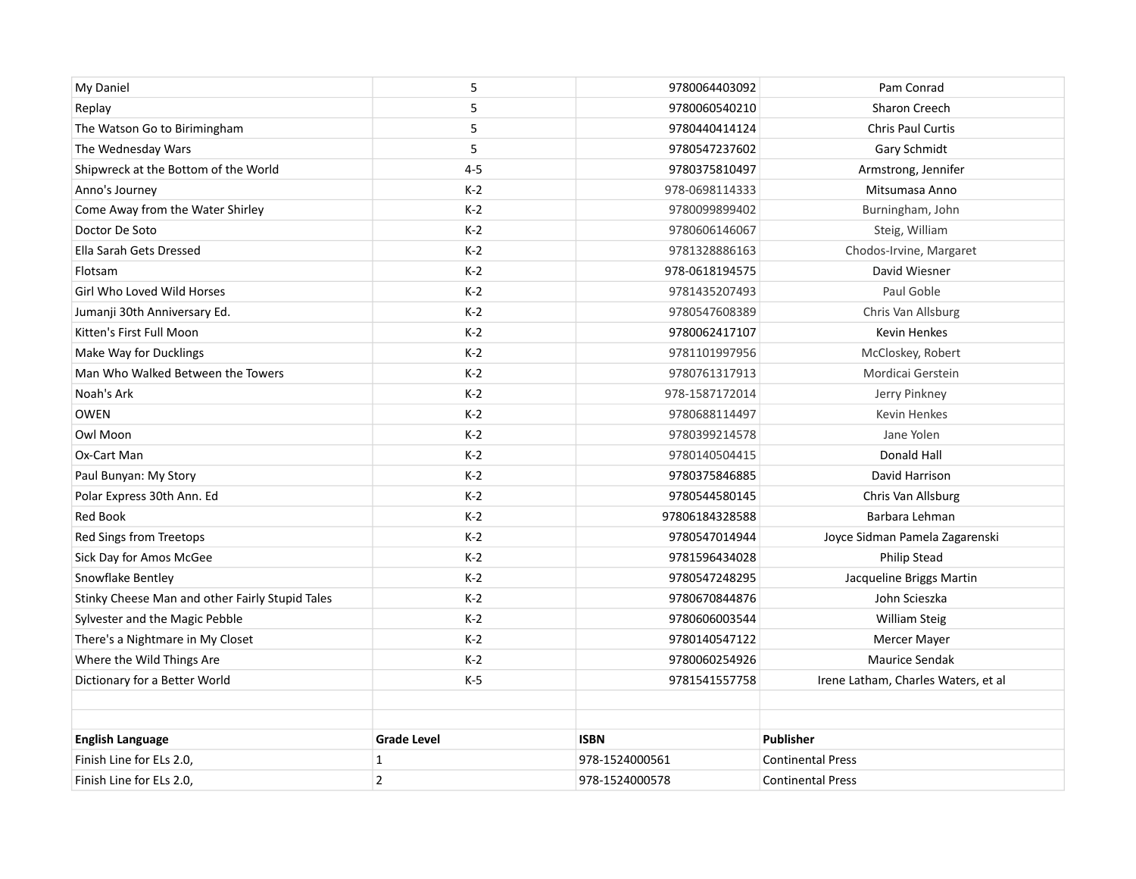| My Daniel                                       | 5                  | 9780064403092  | Pam Conrad                          |
|-------------------------------------------------|--------------------|----------------|-------------------------------------|
| Replay                                          | 5                  | 9780060540210  | <b>Sharon Creech</b>                |
| The Watson Go to Birimingham                    | 5                  | 9780440414124  | <b>Chris Paul Curtis</b>            |
| The Wednesday Wars                              | 5                  | 9780547237602  | Gary Schmidt                        |
| Shipwreck at the Bottom of the World            | $4 - 5$            | 9780375810497  | Armstrong, Jennifer                 |
| Anno's Journey                                  | $K-2$              | 978-0698114333 | Mitsumasa Anno                      |
| Come Away from the Water Shirley                | $K-2$              | 9780099899402  | Burningham, John                    |
| Doctor De Soto                                  | $K-2$              | 9780606146067  | Steig, William                      |
| Ella Sarah Gets Dressed                         | $K-2$              | 9781328886163  | Chodos-Irvine, Margaret             |
| Flotsam                                         | $K-2$              | 978-0618194575 | David Wiesner                       |
| Girl Who Loved Wild Horses                      | $K-2$              | 9781435207493  | Paul Goble                          |
| Jumanji 30th Anniversary Ed.                    | $K-2$              | 9780547608389  | Chris Van Allsburg                  |
| Kitten's First Full Moon                        | $K-2$              | 9780062417107  | Kevin Henkes                        |
| Make Way for Ducklings                          | $K-2$              | 9781101997956  | McCloskey, Robert                   |
| Man Who Walked Between the Towers               | $K-2$              | 9780761317913  | Mordicai Gerstein                   |
| Noah's Ark                                      | $K-2$              | 978-1587172014 | Jerry Pinkney                       |
| <b>OWEN</b>                                     | $K-2$              | 9780688114497  | Kevin Henkes                        |
| Owl Moon                                        | $K-2$              | 9780399214578  | Jane Yolen                          |
| Ox-Cart Man                                     | $K-2$              | 9780140504415  | Donald Hall                         |
| Paul Bunyan: My Story                           | $K-2$              | 9780375846885  | David Harrison                      |
| Polar Express 30th Ann. Ed                      | $K-2$              | 9780544580145  | Chris Van Allsburg                  |
| Red Book                                        | $K-2$              | 97806184328588 | Barbara Lehman                      |
| Red Sings from Treetops                         | $K-2$              | 9780547014944  | Joyce Sidman Pamela Zagarenski      |
| Sick Day for Amos McGee                         | $K-2$              | 9781596434028  | Philip Stead                        |
| Snowflake Bentley                               | $K-2$              | 9780547248295  | Jacqueline Briggs Martin            |
| Stinky Cheese Man and other Fairly Stupid Tales | $K-2$              | 9780670844876  | John Scieszka                       |
| Sylvester and the Magic Pebble                  | $K-2$              | 9780606003544  | William Steig                       |
| There's a Nightmare in My Closet                | $K-2$              | 9780140547122  | Mercer Mayer                        |
| Where the Wild Things Are                       | $K-2$              | 9780060254926  | Maurice Sendak                      |
| Dictionary for a Better World                   | $K-5$              | 9781541557758  | Irene Latham, Charles Waters, et al |
|                                                 |                    |                |                                     |
|                                                 |                    |                |                                     |
| <b>English Language</b>                         | <b>Grade Level</b> | <b>ISBN</b>    | <b>Publisher</b>                    |
| Finish Line for ELs 2.0,                        | $\mathbf{1}$       | 978-1524000561 | <b>Continental Press</b>            |
| Finish Line for ELs 2.0,                        | $\overline{2}$     | 978-1524000578 | <b>Continental Press</b>            |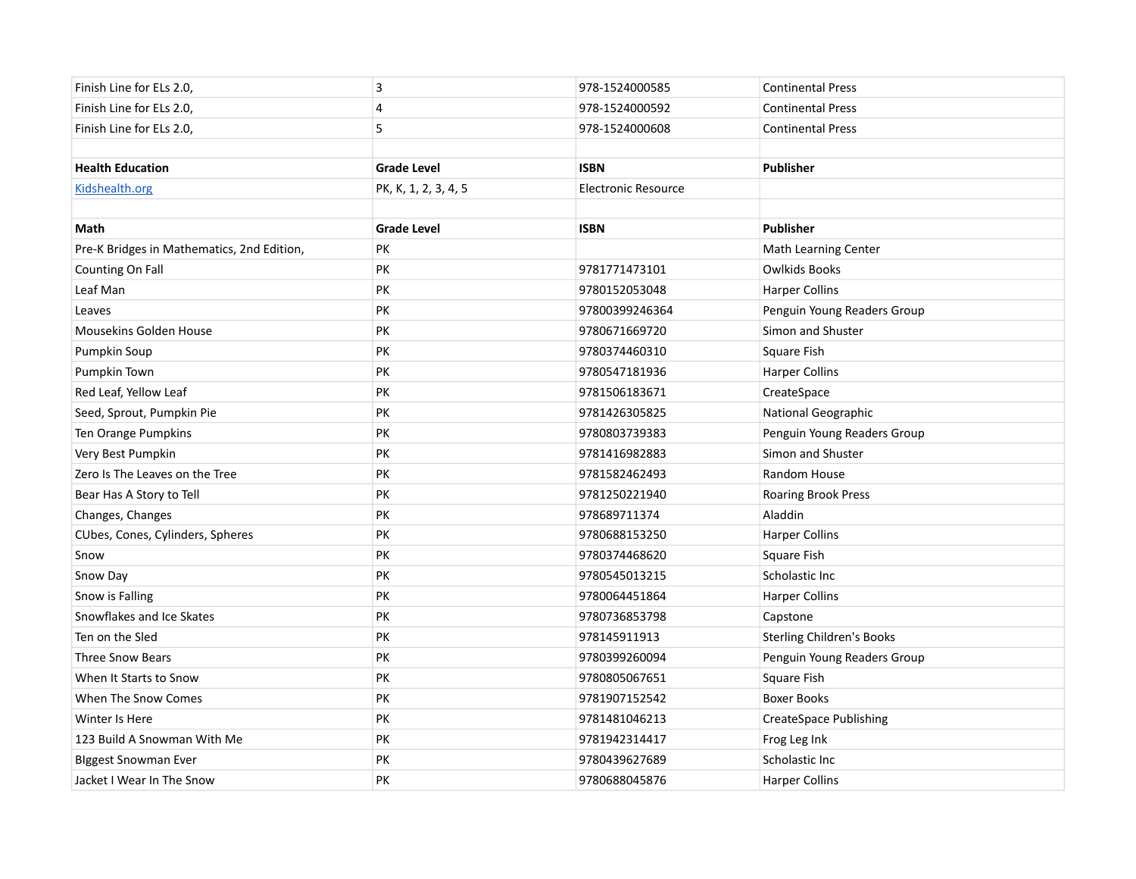| Finish Line for ELs 2.0,                   | 3                    | 978-1524000585             | <b>Continental Press</b>         |
|--------------------------------------------|----------------------|----------------------------|----------------------------------|
| Finish Line for ELs 2.0,                   | 4                    | 978-1524000592             | <b>Continental Press</b>         |
| Finish Line for ELs 2.0,                   | 5                    | 978-1524000608             | <b>Continental Press</b>         |
|                                            |                      |                            |                                  |
| <b>Health Education</b>                    | <b>Grade Level</b>   | <b>ISBN</b>                | Publisher                        |
| Kidshealth.org                             | PK, K, 1, 2, 3, 4, 5 | <b>Electronic Resource</b> |                                  |
|                                            |                      |                            |                                  |
| Math                                       | <b>Grade Level</b>   | <b>ISBN</b>                | <b>Publisher</b>                 |
| Pre-K Bridges in Mathematics, 2nd Edition, | PK                   |                            | <b>Math Learning Center</b>      |
| Counting On Fall                           | PK                   | 9781771473101              | Owlkids Books                    |
| Leaf Man                                   | PK                   | 9780152053048              | <b>Harper Collins</b>            |
| Leaves                                     | PK                   | 97800399246364             | Penguin Young Readers Group      |
| Mousekins Golden House                     | PK                   | 9780671669720              | Simon and Shuster                |
| Pumpkin Soup                               | PK                   | 9780374460310              | Square Fish                      |
| Pumpkin Town                               | PK                   | 9780547181936              | <b>Harper Collins</b>            |
| Red Leaf, Yellow Leaf                      | PK                   | 9781506183671              | CreateSpace                      |
| Seed, Sprout, Pumpkin Pie                  | PK                   | 9781426305825              | National Geographic              |
| Ten Orange Pumpkins                        | PK                   | 9780803739383              | Penguin Young Readers Group      |
| Very Best Pumpkin                          | PK                   | 9781416982883              | Simon and Shuster                |
| Zero Is The Leaves on the Tree             | PK                   | 9781582462493              | Random House                     |
| Bear Has A Story to Tell                   | PK                   | 9781250221940              | Roaring Brook Press              |
| Changes, Changes                           | PK                   | 978689711374               | Aladdin                          |
| CUbes, Cones, Cylinders, Spheres           | PK                   | 9780688153250              | <b>Harper Collins</b>            |
| Snow                                       | PK                   | 9780374468620              | Square Fish                      |
| Snow Day                                   | PK                   | 9780545013215              | Scholastic Inc                   |
| Snow is Falling                            | PK                   | 9780064451864              | <b>Harper Collins</b>            |
| Snowflakes and Ice Skates                  | PK                   | 9780736853798              | Capstone                         |
| Ten on the Sled                            | PK                   | 978145911913               | <b>Sterling Children's Books</b> |
| <b>Three Snow Bears</b>                    | PK                   | 9780399260094              | Penguin Young Readers Group      |
| When It Starts to Snow                     | PK                   | 9780805067651              | Square Fish                      |
| When The Snow Comes                        | PK                   | 9781907152542              | <b>Boxer Books</b>               |
| Winter Is Here                             | <b>PK</b>            | 9781481046213              | <b>CreateSpace Publishing</b>    |
| 123 Build A Snowman With Me                | PK                   | 9781942314417              | Frog Leg Ink                     |
| <b>Biggest Snowman Ever</b>                | PK                   | 9780439627689              | Scholastic Inc                   |
| Jacket I Wear In The Snow                  | PK                   | 9780688045876              | <b>Harper Collins</b>            |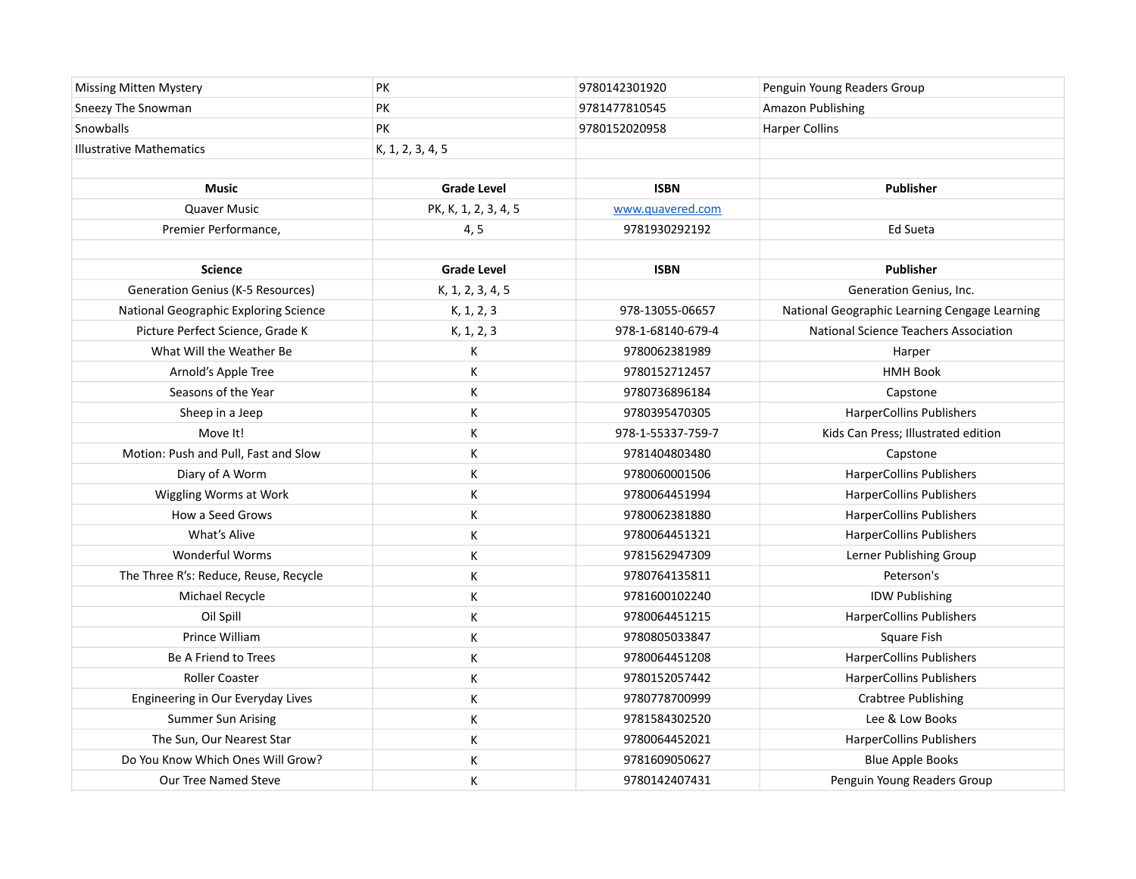|                                                            | <b>PK</b>            | 9780142301920     | Penguin Young Readers Group                   |
|------------------------------------------------------------|----------------------|-------------------|-----------------------------------------------|
| <b>Missing Mitten Mystery</b><br><b>Sneezy The Snowman</b> | <b>PK</b>            | 9781477810545     | Amazon Publishing                             |
|                                                            | PK                   |                   |                                               |
| Snowballs                                                  |                      | 9780152020958     | <b>Harper Collins</b>                         |
| <b>Illustrative Mathematics</b>                            | K, 1, 2, 3, 4, 5     |                   |                                               |
|                                                            |                      |                   |                                               |
| <b>Music</b>                                               | <b>Grade Level</b>   | <b>ISBN</b>       | <b>Publisher</b>                              |
| Quaver Music                                               | PK, K, 1, 2, 3, 4, 5 | www.quavered.com  |                                               |
| Premier Performance,                                       | 4, 5                 | 9781930292192     | Ed Sueta                                      |
|                                                            |                      |                   |                                               |
| <b>Science</b>                                             | <b>Grade Level</b>   | <b>ISBN</b>       | <b>Publisher</b>                              |
| <b>Generation Genius (K-5 Resources)</b>                   | K, 1, 2, 3, 4, 5     |                   | Generation Genius, Inc.                       |
| National Geographic Exploring Science                      | K, 1, 2, 3           | 978-13055-06657   | National Geographic Learning Cengage Learning |
| Picture Perfect Science, Grade K                           | K, 1, 2, 3           | 978-1-68140-679-4 | National Science Teachers Association         |
| What Will the Weather Be                                   | К                    | 9780062381989     | Harper                                        |
| Arnold's Apple Tree                                        | К                    | 9780152712457     | <b>HMH Book</b>                               |
| Seasons of the Year                                        | К                    | 9780736896184     | Capstone                                      |
| Sheep in a Jeep                                            | К                    | 9780395470305     | <b>HarperCollins Publishers</b>               |
| Move It!                                                   | К                    | 978-1-55337-759-7 | Kids Can Press; Illustrated edition           |
| Motion: Push and Pull, Fast and Slow                       | К                    | 9781404803480     | Capstone                                      |
| Diary of A Worm                                            | К                    | 9780060001506     | <b>HarperCollins Publishers</b>               |
| Wiggling Worms at Work                                     | К                    | 9780064451994     | <b>HarperCollins Publishers</b>               |
| How a Seed Grows                                           | К                    | 9780062381880     | <b>HarperCollins Publishers</b>               |
| What's Alive                                               | К                    | 9780064451321     | <b>HarperCollins Publishers</b>               |
| <b>Wonderful Worms</b>                                     | К                    | 9781562947309     | Lerner Publishing Group                       |
| The Three R's: Reduce, Reuse, Recycle                      | К                    | 9780764135811     | Peterson's                                    |
| Michael Recycle                                            | К                    | 9781600102240     | <b>IDW Publishing</b>                         |
| Oil Spill                                                  | К                    | 9780064451215     | <b>HarperCollins Publishers</b>               |
| Prince William                                             | К                    | 9780805033847     | Square Fish                                   |
| Be A Friend to Trees                                       | К                    | 9780064451208     | <b>HarperCollins Publishers</b>               |
| <b>Roller Coaster</b>                                      | К                    | 9780152057442     | <b>HarperCollins Publishers</b>               |
| Engineering in Our Everyday Lives                          | К                    | 9780778700999     | <b>Crabtree Publishing</b>                    |
| <b>Summer Sun Arising</b>                                  | К                    | 9781584302520     | Lee & Low Books                               |
| The Sun, Our Nearest Star                                  | К                    | 9780064452021     | <b>HarperCollins Publishers</b>               |
| Do You Know Which Ones Will Grow?                          | К                    | 9781609050627     | <b>Blue Apple Books</b>                       |
| Our Tree Named Steve                                       | К                    | 9780142407431     | Penguin Young Readers Group                   |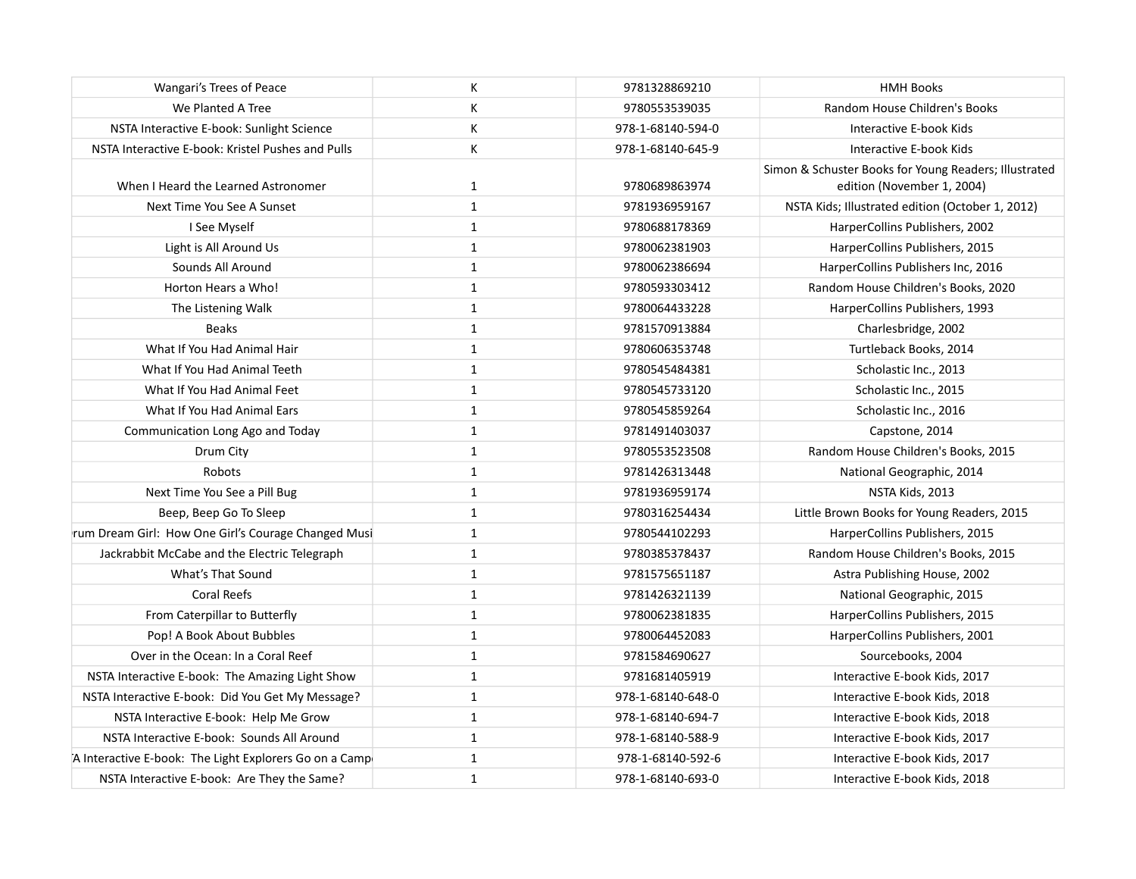| Wangari's Trees of Peace                               | К            | 9781328869210     | <b>HMH Books</b>                                                                    |
|--------------------------------------------------------|--------------|-------------------|-------------------------------------------------------------------------------------|
| We Planted A Tree                                      | К            | 9780553539035     | Random House Children's Books                                                       |
| NSTA Interactive E-book: Sunlight Science              | К            | 978-1-68140-594-0 | Interactive E-book Kids                                                             |
| NSTA Interactive E-book: Kristel Pushes and Pulls      | K            | 978-1-68140-645-9 | Interactive E-book Kids                                                             |
| When I Heard the Learned Astronomer                    | $\mathbf{1}$ | 9780689863974     | Simon & Schuster Books for Young Readers; Illustrated<br>edition (November 1, 2004) |
| Next Time You See A Sunset                             | $\mathbf{1}$ | 9781936959167     | NSTA Kids; Illustrated edition (October 1, 2012)                                    |
| I See Myself                                           | $\mathbf{1}$ | 9780688178369     | HarperCollins Publishers, 2002                                                      |
| Light is All Around Us                                 | $\mathbf{1}$ | 9780062381903     | HarperCollins Publishers, 2015                                                      |
| Sounds All Around                                      | $\mathbf{1}$ | 9780062386694     | HarperCollins Publishers Inc, 2016                                                  |
| Horton Hears a Who!                                    | $\mathbf{1}$ | 9780593303412     | Random House Children's Books, 2020                                                 |
| The Listening Walk                                     | $\mathbf 1$  | 9780064433228     | HarperCollins Publishers, 1993                                                      |
| <b>Beaks</b>                                           | $\mathbf{1}$ | 9781570913884     | Charlesbridge, 2002                                                                 |
| What If You Had Animal Hair                            | $\mathbf{1}$ | 9780606353748     | Turtleback Books, 2014                                                              |
| What If You Had Animal Teeth                           | $\mathbf{1}$ | 9780545484381     | Scholastic Inc., 2013                                                               |
| What If You Had Animal Feet                            | $\mathbf{1}$ | 9780545733120     | Scholastic Inc., 2015                                                               |
| What If You Had Animal Ears                            | $\mathbf{1}$ | 9780545859264     | Scholastic Inc., 2016                                                               |
| Communication Long Ago and Today                       | $\mathbf{1}$ | 9781491403037     | Capstone, 2014                                                                      |
| Drum City                                              | $\mathbf{1}$ | 9780553523508     | Random House Children's Books, 2015                                                 |
| <b>Robots</b>                                          | $\mathbf{1}$ | 9781426313448     | National Geographic, 2014                                                           |
| Next Time You See a Pill Bug                           | $\mathbf{1}$ | 9781936959174     | NSTA Kids, 2013                                                                     |
| Beep, Beep Go To Sleep                                 | $\mathbf{1}$ | 9780316254434     | Little Brown Books for Young Readers, 2015                                          |
| rum Dream Girl: How One Girl's Courage Changed Musi    | $\mathbf{1}$ | 9780544102293     | HarperCollins Publishers, 2015                                                      |
| Jackrabbit McCabe and the Electric Telegraph           | $\mathbf{1}$ | 9780385378437     | Random House Children's Books, 2015                                                 |
| What's That Sound                                      | $\mathbf{1}$ | 9781575651187     | Astra Publishing House, 2002                                                        |
| <b>Coral Reefs</b>                                     | $\mathbf{1}$ | 9781426321139     | National Geographic, 2015                                                           |
| From Caterpillar to Butterfly                          | $\mathbf{1}$ | 9780062381835     | HarperCollins Publishers, 2015                                                      |
| Pop! A Book About Bubbles                              | $\mathbf{1}$ | 9780064452083     | HarperCollins Publishers, 2001                                                      |
| Over in the Ocean: In a Coral Reef                     | $\mathbf{1}$ | 9781584690627     | Sourcebooks, 2004                                                                   |
| NSTA Interactive E-book: The Amazing Light Show        | $\mathbf{1}$ | 9781681405919     | Interactive E-book Kids, 2017                                                       |
| NSTA Interactive E-book: Did You Get My Message?       | $\mathbf{1}$ | 978-1-68140-648-0 | Interactive E-book Kids, 2018                                                       |
| NSTA Interactive E-book: Help Me Grow                  | $\mathbf{1}$ | 978-1-68140-694-7 | Interactive E-book Kids, 2018                                                       |
| NSTA Interactive E-book: Sounds All Around             | $\mathbf{1}$ | 978-1-68140-588-9 | Interactive E-book Kids, 2017                                                       |
| A Interactive E-book: The Light Explorers Go on a Camp | $\mathbf{1}$ | 978-1-68140-592-6 | Interactive E-book Kids, 2017                                                       |
| NSTA Interactive E-book: Are They the Same?            | $\mathbf{1}$ | 978-1-68140-693-0 | Interactive E-book Kids, 2018                                                       |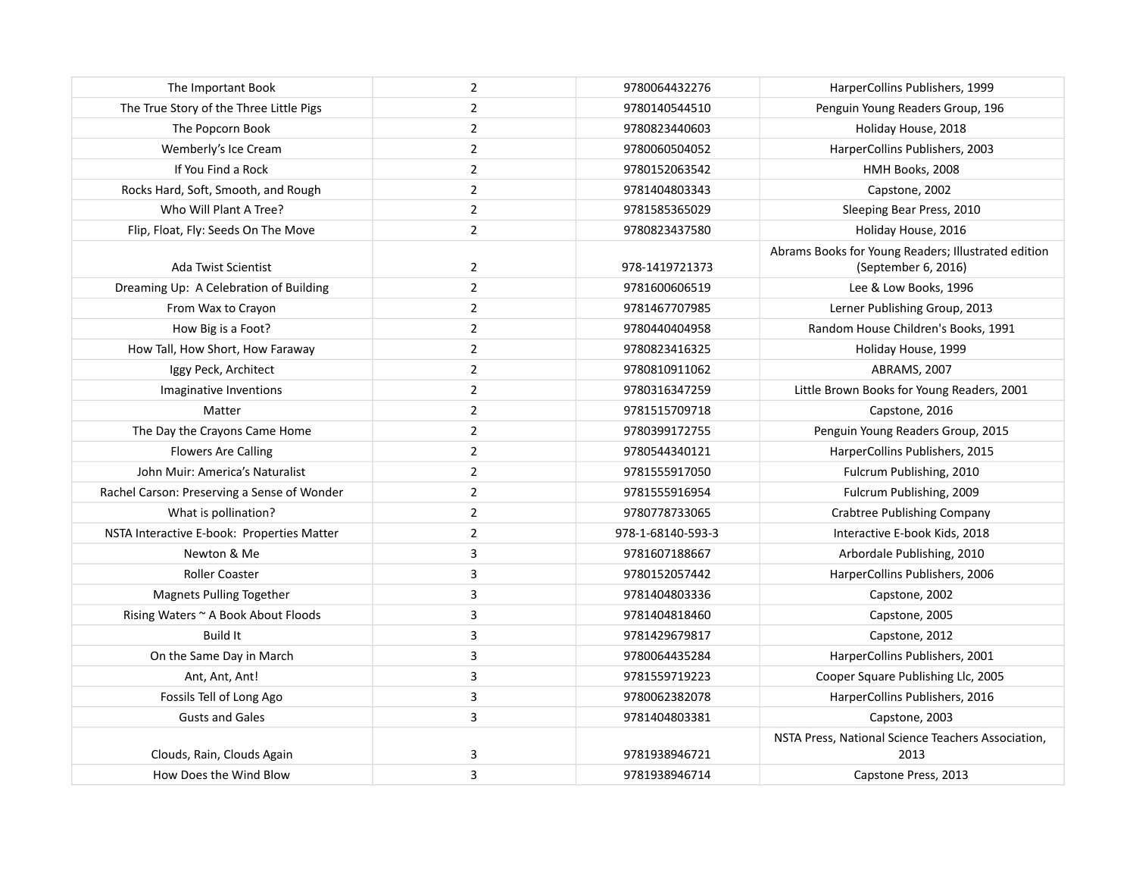| The Important Book                          | $\overline{2}$ | 9780064432276     | HarperCollins Publishers, 1999                                             |
|---------------------------------------------|----------------|-------------------|----------------------------------------------------------------------------|
| The True Story of the Three Little Pigs     | $\overline{2}$ | 9780140544510     | Penguin Young Readers Group, 196                                           |
| The Popcorn Book                            | $\overline{2}$ | 9780823440603     | Holiday House, 2018                                                        |
| Wemberly's Ice Cream                        | $\overline{2}$ | 9780060504052     | HarperCollins Publishers, 2003                                             |
| If You Find a Rock                          | $\overline{2}$ | 9780152063542     | HMH Books, 2008                                                            |
| Rocks Hard, Soft, Smooth, and Rough         | $\overline{2}$ | 9781404803343     | Capstone, 2002                                                             |
| Who Will Plant A Tree?                      | $\overline{2}$ | 9781585365029     | Sleeping Bear Press, 2010                                                  |
| Flip, Float, Fly: Seeds On The Move         | $\overline{2}$ | 9780823437580     | Holiday House, 2016                                                        |
| Ada Twist Scientist                         | $\overline{2}$ | 978-1419721373    | Abrams Books for Young Readers; Illustrated edition<br>(September 6, 2016) |
| Dreaming Up: A Celebration of Building      | $\overline{2}$ | 9781600606519     | Lee & Low Books, 1996                                                      |
| From Wax to Crayon                          | $\overline{2}$ | 9781467707985     | Lerner Publishing Group, 2013                                              |
| How Big is a Foot?                          | $\mathbf 2$    | 9780440404958     | Random House Children's Books, 1991                                        |
| How Tall, How Short, How Faraway            | $\overline{2}$ | 9780823416325     | Holiday House, 1999                                                        |
| Iggy Peck, Architect                        | $\overline{2}$ | 9780810911062     | ABRAMS, 2007                                                               |
| Imaginative Inventions                      | $\overline{2}$ | 9780316347259     | Little Brown Books for Young Readers, 2001                                 |
| Matter                                      | $\overline{2}$ | 9781515709718     | Capstone, 2016                                                             |
| The Day the Crayons Came Home               | $\overline{2}$ | 9780399172755     | Penguin Young Readers Group, 2015                                          |
| <b>Flowers Are Calling</b>                  | $\overline{2}$ | 9780544340121     | HarperCollins Publishers, 2015                                             |
| John Muir: America's Naturalist             | $\overline{2}$ | 9781555917050     | Fulcrum Publishing, 2010                                                   |
| Rachel Carson: Preserving a Sense of Wonder | $\overline{2}$ | 9781555916954     | Fulcrum Publishing, 2009                                                   |
| What is pollination?                        | $\overline{2}$ | 9780778733065     | <b>Crabtree Publishing Company</b>                                         |
| NSTA Interactive E-book: Properties Matter  | $\mathbf 2$    | 978-1-68140-593-3 | Interactive E-book Kids, 2018                                              |
| Newton & Me                                 | 3              | 9781607188667     | Arbordale Publishing, 2010                                                 |
| <b>Roller Coaster</b>                       | 3              | 9780152057442     | HarperCollins Publishers, 2006                                             |
| Magnets Pulling Together                    | 3              | 9781404803336     | Capstone, 2002                                                             |
| Rising Waters ~ A Book About Floods         | 3              | 9781404818460     | Capstone, 2005                                                             |
| <b>Build It</b>                             | 3              | 9781429679817     | Capstone, 2012                                                             |
| On the Same Day in March                    | 3              | 9780064435284     | HarperCollins Publishers, 2001                                             |
| Ant, Ant, Ant!                              | 3              | 9781559719223     | Cooper Square Publishing Llc, 2005                                         |
| Fossils Tell of Long Ago                    | 3              | 9780062382078     | HarperCollins Publishers, 2016                                             |
| <b>Gusts and Gales</b>                      | 3              | 9781404803381     | Capstone, 2003                                                             |
| Clouds, Rain, Clouds Again                  | 3              | 9781938946721     | NSTA Press, National Science Teachers Association,<br>2013                 |
| How Does the Wind Blow                      | 3              | 9781938946714     | Capstone Press, 2013                                                       |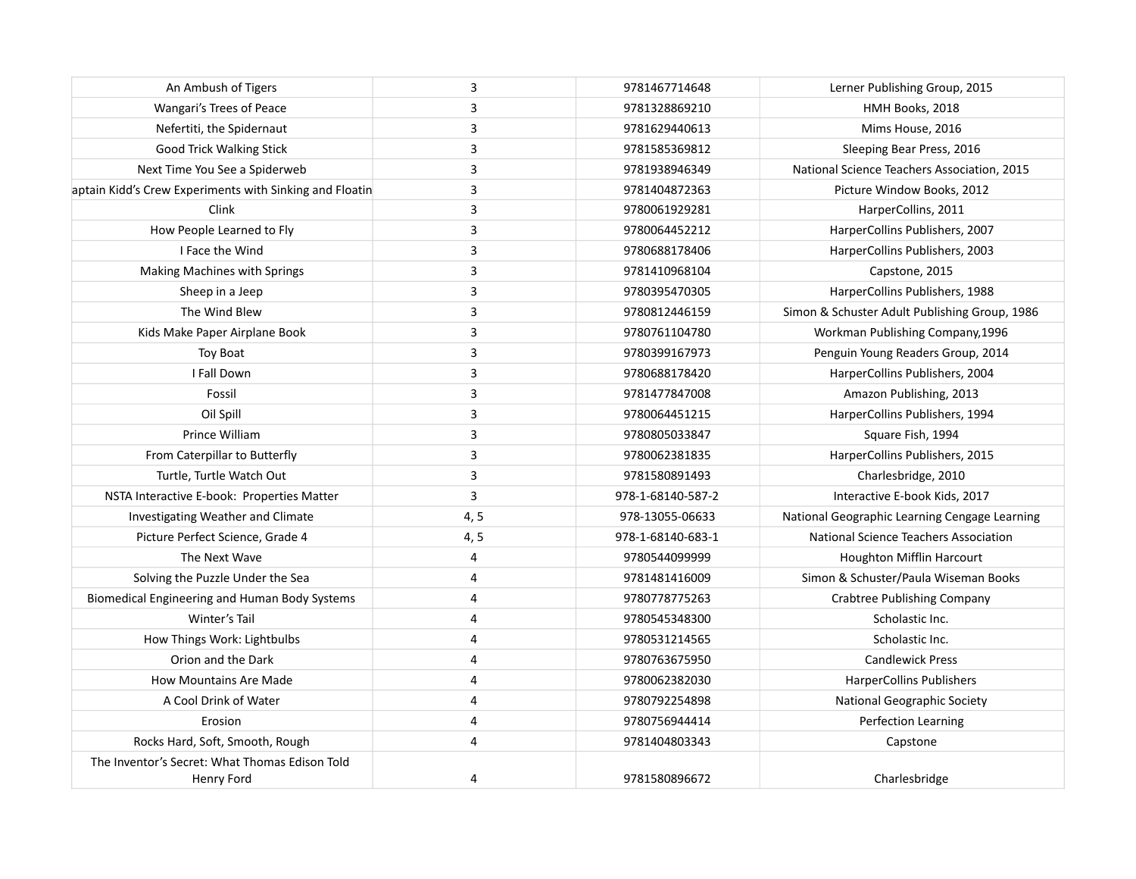| An Ambush of Tigers                                          | 3    | 9781467714648     | Lerner Publishing Group, 2015                 |
|--------------------------------------------------------------|------|-------------------|-----------------------------------------------|
| Wangari's Trees of Peace                                     | 3    | 9781328869210     | HMH Books, 2018                               |
| Nefertiti, the Spidernaut                                    | 3    | 9781629440613     | Mims House, 2016                              |
| <b>Good Trick Walking Stick</b>                              | 3    | 9781585369812     | Sleeping Bear Press, 2016                     |
| Next Time You See a Spiderweb                                | 3    | 9781938946349     | National Science Teachers Association, 2015   |
| aptain Kidd's Crew Experiments with Sinking and Floatin      | 3    | 9781404872363     | Picture Window Books, 2012                    |
| Clink                                                        | 3    | 9780061929281     | HarperCollins, 2011                           |
| How People Learned to Fly                                    | 3    | 9780064452212     | HarperCollins Publishers, 2007                |
| I Face the Wind                                              | 3    | 9780688178406     | HarperCollins Publishers, 2003                |
| Making Machines with Springs                                 | 3    | 9781410968104     | Capstone, 2015                                |
| Sheep in a Jeep                                              | 3    | 9780395470305     | HarperCollins Publishers, 1988                |
| The Wind Blew                                                | 3    | 9780812446159     | Simon & Schuster Adult Publishing Group, 1986 |
| Kids Make Paper Airplane Book                                | 3    | 9780761104780     | Workman Publishing Company, 1996              |
| Toy Boat                                                     | 3    | 9780399167973     | Penguin Young Readers Group, 2014             |
| I Fall Down                                                  | 3    | 9780688178420     | HarperCollins Publishers, 2004                |
| Fossil                                                       | 3    | 9781477847008     | Amazon Publishing, 2013                       |
| Oil Spill                                                    | 3    | 9780064451215     | HarperCollins Publishers, 1994                |
| Prince William                                               | 3    | 9780805033847     | Square Fish, 1994                             |
| From Caterpillar to Butterfly                                | 3    | 9780062381835     | HarperCollins Publishers, 2015                |
| Turtle, Turtle Watch Out                                     | 3    | 9781580891493     | Charlesbridge, 2010                           |
| NSTA Interactive E-book: Properties Matter                   | 3    | 978-1-68140-587-2 | Interactive E-book Kids, 2017                 |
| Investigating Weather and Climate                            | 4, 5 | 978-13055-06633   | National Geographic Learning Cengage Learning |
| Picture Perfect Science, Grade 4                             | 4, 5 | 978-1-68140-683-1 | National Science Teachers Association         |
| The Next Wave                                                | 4    | 9780544099999     | <b>Houghton Mifflin Harcourt</b>              |
| Solving the Puzzle Under the Sea                             | 4    | 9781481416009     | Simon & Schuster/Paula Wiseman Books          |
| Biomedical Engineering and Human Body Systems                | 4    | 9780778775263     | Crabtree Publishing Company                   |
| Winter's Tail                                                | 4    | 9780545348300     | Scholastic Inc.                               |
| How Things Work: Lightbulbs                                  | 4    | 9780531214565     | Scholastic Inc.                               |
| Orion and the Dark                                           | 4    | 9780763675950     | <b>Candlewick Press</b>                       |
| <b>How Mountains Are Made</b>                                | 4    | 9780062382030     | <b>HarperCollins Publishers</b>               |
| A Cool Drink of Water                                        | 4    | 9780792254898     | National Geographic Society                   |
| Erosion                                                      | 4    | 9780756944414     | Perfection Learning                           |
| Rocks Hard, Soft, Smooth, Rough                              | 4    | 9781404803343     | Capstone                                      |
| The Inventor's Secret: What Thomas Edison Told<br>Henry Ford | 4    | 9781580896672     | Charlesbridge                                 |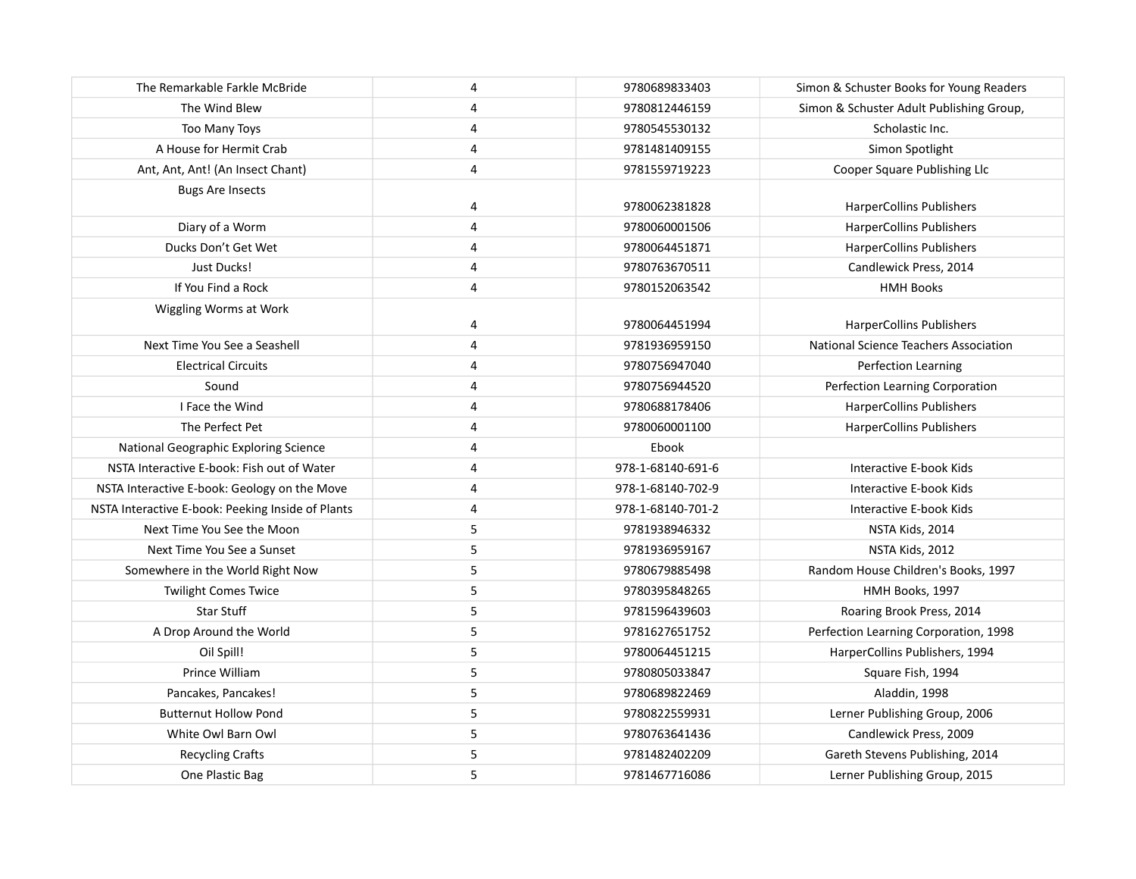| The Remarkable Farkle McBride                     | 4 | 9780689833403     | Simon & Schuster Books for Young Readers |
|---------------------------------------------------|---|-------------------|------------------------------------------|
| The Wind Blew                                     | 4 | 9780812446159     | Simon & Schuster Adult Publishing Group, |
| Too Many Toys                                     | 4 | 9780545530132     | Scholastic Inc.                          |
| A House for Hermit Crab                           | 4 | 9781481409155     | Simon Spotlight                          |
| Ant, Ant, Ant! (An Insect Chant)                  | 4 | 9781559719223     | Cooper Square Publishing Llc             |
| <b>Bugs Are Insects</b>                           |   |                   |                                          |
|                                                   | 4 | 9780062381828     | <b>HarperCollins Publishers</b>          |
| Diary of a Worm                                   | 4 | 9780060001506     | <b>HarperCollins Publishers</b>          |
| Ducks Don't Get Wet                               | 4 | 9780064451871     | <b>HarperCollins Publishers</b>          |
| Just Ducks!                                       | 4 | 9780763670511     | Candlewick Press, 2014                   |
| If You Find a Rock                                | 4 | 9780152063542     | <b>HMH Books</b>                         |
| Wiggling Worms at Work                            |   |                   |                                          |
|                                                   | 4 | 9780064451994     | <b>HarperCollins Publishers</b>          |
| Next Time You See a Seashell                      | 4 | 9781936959150     | National Science Teachers Association    |
| <b>Electrical Circuits</b>                        | 4 | 9780756947040     | Perfection Learning                      |
| Sound                                             | 4 | 9780756944520     | Perfection Learning Corporation          |
| I Face the Wind                                   | 4 | 9780688178406     | <b>HarperCollins Publishers</b>          |
| The Perfect Pet                                   | 4 | 9780060001100     | <b>HarperCollins Publishers</b>          |
| National Geographic Exploring Science             | 4 | Ebook             |                                          |
| NSTA Interactive E-book: Fish out of Water        | 4 | 978-1-68140-691-6 | Interactive E-book Kids                  |
| NSTA Interactive E-book: Geology on the Move      | 4 | 978-1-68140-702-9 | Interactive E-book Kids                  |
| NSTA Interactive E-book: Peeking Inside of Plants | 4 | 978-1-68140-701-2 | Interactive E-book Kids                  |
| Next Time You See the Moon                        | 5 | 9781938946332     | NSTA Kids, 2014                          |
| Next Time You See a Sunset                        | 5 | 9781936959167     | NSTA Kids, 2012                          |
| Somewhere in the World Right Now                  | 5 | 9780679885498     | Random House Children's Books, 1997      |
| <b>Twilight Comes Twice</b>                       | 5 | 9780395848265     | HMH Books, 1997                          |
| Star Stuff                                        | 5 | 9781596439603     | Roaring Brook Press, 2014                |
| A Drop Around the World                           | 5 | 9781627651752     | Perfection Learning Corporation, 1998    |
| Oil Spill!                                        | 5 | 9780064451215     | HarperCollins Publishers, 1994           |
| Prince William                                    | 5 | 9780805033847     | Square Fish, 1994                        |
| Pancakes, Pancakes!                               | 5 | 9780689822469     | Aladdin, 1998                            |
| <b>Butternut Hollow Pond</b>                      | 5 | 9780822559931     | Lerner Publishing Group, 2006            |
| White Owl Barn Owl                                | 5 | 9780763641436     | Candlewick Press, 2009                   |
| <b>Recycling Crafts</b>                           | 5 | 9781482402209     | Gareth Stevens Publishing, 2014          |
| One Plastic Bag                                   | 5 | 9781467716086     | Lerner Publishing Group, 2015            |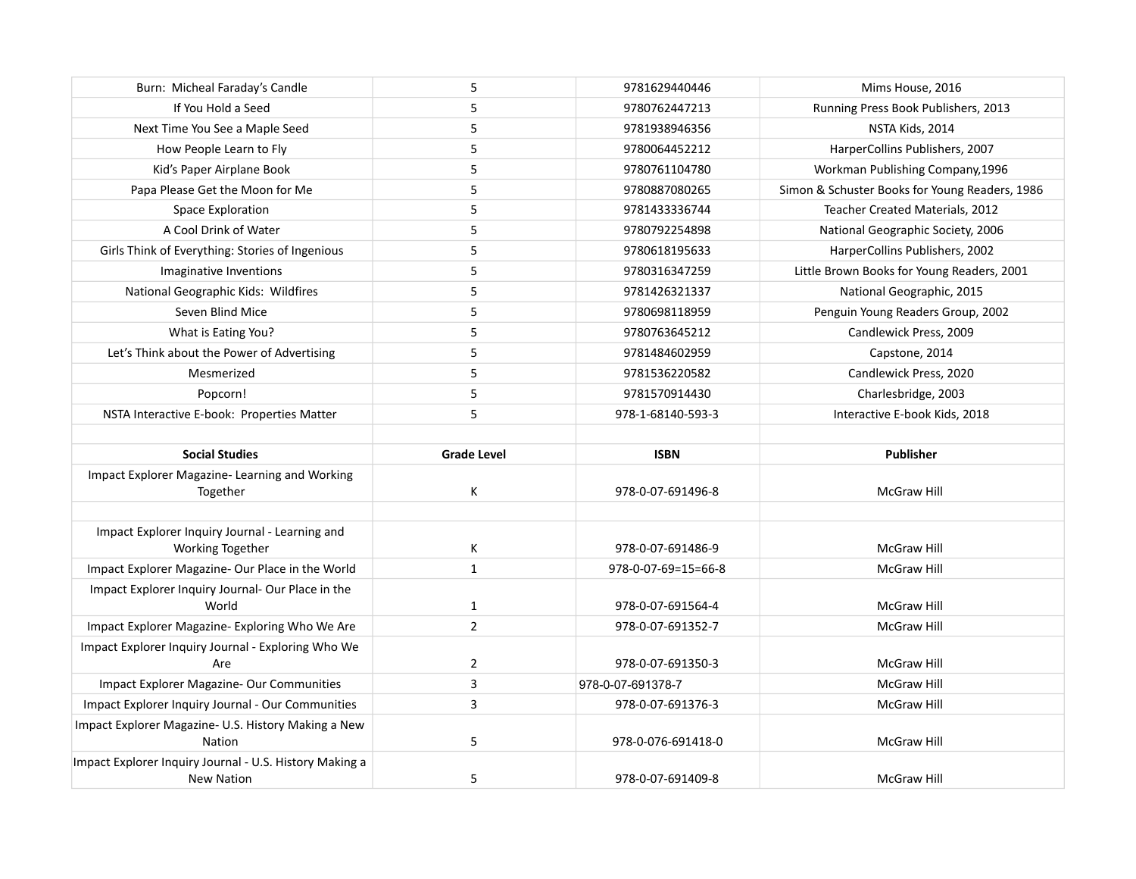| Burn: Micheal Faraday's Candle                                     | 5                  | 9781629440446       | Mims House, 2016                               |
|--------------------------------------------------------------------|--------------------|---------------------|------------------------------------------------|
| If You Hold a Seed                                                 | 5                  | 9780762447213       | Running Press Book Publishers, 2013            |
| Next Time You See a Maple Seed                                     | 5                  | 9781938946356       | NSTA Kids, 2014                                |
| How People Learn to Fly                                            | 5                  | 9780064452212       | HarperCollins Publishers, 2007                 |
| Kid's Paper Airplane Book                                          | 5                  | 9780761104780       | Workman Publishing Company, 1996               |
| Papa Please Get the Moon for Me                                    | 5                  | 9780887080265       | Simon & Schuster Books for Young Readers, 1986 |
| Space Exploration                                                  | 5                  | 9781433336744       | Teacher Created Materials, 2012                |
| A Cool Drink of Water                                              | 5                  | 9780792254898       | National Geographic Society, 2006              |
| Girls Think of Everything: Stories of Ingenious                    | 5                  | 9780618195633       | HarperCollins Publishers, 2002                 |
| Imaginative Inventions                                             | 5                  | 9780316347259       | Little Brown Books for Young Readers, 2001     |
| National Geographic Kids: Wildfires                                | 5                  | 9781426321337       | National Geographic, 2015                      |
| Seven Blind Mice                                                   | 5                  | 9780698118959       | Penguin Young Readers Group, 2002              |
| What is Eating You?                                                | 5                  | 9780763645212       | Candlewick Press, 2009                         |
| Let's Think about the Power of Advertising                         | 5                  | 9781484602959       | Capstone, 2014                                 |
| Mesmerized                                                         | 5                  | 9781536220582       | Candlewick Press, 2020                         |
| Popcorn!                                                           | 5                  | 9781570914430       | Charlesbridge, 2003                            |
| NSTA Interactive E-book: Properties Matter                         | 5                  | 978-1-68140-593-3   | Interactive E-book Kids, 2018                  |
|                                                                    |                    |                     |                                                |
|                                                                    |                    |                     |                                                |
| <b>Social Studies</b>                                              | <b>Grade Level</b> | <b>ISBN</b>         | <b>Publisher</b>                               |
| Impact Explorer Magazine- Learning and Working<br>Together         | К                  | 978-0-07-691496-8   | <b>McGraw Hill</b>                             |
|                                                                    |                    |                     |                                                |
| Impact Explorer Inquiry Journal - Learning and<br>Working Together | К                  | 978-0-07-691486-9   | <b>McGraw Hill</b>                             |
| Impact Explorer Magazine- Our Place in the World                   | $\mathbf{1}$       | 978-0-07-69=15=66-8 | McGraw Hill                                    |
| Impact Explorer Inquiry Journal- Our Place in the<br>World         | $\mathbf{1}$       | 978-0-07-691564-4   | <b>McGraw Hill</b>                             |
| Impact Explorer Magazine- Exploring Who We Are                     | $\overline{2}$     | 978-0-07-691352-7   | McGraw Hill                                    |
| Impact Explorer Inquiry Journal - Exploring Who We<br>Are          | 2                  | 978-0-07-691350-3   | <b>McGraw Hill</b>                             |
| Impact Explorer Magazine- Our Communities                          | 3                  | 978-0-07-691378-7   | McGraw Hill                                    |
| Impact Explorer Inquiry Journal - Our Communities                  | 3                  | 978-0-07-691376-3   | McGraw Hill                                    |
| Impact Explorer Magazine- U.S. History Making a New                |                    |                     |                                                |
| Nation                                                             | 5                  | 978-0-076-691418-0  | McGraw Hill                                    |